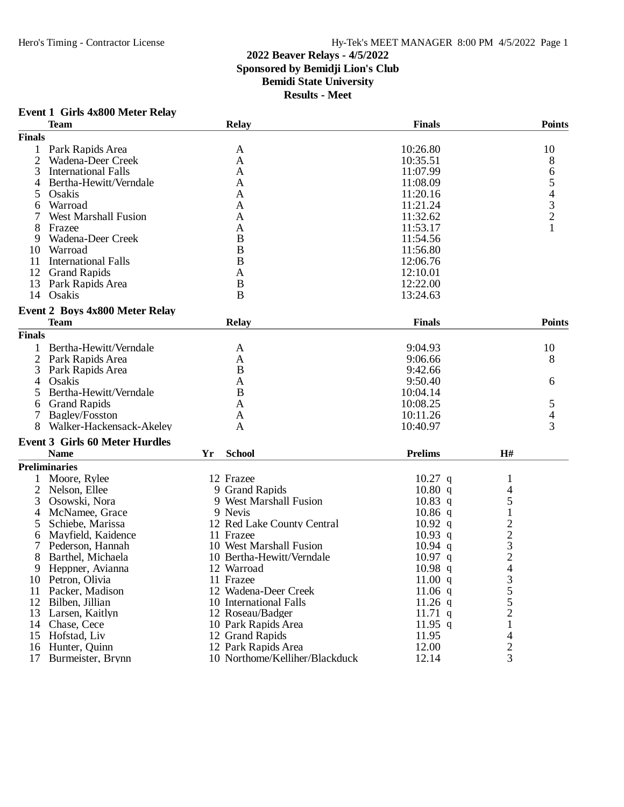## **2022 Beaver Relays - 4/5/2022 Sponsored by Bemidji Lion's Club Bemidi State University Results - Meet**

## **Event 1 Girls 4x800 Meter Relay**

|               | <b>Team</b>                           |    | <b>Relay</b>                   | <b>Finals</b>  |                         | <b>Points</b>                                   |
|---------------|---------------------------------------|----|--------------------------------|----------------|-------------------------|-------------------------------------------------|
| <b>Finals</b> |                                       |    |                                |                |                         |                                                 |
| 1             | Park Rapids Area                      |    | A                              | 10:26.80       |                         | 10                                              |
| 2             | Wadena-Deer Creek                     |    | A                              | 10:35.51       |                         | 8                                               |
| 3             | <b>International Falls</b>            |    | A                              | 11:07.99       |                         | 6                                               |
| 4             | Bertha-Hewitt/Verndale                |    | A                              | 11:08.09       |                         |                                                 |
| 5             | Osakis                                |    | A                              | 11:20.16       |                         | $\begin{array}{c} 5 \\ 4 \\ 3 \\ 2 \end{array}$ |
| 6             | Warroad                               |    | A                              | 11:21.24       |                         |                                                 |
|               | <b>West Marshall Fusion</b>           |    | A                              | 11:32.62       |                         |                                                 |
| 8             | Frazee                                |    | A                              | 11:53.17       |                         | $\mathbf{1}$                                    |
| 9             | Wadena-Deer Creek                     |    | B                              | 11:54.56       |                         |                                                 |
| 10            | Warroad                               |    | B                              | 11:56.80       |                         |                                                 |
| 11            | <b>International Falls</b>            |    | B                              | 12:06.76       |                         |                                                 |
| 12            | <b>Grand Rapids</b>                   |    | A                              | 12:10.01       |                         |                                                 |
| 13            | Park Rapids Area                      |    | B                              | 12:22.00       |                         |                                                 |
| 14            | Osakis                                |    | B                              | 13:24.63       |                         |                                                 |
|               |                                       |    |                                |                |                         |                                                 |
|               | <b>Event 2 Boys 4x800 Meter Relay</b> |    |                                |                |                         |                                                 |
|               | <b>Team</b>                           |    | <b>Relay</b>                   | <b>Finals</b>  |                         | <b>Points</b>                                   |
| <b>Finals</b> |                                       |    |                                |                |                         |                                                 |
| 1             | Bertha-Hewitt/Verndale                |    | A                              | 9:04.93        |                         | 10                                              |
| 2             | Park Rapids Area                      |    | A                              | 9:06.66        |                         | 8                                               |
| 3             | Park Rapids Area                      |    | B                              | 9:42.66        |                         |                                                 |
| 4             | Osakis                                |    | A                              | 9:50.40        |                         | 6                                               |
| 5             | Bertha-Hewitt/Verndale                |    | B                              | 10:04.14       |                         |                                                 |
| 6             | <b>Grand Rapids</b>                   |    | A                              | 10:08.25       |                         | 5                                               |
| 7             | Bagley/Fosston                        |    | A                              | 10:11.26       |                         | $\overline{\mathcal{L}}$                        |
|               | Walker-Hackensack-Akeley              |    | A                              | 10:40.97       |                         | 3                                               |
|               |                                       |    |                                |                |                         |                                                 |
|               | <b>Event 3 Girls 60 Meter Hurdles</b> |    |                                |                |                         |                                                 |
|               | <b>Name</b>                           | Yr | <b>School</b>                  | <b>Prelims</b> | H#                      |                                                 |
|               | <b>Preliminaries</b>                  |    |                                |                |                         |                                                 |
|               | Moore, Rylee                          |    | 12 Frazee                      | $10.27$ q      | 1                       |                                                 |
| 2             | Nelson, Ellee                         |    | 9 Grand Rapids                 | 10.80 q        | 4                       |                                                 |
| 3             | Osowski, Nora                         |    | 9 West Marshall Fusion         | $10.83$ q      | 5                       |                                                 |
| 4             | McNamee, Grace                        |    | 9 Nevis                        | $10.86$ q      | 1                       |                                                 |
| 5             | Schiebe, Marissa                      |    | 12 Red Lake County Central     | $10.92$ q      | $\overline{c}$          |                                                 |
| 6             | Mayfield, Kaidence                    |    | 11 Frazee                      | $10.93$ q      | $\frac{2}{3}$           |                                                 |
| 7             | Pederson, Hannah                      |    | 10 West Marshall Fusion        | $10.94$ q      |                         |                                                 |
| 8             | Barthel, Michaela                     |    | 10 Bertha-Hewitt/Verndale      | $10.97$ q      | $\overline{c}$          |                                                 |
| 9             | Heppner, Avianna                      |    | 12 Warroad                     | $10.98$ q      | 4                       |                                                 |
| 10            | Petron, Olivia                        |    | 11 Frazee                      | 11.00 q        | 3<br>5                  |                                                 |
| 11            | Packer, Madison                       |    | 12 Wadena-Deer Creek           | 11.06 $q$      |                         |                                                 |
| 12            | Bilben, Jillian                       |    | 10 International Falls         | $11.26$ q      | $\frac{5}{2}$           |                                                 |
| 13            | Larsen, Kaitlyn                       |    | 12 Roseau/Badger               | $11.71$ q      |                         |                                                 |
| 14            | Chase, Cece                           |    | 10 Park Rapids Area            | $11.95$ q      | $\mathbf{1}$            |                                                 |
| 15            | Hofstad, Liv                          |    | 12 Grand Rapids                | 11.95          | 4                       |                                                 |
| 16            | Hunter, Quinn                         |    | 12 Park Rapids Area            | 12.00          | $\overline{\mathbf{c}}$ |                                                 |
| 17            | Burmeister, Brynn                     |    | 10 Northome/Kelliher/Blackduck | 12.14          | 3                       |                                                 |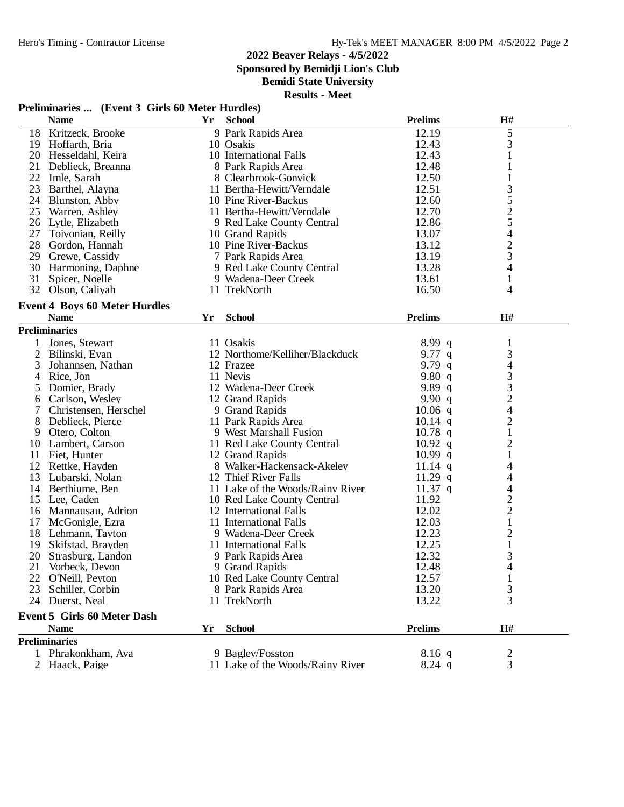**Sponsored by Bemidji Lion's Club**

**Bemidi State University**

| <b>Name</b>    |                                      | Yr | <b>School</b>                    | <b>Prelims</b> | H#                       |  |
|----------------|--------------------------------------|----|----------------------------------|----------------|--------------------------|--|
| 18             | Kritzeck, Brooke                     |    | 9 Park Rapids Area               | 12.19          | $\mathfrak s$            |  |
| 19             | Hoffarth, Bria                       |    | 10 Osakis                        | 12.43          | 3                        |  |
| 20             | Hesseldahl, Keira                    |    | 10 International Falls           | 12.43          |                          |  |
| 21             | Deblieck, Breanna                    |    | 8 Park Rapids Area               | 12.48          | 1                        |  |
| 22             | Imle, Sarah                          |    | 8 Clearbrook-Gonvick             | 12.50          | 1                        |  |
| 23             | Barthel, Alayna                      |    | 11 Bertha-Hewitt/Verndale        | 12.51          | 3                        |  |
|                | 24 Blunston, Abby                    |    | 10 Pine River-Backus             | 12.60          | 5                        |  |
| 25             | Warren, Ashley                       |    | 11 Bertha-Hewitt/Verndale        | 12.70          | $rac{2}{5}$              |  |
| 26             | Lytle, Elizabeth                     |    | 9 Red Lake County Central        | 12.86          |                          |  |
| 27             | Toivonian, Reilly                    |    | 10 Grand Rapids                  | 13.07          | $\overline{\mathcal{A}}$ |  |
| 28             | Gordon, Hannah                       |    | 10 Pine River-Backus             | 13.12          |                          |  |
| 29             | Grewe, Cassidy                       |    | 7 Park Rapids Area               | 13.19          | $rac{2}{3}$              |  |
| 30             | Harmoning, Daphne                    |    | 9 Red Lake County Central        | 13.28          | 4                        |  |
| 31             | Spicer, Noelle                       |    | 9 Wadena-Deer Creek              | 13.61          | $\mathbf{1}$             |  |
|                | 32 Olson, Caliyah                    |    | 11 TrekNorth                     | 16.50          | 4                        |  |
|                |                                      |    |                                  |                |                          |  |
|                | <b>Event 4 Boys 60 Meter Hurdles</b> |    |                                  |                |                          |  |
|                | <b>Name</b>                          | Yr | <b>School</b>                    | <b>Prelims</b> | H#                       |  |
|                | <b>Preliminaries</b>                 |    |                                  |                |                          |  |
|                | Jones, Stewart                       |    | 11 Osakis                        | 8.99 q         | $\mathbf{1}$             |  |
| 2              | Bilinski, Evan                       |    | 12 Northome/Kelliher/Blackduck   | 9.77 $q$       | $\mathfrak{Z}$           |  |
| 3              | Johannsen, Nathan                    |    | 12 Frazee                        | 9.79 $q$       | 4                        |  |
| 4              | Rice, Jon                            |    | 11 Nevis                         | 9.80 $q$       | 3                        |  |
| 5              | Domier, Brady                        |    | 12 Wadena-Deer Creek             | 9.89 $q$       | 3                        |  |
| 6              | Carlson, Wesley                      |    | 12 Grand Rapids                  | 9.90 $q$       | $\overline{2}$           |  |
| 7              | Christensen, Herschel                |    | 9 Grand Rapids                   | $10.06$ q      | 4                        |  |
| 8              | Deblieck, Pierce                     |    | 11 Park Rapids Area              | $10.14$ q      | $\sqrt{2}$               |  |
| 9              | Otero, Colton                        |    | 9 West Marshall Fusion           | $10.78$ q      | $\mathbf{1}$             |  |
| 10             | Lambert, Carson                      |    | 11 Red Lake County Central       | $10.92$ q      | $\overline{c}$           |  |
| 11             | Fiet, Hunter                         |    | 12 Grand Rapids                  | $10.99$ q      | $\mathbf{1}$             |  |
| 12             | Rettke, Hayden                       |    | 8 Walker-Hackensack-Akeley       | 11.14 $q$      | 4                        |  |
| 13             | Lubarski, Nolan                      |    | 12 Thief River Falls             | $11.29$ q      | 4                        |  |
| 14             | Berthiume, Ben                       |    | 11 Lake of the Woods/Rainy River | 11.37 $q$      | 4                        |  |
| 15             | Lee, Caden                           |    | 10 Red Lake County Central       | 11.92          | $\overline{c}$           |  |
| 16             | Mannausau, Adrion                    |    | 12 International Falls           | 12.02          | $\overline{c}$           |  |
| 17             | McGonigle, Ezra                      |    | 11 International Falls           | 12.03          | $\mathbf{1}$             |  |
| 18             | Lehmann, Tayton                      |    | 9 Wadena-Deer Creek              | 12.23          | 2                        |  |
| 19             | Skifstad, Brayden                    |    | 11 International Falls           | 12.25          | $\mathbf{1}$             |  |
| 20             | Strasburg, Landon                    |    | 9 Park Rapids Area               | 12.32          | 3                        |  |
| 21             | Vorbeck, Devon                       |    | 9 Grand Rapids                   | 12.48          | 4                        |  |
|                | 22 O'Neill, Peyton                   |    | 10 Red Lake County Central       | 12.57          | 1                        |  |
| 23             | Schiller, Corbin                     |    | 8 Park Rapids Area               | 13.20          | 3                        |  |
|                | 24 Duerst, Neal                      |    | 11 TrekNorth                     | 13.22          | 3                        |  |
|                | <b>Event 5 Girls 60 Meter Dash</b>   |    |                                  |                |                          |  |
|                | <b>Name</b>                          | Yr | <b>School</b>                    | <b>Prelims</b> | H#                       |  |
|                | <b>Preliminaries</b>                 |    |                                  |                |                          |  |
|                | Phrakonkham, Ava                     |    | 9 Bagley/Fosston                 |                |                          |  |
| $\overline{2}$ |                                      |    |                                  | $8.16$ q       | 2                        |  |
|                | Haack, Paige                         |    | 11 Lake of the Woods/Rainy River | $8.24$ q       | 3                        |  |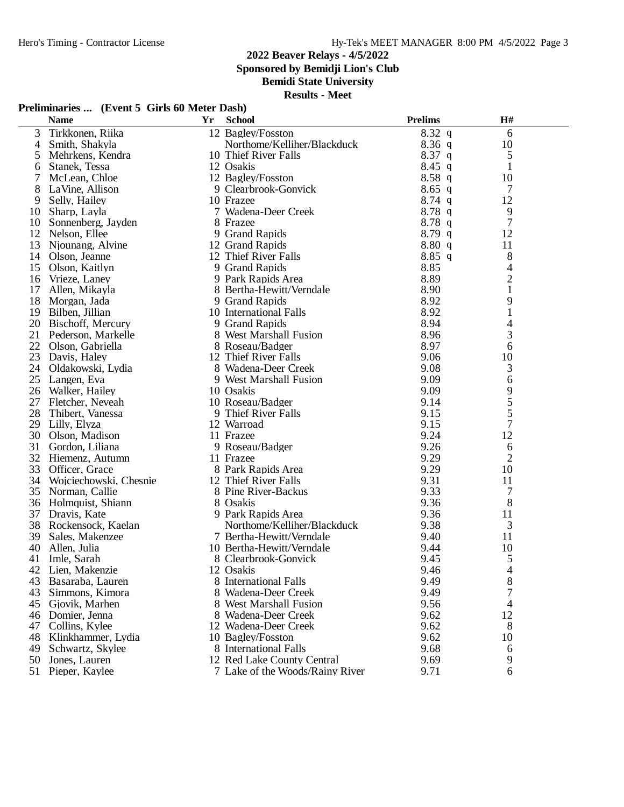**Sponsored by Bemidji Lion's Club**

**Bemidi State University**

**Results - Meet**

## **Preliminaries ... (Event 5 Girls 60 Meter Dash)**

| $8.32\ q$<br>3<br>Tirkkonen, Riika<br>12 Bagley/Fosston<br>6<br>$8.36$ q<br>Smith, Shakyla<br>Northome/Kelliher/Blackduck<br>10<br>4<br>$8.37$ q<br>5<br>Mehrkens, Kendra<br>10 Thief River Falls<br>5<br>$8.45$ q<br>12 Osakis<br>1<br>Stanek, Tessa<br>6<br>7<br>8.58q<br>McLean, Chloe<br>12 Bagley/Fosston<br>10<br>8<br>7<br>LaVine, Allison<br>9 Clearbrook-Gonvick<br>$8.65$ q<br>$8.74$ q<br>12<br>9<br>Selly, Hailey<br>10 Frazee<br>7 Wadena-Deer Creek<br>8.78q<br>9<br>10<br>Sharp, Layla<br>$8.78$ q<br>7<br>10<br>8 Frazee<br>Sonnenberg, Jayden<br>8.79q<br>12 Nelson, Ellee<br>12<br>9 Grand Rapids<br>8.80 q<br>13<br>Njounang, Alvine<br>12 Grand Rapids<br>11<br>8<br>$8.85$ q<br>14<br>Olson, Jeanne<br>12 Thief River Falls<br>$\overline{\mathcal{A}}$<br>15<br>9 Grand Rapids<br>8.85<br>Olson, Kaitlyn<br>$\overline{c}$<br>8.89<br>16<br>Vrieze, Laney<br>9 Park Rapids Area<br>$\mathbf{1}$<br>17<br>8.90<br>Allen, Mikayla<br>8 Bertha-Hewitt/Verndale<br>9<br>18<br>8.92<br>Morgan, Jada<br>9 Grand Rapids<br>19<br>8.92<br>1<br>Bilben, Jillian<br>10 International Falls<br>20<br>8.94<br>Bischoff, Mercury<br>9 Grand Rapids<br>4<br>3<br>21<br>8.96<br>Pederson, Markelle<br>8 West Marshall Fusion<br>8.97<br>22<br>6<br>Olson, Gabriella<br>8 Roseau/Badger<br>23<br>9.06<br>10<br>Davis, Haley<br>12 Thief River Falls<br>24<br>9.08<br>3<br>Oldakowski, Lydia<br>8 Wadena-Deer Creek<br>25<br>9.09<br>Langen, Eva<br>9 West Marshall Fusion<br>6<br>9<br>9.09<br>26<br>Walker, Hailey<br>10 Osakis<br>5<br>27<br>9.14<br>10 Roseau/Badger<br>Fletcher, Neveah<br>5<br>28<br>9.15<br>9 Thief River Falls<br>Thibert, Vanessa<br>7<br>9.15<br>29<br>12 Warroad<br>Lilly, Elyza<br>9.24<br>12<br>30<br>11 Frazee<br>Olson, Madison<br>31<br>9.26<br>Gordon, Liliana<br>9 Roseau/Badger<br>6<br>$\overline{2}$<br>32<br>9.29<br>Hiemenz, Autumn<br>11 Frazee<br>9.29<br>33<br>10<br>Officer, Grace<br>8 Park Rapids Area<br>34<br>9.31<br>11<br>Wojciechowski, Chesnie<br>12 Thief River Falls<br>9.33<br>35<br>8 Pine River-Backus<br>7<br>Norman, Callie<br>8<br>9.36<br>36<br>Holmquist, Shiann<br>8 Osakis<br>37<br>9.36<br>Dravis, Kate<br>9 Park Rapids Area<br>11<br>3<br>38<br>9.38<br>Northome/Kelliher/Blackduck<br>Rockensock, Kaelan<br>39<br>7 Bertha-Hewitt/Verndale<br>11<br>9.40<br>Sales, Makenzee<br>40<br>10 Bertha-Hewitt/Verndale<br>9.44<br>10<br>Allen, Julia<br>9.45<br>5<br>41<br>Imle, Sarah<br>8 Clearbrook-Gonvick<br>42 Lien, Makenzie<br>12 Osakis<br>9.46<br>4<br>8<br>8 International Falls<br>9.49<br>43<br>Basaraba, Lauren<br>9.49<br>43<br>Simmons, Kimora<br>8 Wadena-Deer Creek<br>9.56<br>4<br>45<br>8 West Marshall Fusion<br>Gjovik, Marhen<br>9.62<br>12<br>46<br>Domier, Jenna<br>8 Wadena-Deer Creek<br>Collins, Kylee<br>9.62<br>8<br>47<br>12 Wadena-Deer Creek<br>9.62<br>48<br>Klinkhammer, Lydia<br>10 Bagley/Fosston<br>10<br>49<br>Schwartz, Skylee<br>8 International Falls<br>9.68<br>6<br>9.69<br>50<br>Jones, Lauren<br>12 Red Lake County Central<br>9 |    | <b>Name</b>    | Yr | <b>School</b>                   | <b>Prelims</b> | H# |
|------------------------------------------------------------------------------------------------------------------------------------------------------------------------------------------------------------------------------------------------------------------------------------------------------------------------------------------------------------------------------------------------------------------------------------------------------------------------------------------------------------------------------------------------------------------------------------------------------------------------------------------------------------------------------------------------------------------------------------------------------------------------------------------------------------------------------------------------------------------------------------------------------------------------------------------------------------------------------------------------------------------------------------------------------------------------------------------------------------------------------------------------------------------------------------------------------------------------------------------------------------------------------------------------------------------------------------------------------------------------------------------------------------------------------------------------------------------------------------------------------------------------------------------------------------------------------------------------------------------------------------------------------------------------------------------------------------------------------------------------------------------------------------------------------------------------------------------------------------------------------------------------------------------------------------------------------------------------------------------------------------------------------------------------------------------------------------------------------------------------------------------------------------------------------------------------------------------------------------------------------------------------------------------------------------------------------------------------------------------------------------------------------------------------------------------------------------------------------------------------------------------------------------------------------------------------------------------------------------------------------------------------------------------------------------------------------------------------------------------------------------------------------------------------------------------------------------------------------------------------------------------------------------------------------------------------------------------------------------------------------------------------------------------------|----|----------------|----|---------------------------------|----------------|----|
|                                                                                                                                                                                                                                                                                                                                                                                                                                                                                                                                                                                                                                                                                                                                                                                                                                                                                                                                                                                                                                                                                                                                                                                                                                                                                                                                                                                                                                                                                                                                                                                                                                                                                                                                                                                                                                                                                                                                                                                                                                                                                                                                                                                                                                                                                                                                                                                                                                                                                                                                                                                                                                                                                                                                                                                                                                                                                                                                                                                                                                                |    |                |    |                                 |                |    |
|                                                                                                                                                                                                                                                                                                                                                                                                                                                                                                                                                                                                                                                                                                                                                                                                                                                                                                                                                                                                                                                                                                                                                                                                                                                                                                                                                                                                                                                                                                                                                                                                                                                                                                                                                                                                                                                                                                                                                                                                                                                                                                                                                                                                                                                                                                                                                                                                                                                                                                                                                                                                                                                                                                                                                                                                                                                                                                                                                                                                                                                |    |                |    |                                 |                |    |
|                                                                                                                                                                                                                                                                                                                                                                                                                                                                                                                                                                                                                                                                                                                                                                                                                                                                                                                                                                                                                                                                                                                                                                                                                                                                                                                                                                                                                                                                                                                                                                                                                                                                                                                                                                                                                                                                                                                                                                                                                                                                                                                                                                                                                                                                                                                                                                                                                                                                                                                                                                                                                                                                                                                                                                                                                                                                                                                                                                                                                                                |    |                |    |                                 |                |    |
|                                                                                                                                                                                                                                                                                                                                                                                                                                                                                                                                                                                                                                                                                                                                                                                                                                                                                                                                                                                                                                                                                                                                                                                                                                                                                                                                                                                                                                                                                                                                                                                                                                                                                                                                                                                                                                                                                                                                                                                                                                                                                                                                                                                                                                                                                                                                                                                                                                                                                                                                                                                                                                                                                                                                                                                                                                                                                                                                                                                                                                                |    |                |    |                                 |                |    |
|                                                                                                                                                                                                                                                                                                                                                                                                                                                                                                                                                                                                                                                                                                                                                                                                                                                                                                                                                                                                                                                                                                                                                                                                                                                                                                                                                                                                                                                                                                                                                                                                                                                                                                                                                                                                                                                                                                                                                                                                                                                                                                                                                                                                                                                                                                                                                                                                                                                                                                                                                                                                                                                                                                                                                                                                                                                                                                                                                                                                                                                |    |                |    |                                 |                |    |
|                                                                                                                                                                                                                                                                                                                                                                                                                                                                                                                                                                                                                                                                                                                                                                                                                                                                                                                                                                                                                                                                                                                                                                                                                                                                                                                                                                                                                                                                                                                                                                                                                                                                                                                                                                                                                                                                                                                                                                                                                                                                                                                                                                                                                                                                                                                                                                                                                                                                                                                                                                                                                                                                                                                                                                                                                                                                                                                                                                                                                                                |    |                |    |                                 |                |    |
|                                                                                                                                                                                                                                                                                                                                                                                                                                                                                                                                                                                                                                                                                                                                                                                                                                                                                                                                                                                                                                                                                                                                                                                                                                                                                                                                                                                                                                                                                                                                                                                                                                                                                                                                                                                                                                                                                                                                                                                                                                                                                                                                                                                                                                                                                                                                                                                                                                                                                                                                                                                                                                                                                                                                                                                                                                                                                                                                                                                                                                                |    |                |    |                                 |                |    |
|                                                                                                                                                                                                                                                                                                                                                                                                                                                                                                                                                                                                                                                                                                                                                                                                                                                                                                                                                                                                                                                                                                                                                                                                                                                                                                                                                                                                                                                                                                                                                                                                                                                                                                                                                                                                                                                                                                                                                                                                                                                                                                                                                                                                                                                                                                                                                                                                                                                                                                                                                                                                                                                                                                                                                                                                                                                                                                                                                                                                                                                |    |                |    |                                 |                |    |
|                                                                                                                                                                                                                                                                                                                                                                                                                                                                                                                                                                                                                                                                                                                                                                                                                                                                                                                                                                                                                                                                                                                                                                                                                                                                                                                                                                                                                                                                                                                                                                                                                                                                                                                                                                                                                                                                                                                                                                                                                                                                                                                                                                                                                                                                                                                                                                                                                                                                                                                                                                                                                                                                                                                                                                                                                                                                                                                                                                                                                                                |    |                |    |                                 |                |    |
|                                                                                                                                                                                                                                                                                                                                                                                                                                                                                                                                                                                                                                                                                                                                                                                                                                                                                                                                                                                                                                                                                                                                                                                                                                                                                                                                                                                                                                                                                                                                                                                                                                                                                                                                                                                                                                                                                                                                                                                                                                                                                                                                                                                                                                                                                                                                                                                                                                                                                                                                                                                                                                                                                                                                                                                                                                                                                                                                                                                                                                                |    |                |    |                                 |                |    |
|                                                                                                                                                                                                                                                                                                                                                                                                                                                                                                                                                                                                                                                                                                                                                                                                                                                                                                                                                                                                                                                                                                                                                                                                                                                                                                                                                                                                                                                                                                                                                                                                                                                                                                                                                                                                                                                                                                                                                                                                                                                                                                                                                                                                                                                                                                                                                                                                                                                                                                                                                                                                                                                                                                                                                                                                                                                                                                                                                                                                                                                |    |                |    |                                 |                |    |
|                                                                                                                                                                                                                                                                                                                                                                                                                                                                                                                                                                                                                                                                                                                                                                                                                                                                                                                                                                                                                                                                                                                                                                                                                                                                                                                                                                                                                                                                                                                                                                                                                                                                                                                                                                                                                                                                                                                                                                                                                                                                                                                                                                                                                                                                                                                                                                                                                                                                                                                                                                                                                                                                                                                                                                                                                                                                                                                                                                                                                                                |    |                |    |                                 |                |    |
|                                                                                                                                                                                                                                                                                                                                                                                                                                                                                                                                                                                                                                                                                                                                                                                                                                                                                                                                                                                                                                                                                                                                                                                                                                                                                                                                                                                                                                                                                                                                                                                                                                                                                                                                                                                                                                                                                                                                                                                                                                                                                                                                                                                                                                                                                                                                                                                                                                                                                                                                                                                                                                                                                                                                                                                                                                                                                                                                                                                                                                                |    |                |    |                                 |                |    |
|                                                                                                                                                                                                                                                                                                                                                                                                                                                                                                                                                                                                                                                                                                                                                                                                                                                                                                                                                                                                                                                                                                                                                                                                                                                                                                                                                                                                                                                                                                                                                                                                                                                                                                                                                                                                                                                                                                                                                                                                                                                                                                                                                                                                                                                                                                                                                                                                                                                                                                                                                                                                                                                                                                                                                                                                                                                                                                                                                                                                                                                |    |                |    |                                 |                |    |
|                                                                                                                                                                                                                                                                                                                                                                                                                                                                                                                                                                                                                                                                                                                                                                                                                                                                                                                                                                                                                                                                                                                                                                                                                                                                                                                                                                                                                                                                                                                                                                                                                                                                                                                                                                                                                                                                                                                                                                                                                                                                                                                                                                                                                                                                                                                                                                                                                                                                                                                                                                                                                                                                                                                                                                                                                                                                                                                                                                                                                                                |    |                |    |                                 |                |    |
|                                                                                                                                                                                                                                                                                                                                                                                                                                                                                                                                                                                                                                                                                                                                                                                                                                                                                                                                                                                                                                                                                                                                                                                                                                                                                                                                                                                                                                                                                                                                                                                                                                                                                                                                                                                                                                                                                                                                                                                                                                                                                                                                                                                                                                                                                                                                                                                                                                                                                                                                                                                                                                                                                                                                                                                                                                                                                                                                                                                                                                                |    |                |    |                                 |                |    |
|                                                                                                                                                                                                                                                                                                                                                                                                                                                                                                                                                                                                                                                                                                                                                                                                                                                                                                                                                                                                                                                                                                                                                                                                                                                                                                                                                                                                                                                                                                                                                                                                                                                                                                                                                                                                                                                                                                                                                                                                                                                                                                                                                                                                                                                                                                                                                                                                                                                                                                                                                                                                                                                                                                                                                                                                                                                                                                                                                                                                                                                |    |                |    |                                 |                |    |
|                                                                                                                                                                                                                                                                                                                                                                                                                                                                                                                                                                                                                                                                                                                                                                                                                                                                                                                                                                                                                                                                                                                                                                                                                                                                                                                                                                                                                                                                                                                                                                                                                                                                                                                                                                                                                                                                                                                                                                                                                                                                                                                                                                                                                                                                                                                                                                                                                                                                                                                                                                                                                                                                                                                                                                                                                                                                                                                                                                                                                                                |    |                |    |                                 |                |    |
|                                                                                                                                                                                                                                                                                                                                                                                                                                                                                                                                                                                                                                                                                                                                                                                                                                                                                                                                                                                                                                                                                                                                                                                                                                                                                                                                                                                                                                                                                                                                                                                                                                                                                                                                                                                                                                                                                                                                                                                                                                                                                                                                                                                                                                                                                                                                                                                                                                                                                                                                                                                                                                                                                                                                                                                                                                                                                                                                                                                                                                                |    |                |    |                                 |                |    |
|                                                                                                                                                                                                                                                                                                                                                                                                                                                                                                                                                                                                                                                                                                                                                                                                                                                                                                                                                                                                                                                                                                                                                                                                                                                                                                                                                                                                                                                                                                                                                                                                                                                                                                                                                                                                                                                                                                                                                                                                                                                                                                                                                                                                                                                                                                                                                                                                                                                                                                                                                                                                                                                                                                                                                                                                                                                                                                                                                                                                                                                |    |                |    |                                 |                |    |
|                                                                                                                                                                                                                                                                                                                                                                                                                                                                                                                                                                                                                                                                                                                                                                                                                                                                                                                                                                                                                                                                                                                                                                                                                                                                                                                                                                                                                                                                                                                                                                                                                                                                                                                                                                                                                                                                                                                                                                                                                                                                                                                                                                                                                                                                                                                                                                                                                                                                                                                                                                                                                                                                                                                                                                                                                                                                                                                                                                                                                                                |    |                |    |                                 |                |    |
|                                                                                                                                                                                                                                                                                                                                                                                                                                                                                                                                                                                                                                                                                                                                                                                                                                                                                                                                                                                                                                                                                                                                                                                                                                                                                                                                                                                                                                                                                                                                                                                                                                                                                                                                                                                                                                                                                                                                                                                                                                                                                                                                                                                                                                                                                                                                                                                                                                                                                                                                                                                                                                                                                                                                                                                                                                                                                                                                                                                                                                                |    |                |    |                                 |                |    |
|                                                                                                                                                                                                                                                                                                                                                                                                                                                                                                                                                                                                                                                                                                                                                                                                                                                                                                                                                                                                                                                                                                                                                                                                                                                                                                                                                                                                                                                                                                                                                                                                                                                                                                                                                                                                                                                                                                                                                                                                                                                                                                                                                                                                                                                                                                                                                                                                                                                                                                                                                                                                                                                                                                                                                                                                                                                                                                                                                                                                                                                |    |                |    |                                 |                |    |
|                                                                                                                                                                                                                                                                                                                                                                                                                                                                                                                                                                                                                                                                                                                                                                                                                                                                                                                                                                                                                                                                                                                                                                                                                                                                                                                                                                                                                                                                                                                                                                                                                                                                                                                                                                                                                                                                                                                                                                                                                                                                                                                                                                                                                                                                                                                                                                                                                                                                                                                                                                                                                                                                                                                                                                                                                                                                                                                                                                                                                                                |    |                |    |                                 |                |    |
|                                                                                                                                                                                                                                                                                                                                                                                                                                                                                                                                                                                                                                                                                                                                                                                                                                                                                                                                                                                                                                                                                                                                                                                                                                                                                                                                                                                                                                                                                                                                                                                                                                                                                                                                                                                                                                                                                                                                                                                                                                                                                                                                                                                                                                                                                                                                                                                                                                                                                                                                                                                                                                                                                                                                                                                                                                                                                                                                                                                                                                                |    |                |    |                                 |                |    |
|                                                                                                                                                                                                                                                                                                                                                                                                                                                                                                                                                                                                                                                                                                                                                                                                                                                                                                                                                                                                                                                                                                                                                                                                                                                                                                                                                                                                                                                                                                                                                                                                                                                                                                                                                                                                                                                                                                                                                                                                                                                                                                                                                                                                                                                                                                                                                                                                                                                                                                                                                                                                                                                                                                                                                                                                                                                                                                                                                                                                                                                |    |                |    |                                 |                |    |
|                                                                                                                                                                                                                                                                                                                                                                                                                                                                                                                                                                                                                                                                                                                                                                                                                                                                                                                                                                                                                                                                                                                                                                                                                                                                                                                                                                                                                                                                                                                                                                                                                                                                                                                                                                                                                                                                                                                                                                                                                                                                                                                                                                                                                                                                                                                                                                                                                                                                                                                                                                                                                                                                                                                                                                                                                                                                                                                                                                                                                                                |    |                |    |                                 |                |    |
|                                                                                                                                                                                                                                                                                                                                                                                                                                                                                                                                                                                                                                                                                                                                                                                                                                                                                                                                                                                                                                                                                                                                                                                                                                                                                                                                                                                                                                                                                                                                                                                                                                                                                                                                                                                                                                                                                                                                                                                                                                                                                                                                                                                                                                                                                                                                                                                                                                                                                                                                                                                                                                                                                                                                                                                                                                                                                                                                                                                                                                                |    |                |    |                                 |                |    |
|                                                                                                                                                                                                                                                                                                                                                                                                                                                                                                                                                                                                                                                                                                                                                                                                                                                                                                                                                                                                                                                                                                                                                                                                                                                                                                                                                                                                                                                                                                                                                                                                                                                                                                                                                                                                                                                                                                                                                                                                                                                                                                                                                                                                                                                                                                                                                                                                                                                                                                                                                                                                                                                                                                                                                                                                                                                                                                                                                                                                                                                |    |                |    |                                 |                |    |
|                                                                                                                                                                                                                                                                                                                                                                                                                                                                                                                                                                                                                                                                                                                                                                                                                                                                                                                                                                                                                                                                                                                                                                                                                                                                                                                                                                                                                                                                                                                                                                                                                                                                                                                                                                                                                                                                                                                                                                                                                                                                                                                                                                                                                                                                                                                                                                                                                                                                                                                                                                                                                                                                                                                                                                                                                                                                                                                                                                                                                                                |    |                |    |                                 |                |    |
|                                                                                                                                                                                                                                                                                                                                                                                                                                                                                                                                                                                                                                                                                                                                                                                                                                                                                                                                                                                                                                                                                                                                                                                                                                                                                                                                                                                                                                                                                                                                                                                                                                                                                                                                                                                                                                                                                                                                                                                                                                                                                                                                                                                                                                                                                                                                                                                                                                                                                                                                                                                                                                                                                                                                                                                                                                                                                                                                                                                                                                                |    |                |    |                                 |                |    |
|                                                                                                                                                                                                                                                                                                                                                                                                                                                                                                                                                                                                                                                                                                                                                                                                                                                                                                                                                                                                                                                                                                                                                                                                                                                                                                                                                                                                                                                                                                                                                                                                                                                                                                                                                                                                                                                                                                                                                                                                                                                                                                                                                                                                                                                                                                                                                                                                                                                                                                                                                                                                                                                                                                                                                                                                                                                                                                                                                                                                                                                |    |                |    |                                 |                |    |
|                                                                                                                                                                                                                                                                                                                                                                                                                                                                                                                                                                                                                                                                                                                                                                                                                                                                                                                                                                                                                                                                                                                                                                                                                                                                                                                                                                                                                                                                                                                                                                                                                                                                                                                                                                                                                                                                                                                                                                                                                                                                                                                                                                                                                                                                                                                                                                                                                                                                                                                                                                                                                                                                                                                                                                                                                                                                                                                                                                                                                                                |    |                |    |                                 |                |    |
|                                                                                                                                                                                                                                                                                                                                                                                                                                                                                                                                                                                                                                                                                                                                                                                                                                                                                                                                                                                                                                                                                                                                                                                                                                                                                                                                                                                                                                                                                                                                                                                                                                                                                                                                                                                                                                                                                                                                                                                                                                                                                                                                                                                                                                                                                                                                                                                                                                                                                                                                                                                                                                                                                                                                                                                                                                                                                                                                                                                                                                                |    |                |    |                                 |                |    |
|                                                                                                                                                                                                                                                                                                                                                                                                                                                                                                                                                                                                                                                                                                                                                                                                                                                                                                                                                                                                                                                                                                                                                                                                                                                                                                                                                                                                                                                                                                                                                                                                                                                                                                                                                                                                                                                                                                                                                                                                                                                                                                                                                                                                                                                                                                                                                                                                                                                                                                                                                                                                                                                                                                                                                                                                                                                                                                                                                                                                                                                |    |                |    |                                 |                |    |
|                                                                                                                                                                                                                                                                                                                                                                                                                                                                                                                                                                                                                                                                                                                                                                                                                                                                                                                                                                                                                                                                                                                                                                                                                                                                                                                                                                                                                                                                                                                                                                                                                                                                                                                                                                                                                                                                                                                                                                                                                                                                                                                                                                                                                                                                                                                                                                                                                                                                                                                                                                                                                                                                                                                                                                                                                                                                                                                                                                                                                                                |    |                |    |                                 |                |    |
|                                                                                                                                                                                                                                                                                                                                                                                                                                                                                                                                                                                                                                                                                                                                                                                                                                                                                                                                                                                                                                                                                                                                                                                                                                                                                                                                                                                                                                                                                                                                                                                                                                                                                                                                                                                                                                                                                                                                                                                                                                                                                                                                                                                                                                                                                                                                                                                                                                                                                                                                                                                                                                                                                                                                                                                                                                                                                                                                                                                                                                                |    |                |    |                                 |                |    |
|                                                                                                                                                                                                                                                                                                                                                                                                                                                                                                                                                                                                                                                                                                                                                                                                                                                                                                                                                                                                                                                                                                                                                                                                                                                                                                                                                                                                                                                                                                                                                                                                                                                                                                                                                                                                                                                                                                                                                                                                                                                                                                                                                                                                                                                                                                                                                                                                                                                                                                                                                                                                                                                                                                                                                                                                                                                                                                                                                                                                                                                |    |                |    |                                 |                |    |
|                                                                                                                                                                                                                                                                                                                                                                                                                                                                                                                                                                                                                                                                                                                                                                                                                                                                                                                                                                                                                                                                                                                                                                                                                                                                                                                                                                                                                                                                                                                                                                                                                                                                                                                                                                                                                                                                                                                                                                                                                                                                                                                                                                                                                                                                                                                                                                                                                                                                                                                                                                                                                                                                                                                                                                                                                                                                                                                                                                                                                                                |    |                |    |                                 |                |    |
|                                                                                                                                                                                                                                                                                                                                                                                                                                                                                                                                                                                                                                                                                                                                                                                                                                                                                                                                                                                                                                                                                                                                                                                                                                                                                                                                                                                                                                                                                                                                                                                                                                                                                                                                                                                                                                                                                                                                                                                                                                                                                                                                                                                                                                                                                                                                                                                                                                                                                                                                                                                                                                                                                                                                                                                                                                                                                                                                                                                                                                                |    |                |    |                                 |                |    |
|                                                                                                                                                                                                                                                                                                                                                                                                                                                                                                                                                                                                                                                                                                                                                                                                                                                                                                                                                                                                                                                                                                                                                                                                                                                                                                                                                                                                                                                                                                                                                                                                                                                                                                                                                                                                                                                                                                                                                                                                                                                                                                                                                                                                                                                                                                                                                                                                                                                                                                                                                                                                                                                                                                                                                                                                                                                                                                                                                                                                                                                |    |                |    |                                 |                |    |
|                                                                                                                                                                                                                                                                                                                                                                                                                                                                                                                                                                                                                                                                                                                                                                                                                                                                                                                                                                                                                                                                                                                                                                                                                                                                                                                                                                                                                                                                                                                                                                                                                                                                                                                                                                                                                                                                                                                                                                                                                                                                                                                                                                                                                                                                                                                                                                                                                                                                                                                                                                                                                                                                                                                                                                                                                                                                                                                                                                                                                                                |    |                |    |                                 |                |    |
|                                                                                                                                                                                                                                                                                                                                                                                                                                                                                                                                                                                                                                                                                                                                                                                                                                                                                                                                                                                                                                                                                                                                                                                                                                                                                                                                                                                                                                                                                                                                                                                                                                                                                                                                                                                                                                                                                                                                                                                                                                                                                                                                                                                                                                                                                                                                                                                                                                                                                                                                                                                                                                                                                                                                                                                                                                                                                                                                                                                                                                                |    |                |    |                                 |                |    |
|                                                                                                                                                                                                                                                                                                                                                                                                                                                                                                                                                                                                                                                                                                                                                                                                                                                                                                                                                                                                                                                                                                                                                                                                                                                                                                                                                                                                                                                                                                                                                                                                                                                                                                                                                                                                                                                                                                                                                                                                                                                                                                                                                                                                                                                                                                                                                                                                                                                                                                                                                                                                                                                                                                                                                                                                                                                                                                                                                                                                                                                |    |                |    |                                 |                |    |
|                                                                                                                                                                                                                                                                                                                                                                                                                                                                                                                                                                                                                                                                                                                                                                                                                                                                                                                                                                                                                                                                                                                                                                                                                                                                                                                                                                                                                                                                                                                                                                                                                                                                                                                                                                                                                                                                                                                                                                                                                                                                                                                                                                                                                                                                                                                                                                                                                                                                                                                                                                                                                                                                                                                                                                                                                                                                                                                                                                                                                                                |    |                |    |                                 |                |    |
|                                                                                                                                                                                                                                                                                                                                                                                                                                                                                                                                                                                                                                                                                                                                                                                                                                                                                                                                                                                                                                                                                                                                                                                                                                                                                                                                                                                                                                                                                                                                                                                                                                                                                                                                                                                                                                                                                                                                                                                                                                                                                                                                                                                                                                                                                                                                                                                                                                                                                                                                                                                                                                                                                                                                                                                                                                                                                                                                                                                                                                                |    |                |    |                                 |                |    |
|                                                                                                                                                                                                                                                                                                                                                                                                                                                                                                                                                                                                                                                                                                                                                                                                                                                                                                                                                                                                                                                                                                                                                                                                                                                                                                                                                                                                                                                                                                                                                                                                                                                                                                                                                                                                                                                                                                                                                                                                                                                                                                                                                                                                                                                                                                                                                                                                                                                                                                                                                                                                                                                                                                                                                                                                                                                                                                                                                                                                                                                |    |                |    |                                 |                |    |
|                                                                                                                                                                                                                                                                                                                                                                                                                                                                                                                                                                                                                                                                                                                                                                                                                                                                                                                                                                                                                                                                                                                                                                                                                                                                                                                                                                                                                                                                                                                                                                                                                                                                                                                                                                                                                                                                                                                                                                                                                                                                                                                                                                                                                                                                                                                                                                                                                                                                                                                                                                                                                                                                                                                                                                                                                                                                                                                                                                                                                                                |    |                |    |                                 |                |    |
|                                                                                                                                                                                                                                                                                                                                                                                                                                                                                                                                                                                                                                                                                                                                                                                                                                                                                                                                                                                                                                                                                                                                                                                                                                                                                                                                                                                                                                                                                                                                                                                                                                                                                                                                                                                                                                                                                                                                                                                                                                                                                                                                                                                                                                                                                                                                                                                                                                                                                                                                                                                                                                                                                                                                                                                                                                                                                                                                                                                                                                                | 51 | Pieper, Kaylee |    | 7 Lake of the Woods/Rainy River | 9.71           | 6  |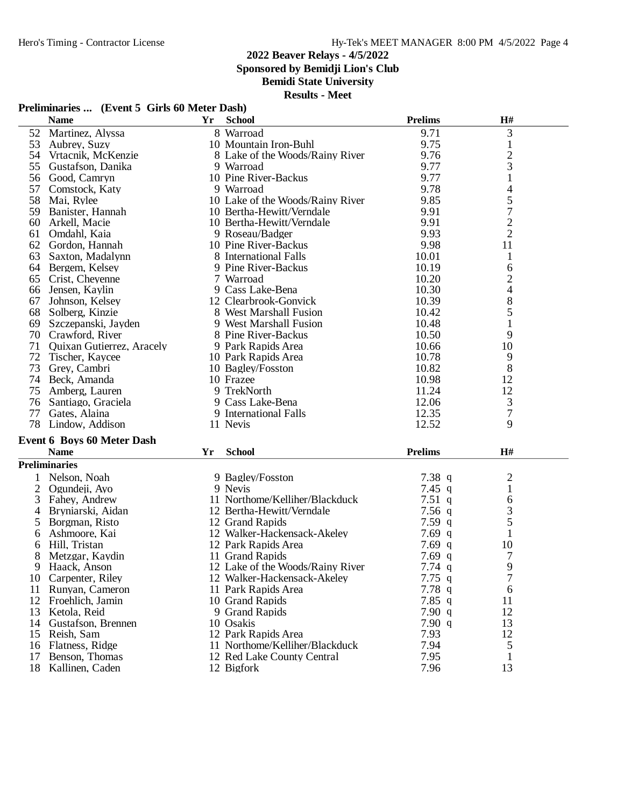**Sponsored by Bemidji Lion's Club**

**Bemidi State University**

**Results - Meet**

#### **Preliminaries ... (Event 5 Girls 60 Meter Dash)**

|                | <b>Name</b>                       | Yr | <b>School</b>                    | <b>Prelims</b> | H#                       |  |
|----------------|-----------------------------------|----|----------------------------------|----------------|--------------------------|--|
|                | 52 Martinez, Alyssa               |    | 8 Warroad                        | 9.71           | 3                        |  |
|                | 53 Aubrey, Suzy                   |    | 10 Mountain Iron-Buhl            | 9.75           | $\mathbf{1}$             |  |
|                | 54 Vrtacnik, McKenzie             |    | 8 Lake of the Woods/Rainy River  | 9.76           | $\overline{c}$           |  |
|                | 55 Gustafson, Danika              |    | 9 Warroad                        | 9.77           | 3                        |  |
|                | 56 Good, Camryn                   |    | 10 Pine River-Backus             | 9.77           | $\mathbf{1}$             |  |
| 57             | Comstock, Katy                    |    | 9 Warroad                        | 9.78           | 4                        |  |
|                | 58 Mai, Rylee                     |    | 10 Lake of the Woods/Rainy River | 9.85           | 5                        |  |
| 59             | Banister, Hannah                  |    | 10 Bertha-Hewitt/Verndale        | 9.91           | $\tau$                   |  |
| 60             | Arkell, Macie                     |    | 10 Bertha-Hewitt/Verndale        | 9.91           | $\overline{2}$           |  |
| 61             | Omdahl, Kaia                      |    | 9 Roseau/Badger                  | 9.93           | $\overline{2}$           |  |
|                | 62 Gordon, Hannah                 |    | 10 Pine River-Backus             | 9.98           | 11                       |  |
| 63             | Saxton, Madalynn                  |    | 8 International Falls            | 10.01          | $\mathbf{1}$             |  |
|                | 64 Bergem, Kelsey                 |    | 9 Pine River-Backus              | 10.19          | 6                        |  |
|                | 65 Crist, Cheyenne                |    | 7 Warroad                        | 10.20          | $\overline{c}$           |  |
| 66             | Jensen, Kaylin                    |    | 9 Cass Lake-Bena                 | 10.30          | $\overline{\mathcal{L}}$ |  |
| 67             | Johnson, Kelsey                   |    | 12 Clearbrook-Gonvick            | 10.39          | 8                        |  |
| 68             | Solberg, Kinzie                   |    | 8 West Marshall Fusion           | 10.42          | 5                        |  |
| 69             | Szczepanski, Jayden               |    | 9 West Marshall Fusion           | 10.48          | 1                        |  |
|                | 70 Crawford, River                |    | 8 Pine River-Backus              | 10.50          | 9                        |  |
| 71             | Quixan Gutierrez, Aracely         |    | 9 Park Rapids Area               | 10.66          | 10                       |  |
| 72             | Tischer, Kaycee                   |    | 10 Park Rapids Area              | 10.78          | 9                        |  |
| 73             | Grey, Cambri                      |    | 10 Bagley/Fosston                | 10.82          | 8                        |  |
|                | 74 Beck, Amanda                   |    | 10 Frazee                        | 10.98          | 12                       |  |
|                | 75 Amberg, Lauren                 |    | 9 TrekNorth                      | 11.24          | 12                       |  |
| 76             | Santiago, Graciela                |    | 9 Cass Lake-Bena                 | 12.06          | 3                        |  |
| 77             | Gates, Alaina                     |    | 9 International Falls            | 12.35          | $\overline{7}$           |  |
|                | 78 Lindow, Addison                |    | 11 Nevis                         | 12.52          | $\mathbf Q$              |  |
|                | <b>Event 6 Boys 60 Meter Dash</b> |    |                                  |                |                          |  |
|                | <b>Name</b>                       | Yr | <b>School</b>                    | <b>Prelims</b> | H#                       |  |
|                | <b>Preliminaries</b>              |    |                                  |                |                          |  |
| $\mathbf{1}$   | Nelson, Noah                      |    | 9 Bagley/Fosston                 | 7.38q          | $\overline{2}$           |  |
| $\overline{2}$ | Ogundeji, Ayo                     |    | 9 Nevis                          | 7.45 q         | $\mathbf{1}$             |  |
| 3              | Fahey, Andrew                     |    | 11 Northome/Kelliher/Blackduck   | 7.51q          | 6                        |  |
| 4              | Bryniarski, Aidan                 |    | 12 Bertha-Hewitt/Verndale        | 7.56q          | 3                        |  |
| 5              | Borgman, Risto                    |    | 12 Grand Rapids                  | 7.59 $q$       | 5                        |  |
| 6              | Ashmoore, Kai                     |    | 12 Walker-Hackensack-Akeley      | 7.69 $q$       | $\mathbf{1}$             |  |
| 6              | Hill, Tristan                     |    | 12 Park Rapids Area              | $7.69$ q       | 10                       |  |
| 8              | Metzgar, Kaydin                   |    | 11 Grand Rapids                  | 7.69q          | 7                        |  |
| 9              | Haack, Anson                      |    | 12 Lake of the Woods/Rainy River | 7.74q          | 9                        |  |
|                | 10 Carpenter, Riley               |    | 12 Walker-Hackensack-Akeley      | $7.75$ q       | 7                        |  |
| 11             | Runyan, Cameron                   |    | 11 Park Rapids Area              | 7.78q          | 6                        |  |
|                | 12 Froehlich, Jamin               |    | 10 Grand Rapids                  | 7.85 $q$       | 11                       |  |
| 13             | Ketola, Reid                      |    | 9 Grand Rapids                   | 7.90 q         | 12                       |  |
|                | 14 Gustafson, Brennen             |    | 10 Osakis                        | 7.90q          | 13                       |  |
|                | 15 Reish, Sam                     |    | 12 Park Rapids Area              | 7.93           | 12                       |  |

11 Northome/Kelliher/Blackduck 7.94<br>12 Red Lake County Central 7.95

12 Red Lake County Central 12 Bigfork 13<br>13

- 15 Reish, Sam 12 Park Rapids Area 7.93 12<br>16 Flatness, Ridge 11 Northome/Kelliher/Blackduck 7.94 5<br>17 Benson, Thomas 12 Red Lake County Central 7.95 1
- 
- 
- 18 Kallinen, Caden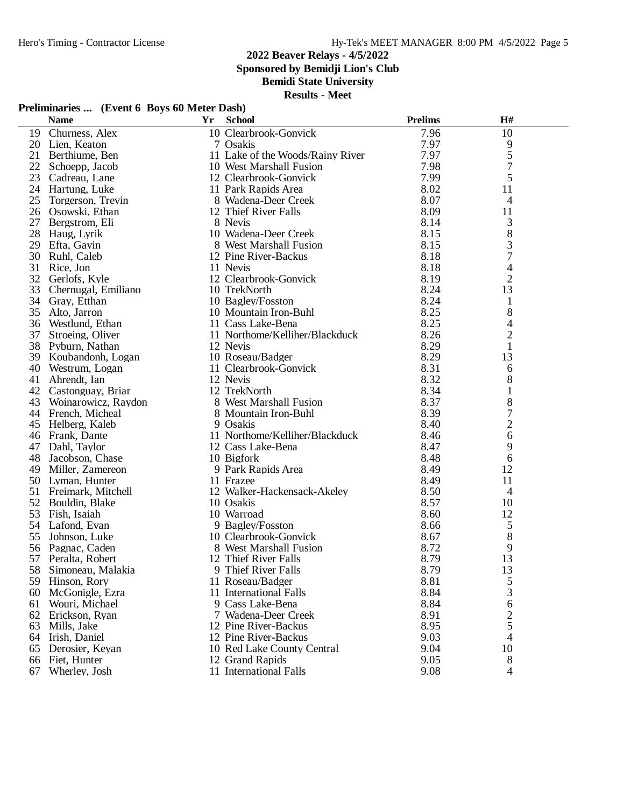**Sponsored by Bemidji Lion's Club**

**Bemidi State University**

**Results - Meet**

## **Preliminaries ... (Event 6 Boys 60 Meter Dash)**

| 10 Clearbrook-Gonvick<br>7.96<br>Churness, Alex<br>19<br>7.97<br>20<br>7 Osakis<br>Lien, Keaton<br>7.97<br>21<br>11 Lake of the Woods/Rainy River<br>Berthiume, Ben<br>22<br>7.98<br>10 West Marshall Fusion<br>Schoepp, Jacob<br>23<br>7.99<br>Cadreau, Lane<br>12 Clearbrook-Gonvick<br>24<br>8.02<br>Hartung, Luke<br>11 Park Rapids Area<br>8.07<br>25<br>Torgerson, Trevin<br>8 Wadena-Deer Creek<br>26 Osowski, Ethan<br>12 Thief River Falls<br>8.09<br>27<br>8 Nevis<br>8.14<br>Bergstrom, Eli<br>28<br>8.15<br>Haug, Lyrik<br>10 Wadena-Deer Creek<br>29<br>8.15<br>Efta, Gavin<br>8 West Marshall Fusion | 10<br>9<br>5<br>7<br>5<br>11<br>$\overline{4}$<br>11<br>3<br>$8\,$ |
|--------------------------------------------------------------------------------------------------------------------------------------------------------------------------------------------------------------------------------------------------------------------------------------------------------------------------------------------------------------------------------------------------------------------------------------------------------------------------------------------------------------------------------------------------------------------------------------------------------------------|--------------------------------------------------------------------|
|                                                                                                                                                                                                                                                                                                                                                                                                                                                                                                                                                                                                                    |                                                                    |
|                                                                                                                                                                                                                                                                                                                                                                                                                                                                                                                                                                                                                    |                                                                    |
|                                                                                                                                                                                                                                                                                                                                                                                                                                                                                                                                                                                                                    |                                                                    |
|                                                                                                                                                                                                                                                                                                                                                                                                                                                                                                                                                                                                                    |                                                                    |
|                                                                                                                                                                                                                                                                                                                                                                                                                                                                                                                                                                                                                    |                                                                    |
|                                                                                                                                                                                                                                                                                                                                                                                                                                                                                                                                                                                                                    |                                                                    |
|                                                                                                                                                                                                                                                                                                                                                                                                                                                                                                                                                                                                                    |                                                                    |
|                                                                                                                                                                                                                                                                                                                                                                                                                                                                                                                                                                                                                    |                                                                    |
|                                                                                                                                                                                                                                                                                                                                                                                                                                                                                                                                                                                                                    |                                                                    |
|                                                                                                                                                                                                                                                                                                                                                                                                                                                                                                                                                                                                                    |                                                                    |
|                                                                                                                                                                                                                                                                                                                                                                                                                                                                                                                                                                                                                    | 3                                                                  |
| 30<br>8.18<br>Ruhl, Caleb<br>12 Pine River-Backus                                                                                                                                                                                                                                                                                                                                                                                                                                                                                                                                                                  | $\overline{7}$                                                     |
| 8.18<br>31<br>11 Nevis<br>Rice, Jon                                                                                                                                                                                                                                                                                                                                                                                                                                                                                                                                                                                | 4                                                                  |
| 8.19<br>32<br>Gerlofs, Kyle<br>12 Clearbrook-Gonvick                                                                                                                                                                                                                                                                                                                                                                                                                                                                                                                                                               | $\overline{2}$                                                     |
| 8.24<br>33 Chernugal, Emiliano<br>10 TrekNorth                                                                                                                                                                                                                                                                                                                                                                                                                                                                                                                                                                     | 13                                                                 |
| 8.24<br>34 Gray, Etthan<br>10 Bagley/Fosston                                                                                                                                                                                                                                                                                                                                                                                                                                                                                                                                                                       | $\mathbf{1}$                                                       |
| 8.25<br>35<br>Alto, Jarron<br>10 Mountain Iron-Buhl                                                                                                                                                                                                                                                                                                                                                                                                                                                                                                                                                                | 8                                                                  |
| 8.25<br>36<br>Westlund, Ethan<br>11 Cass Lake-Bena                                                                                                                                                                                                                                                                                                                                                                                                                                                                                                                                                                 | 4                                                                  |
| 8.26<br>37<br>11 Northome/Kelliher/Blackduck<br>Stroeing, Oliver                                                                                                                                                                                                                                                                                                                                                                                                                                                                                                                                                   | $\overline{2}$                                                     |
| 8.29<br>38 Pyburn, Nathan<br>12 Nevis                                                                                                                                                                                                                                                                                                                                                                                                                                                                                                                                                                              | $\mathbf{1}$                                                       |
| 8.29<br>39 Koubandonh, Logan<br>10 Roseau/Badger                                                                                                                                                                                                                                                                                                                                                                                                                                                                                                                                                                   | 13                                                                 |
| 8.31<br>40<br>Westrum, Logan<br>11 Clearbrook-Gonvick                                                                                                                                                                                                                                                                                                                                                                                                                                                                                                                                                              | 6                                                                  |
| 12 Nevis<br>8.32<br>41<br>Ahrendt, Ian                                                                                                                                                                                                                                                                                                                                                                                                                                                                                                                                                                             | 8                                                                  |
| 42<br>12 TrekNorth<br>8.34<br>Castonguay, Briar                                                                                                                                                                                                                                                                                                                                                                                                                                                                                                                                                                    | 1                                                                  |
| 8.37<br>8 West Marshall Fusion<br>43<br>Woinarowicz, Raydon                                                                                                                                                                                                                                                                                                                                                                                                                                                                                                                                                        | $8\,$                                                              |
| 8.39<br>44 French, Micheal<br>8 Mountain Iron-Buhl                                                                                                                                                                                                                                                                                                                                                                                                                                                                                                                                                                 | 7                                                                  |
| 9 Osakis<br>8.40<br>45 Helberg, Kaleb                                                                                                                                                                                                                                                                                                                                                                                                                                                                                                                                                                              | $\sqrt{2}$                                                         |
| 11 Northome/Kelliher/Blackduck<br>8.46<br>46 Frank, Dante                                                                                                                                                                                                                                                                                                                                                                                                                                                                                                                                                          | 6                                                                  |
| 8.47<br>47<br>Dahl, Taylor<br>12 Cass Lake-Bena                                                                                                                                                                                                                                                                                                                                                                                                                                                                                                                                                                    | 9                                                                  |
| 48<br>8.48<br>Jacobson, Chase<br>10 Bigfork                                                                                                                                                                                                                                                                                                                                                                                                                                                                                                                                                                        | 6                                                                  |
| 8.49<br>49<br>Miller, Zamereon<br>9 Park Rapids Area                                                                                                                                                                                                                                                                                                                                                                                                                                                                                                                                                               | 12                                                                 |
| 50 Lyman, Hunter<br>8.49<br>11 Frazee                                                                                                                                                                                                                                                                                                                                                                                                                                                                                                                                                                              | 11                                                                 |
| 12 Walker-Hackensack-Akeley<br>8.50<br>51<br>Freimark, Mitchell                                                                                                                                                                                                                                                                                                                                                                                                                                                                                                                                                    | $\overline{4}$                                                     |
| 52 Bouldin, Blake<br>8.57<br>10 Osakis                                                                                                                                                                                                                                                                                                                                                                                                                                                                                                                                                                             | 10                                                                 |
| 53<br>8.60<br>Fish, Isaiah<br>10 Warroad                                                                                                                                                                                                                                                                                                                                                                                                                                                                                                                                                                           | 12                                                                 |
| 54<br>Lafond, Evan<br>9 Bagley/Fosston<br>8.66                                                                                                                                                                                                                                                                                                                                                                                                                                                                                                                                                                     | 5                                                                  |
| 55<br>8.67<br>10 Clearbrook-Gonvick<br>Johnson, Luke                                                                                                                                                                                                                                                                                                                                                                                                                                                                                                                                                               | 8                                                                  |
| 8.72<br>56<br>Pagnac, Caden<br>8 West Marshall Fusion                                                                                                                                                                                                                                                                                                                                                                                                                                                                                                                                                              | 9                                                                  |
| 8.79<br>12 Thief River Falls<br>57<br>Peralta, Robert                                                                                                                                                                                                                                                                                                                                                                                                                                                                                                                                                              | 13                                                                 |
| 58 Simoneau, Malakia<br>9 Thief River Falls<br>8.79                                                                                                                                                                                                                                                                                                                                                                                                                                                                                                                                                                | 13                                                                 |
| 11 Roseau/Badger<br>8.81<br>59<br>Hinson, Rory                                                                                                                                                                                                                                                                                                                                                                                                                                                                                                                                                                     | 5                                                                  |
| 8.84<br>60<br>McGonigle, Ezra<br>11 International Falls                                                                                                                                                                                                                                                                                                                                                                                                                                                                                                                                                            | 3                                                                  |
| 8.84<br>Wouri, Michael<br>9 Cass Lake-Bena<br>61                                                                                                                                                                                                                                                                                                                                                                                                                                                                                                                                                                   | 6                                                                  |
| 8.91<br>62<br>Erickson, Ryan<br>7 Wadena-Deer Creek                                                                                                                                                                                                                                                                                                                                                                                                                                                                                                                                                                | $\overline{c}$                                                     |
| 8.95<br>63<br>12 Pine River-Backus<br>Mills, Jake                                                                                                                                                                                                                                                                                                                                                                                                                                                                                                                                                                  | 5                                                                  |
| 9.03<br>64<br>Irish, Daniel<br>12 Pine River-Backus                                                                                                                                                                                                                                                                                                                                                                                                                                                                                                                                                                | 4                                                                  |
| 9.04<br>65<br>Derosier, Keyan<br>10 Red Lake County Central                                                                                                                                                                                                                                                                                                                                                                                                                                                                                                                                                        | 10                                                                 |
| 9.05<br>66<br>Fiet, Hunter<br>12 Grand Rapids                                                                                                                                                                                                                                                                                                                                                                                                                                                                                                                                                                      | 8                                                                  |
| Wherley, Josh<br>11 International Falls<br>9.08<br>67                                                                                                                                                                                                                                                                                                                                                                                                                                                                                                                                                              | $\overline{4}$                                                     |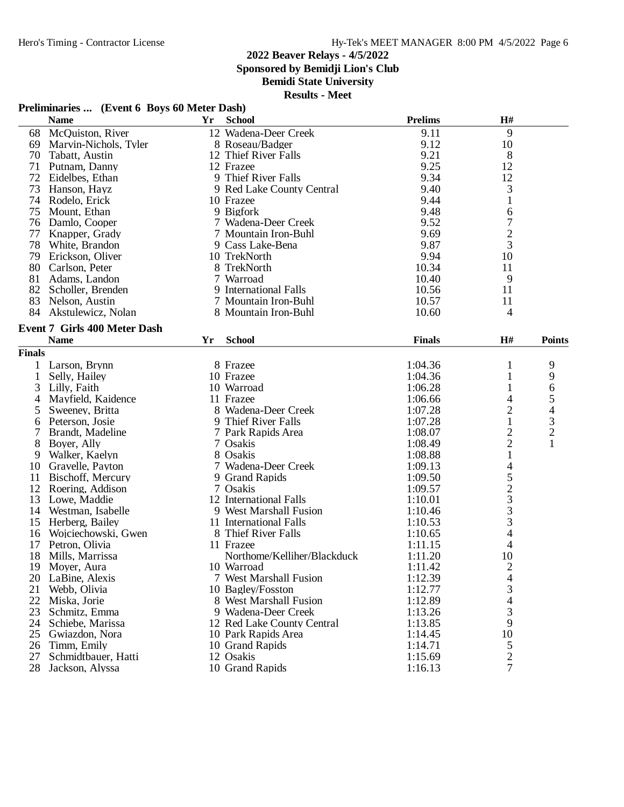**Sponsored by Bemidji Lion's Club**

**Bemidi State University**

#### **Results - Meet**

## **Preliminaries ... (Event 6 Boys 60 Meter Dash)**

|               | <b>Name</b>                         | Yr | <b>School</b>               | <b>Prelims</b> | H#                       |                         |
|---------------|-------------------------------------|----|-----------------------------|----------------|--------------------------|-------------------------|
| 68            | McQuiston, River                    |    | 12 Wadena-Deer Creek        | 9.11           | 9                        |                         |
| 69            | Marvin-Nichols, Tyler               |    | 8 Roseau/Badger             | 9.12           | 10                       |                         |
| 70            | Tabatt, Austin                      |    | 12 Thief River Falls        | 9.21           | 8                        |                         |
| 71            | Putnam, Danny                       |    | 12 Frazee                   | 9.25           | 12                       |                         |
| 72            | Eidelbes, Ethan                     |    | 9 Thief River Falls         | 9.34           | 12                       |                         |
| 73            | Hanson, Hayz                        |    | 9 Red Lake County Central   | 9.40           | 3                        |                         |
| 74            | Rodelo, Erick                       |    | 10 Frazee                   | 9.44           | $\mathbf{1}$             |                         |
| 75            | Mount, Ethan                        |    | 9 Bigfork                   | 9.48           | 6                        |                         |
|               | 76 Damlo, Cooper                    |    | 7 Wadena-Deer Creek         | 9.52           | $\tau$                   |                         |
| 77            | Knapper, Grady                      |    | 7 Mountain Iron-Buhl        | 9.69           | $\overline{c}$           |                         |
| 78            | White, Brandon                      |    | 9 Cass Lake-Bena            | 9.87           | 3                        |                         |
| 79            | Erickson, Oliver                    |    | 10 TrekNorth                | 9.94           | 10                       |                         |
|               | 80 Carlson, Peter                   |    | 8 TrekNorth                 | 10.34          | 11                       |                         |
| 81            | Adams, Landon                       |    | 7 Warroad                   | 10.40          | 9                        |                         |
|               | 82 Scholler, Brenden                |    | 9 International Falls       | 10.56          | 11                       |                         |
| 83            | Nelson, Austin                      |    | 7 Mountain Iron-Buhl        | 10.57          | 11                       |                         |
| 84            |                                     |    | 8 Mountain Iron-Buhl        | 10.60          | 4                        |                         |
|               | Akstulewicz, Nolan                  |    |                             |                |                          |                         |
|               | <b>Event 7 Girls 400 Meter Dash</b> |    |                             |                |                          |                         |
|               | <b>Name</b>                         | Yr | <b>School</b>               | <b>Finals</b>  | H#                       | <b>Points</b>           |
| <b>Finals</b> |                                     |    |                             |                |                          |                         |
|               | Larson, Brynn                       |    | 8 Frazee                    | 1:04.36        | 1                        | 9                       |
| 1             | Selly, Hailey                       |    | 10 Frazee                   | 1:04.36        | 1                        | 9                       |
| 3             | Lilly, Faith                        |    | 10 Warroad                  | 1:06.28        |                          | 6                       |
| 4             | Mayfield, Kaidence                  |    | 11 Frazee                   | 1:06.66        | 4                        | 5                       |
| 5             | Sweeney, Britta                     |    | 8 Wadena-Deer Creek         | 1:07.28        | $\overline{c}$           | 4                       |
| 6             | Peterson, Josie                     |    | 9 Thief River Falls         | 1:07.28        | $\mathbf{1}$             | 3                       |
| 7             | Brandt, Madeline                    |    | 7 Park Rapids Area          | 1:08.07        |                          | $\overline{\mathbf{c}}$ |
| 8             | Boyer, Ally                         |    | 7 Osakis                    | 1:08.49        | $\frac{2}{2}$            | $\mathbf{1}$            |
| 9             | Walker, Kaelyn                      |    | 8 Osakis                    | 1:08.88        | $\mathbf{1}$             |                         |
| 10            |                                     |    | 7 Wadena-Deer Creek         | 1:09.13        | $\overline{\mathcal{A}}$ |                         |
|               | Gravelle, Payton                    |    |                             |                |                          |                         |
| 11            | Bischoff, Mercury                   |    | 9 Grand Rapids              | 1:09.50        | 5                        |                         |
| 12            | Roering, Addison                    |    | 7 Osakis                    | 1:09.57        |                          |                         |
| 13            | Lowe, Maddie                        |    | 12 International Falls      | 1:10.01        | $\frac{2}{3}$            |                         |
| 14            | Westman, Isabelle                   |    | 9 West Marshall Fusion      | 1:10.46        |                          |                         |
| 15            | Herberg, Bailey                     |    | 11 International Falls      | 1:10.53        | 3                        |                         |
| 16            | Wojciechowski, Gwen                 |    | 8 Thief River Falls         | 1:10.65        | $\overline{4}$           |                         |
| 17            | Petron, Olivia                      |    | 11 Frazee                   | 1:11.15        | $\overline{4}$           |                         |
| 18            | Mills, Marrissa                     |    | Northome/Kelliher/Blackduck | 1:11.20        | 10                       |                         |
| 19            | Moyer, Aura                         |    | 10 Warroad                  | 1:11.42        | $\overline{2}$           |                         |
| 20            | LaBine, Alexis                      |    | 7 West Marshall Fusion      | 1:12.39        | $\overline{4}$           |                         |
| 21            | Webb, Olivia                        |    | 10 Bagley/Fosston           | 1:12.77        | 3                        |                         |
| 22            | Miska, Jorie                        |    | 8 West Marshall Fusion      | 1:12.89        | 4                        |                         |
| 23            | Schmitz, Emma                       |    | 9 Wadena-Deer Creek         | 1:13.26        | 3                        |                         |
| 24            | Schiebe, Marissa                    |    | 12 Red Lake County Central  | 1:13.85        | 9                        |                         |
| 25            | Gwiazdon, Nora                      |    | 10 Park Rapids Area         | 1:14.45        | 10                       |                         |
| 26            | Timm, Emily                         |    | 10 Grand Rapids             | 1:14.71        | 5                        |                         |
| 27            | Schmidtbauer, Hatti                 |    | 12 Osakis                   | 1:15.69        | $\mathbf{2}$             |                         |
| 28            | Jackson, Alyssa                     |    | 10 Grand Rapids             | 1:16.13        | $\overline{7}$           |                         |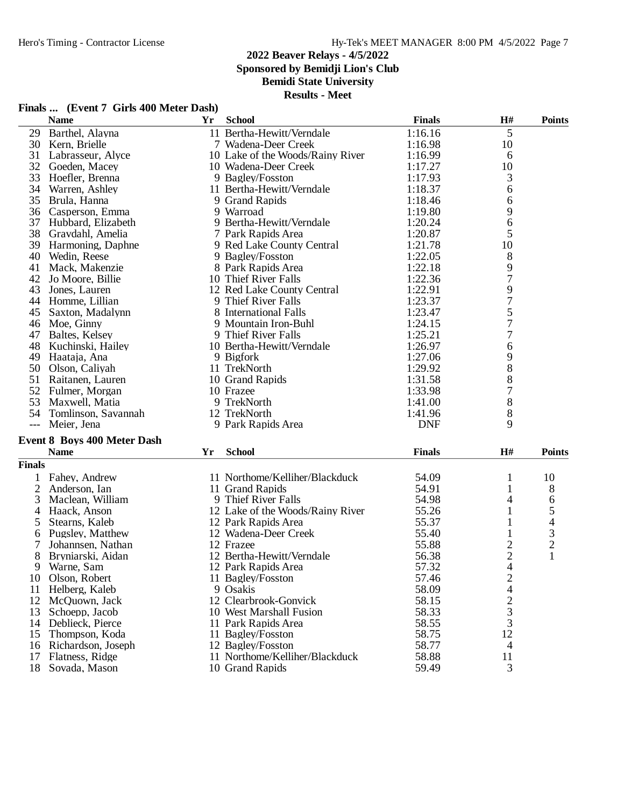# **2022 Beaver Relays - 4/5/2022 Sponsored by Bemidji Lion's Club**

# **Bemidi State University**

**Results - Meet**

|       | <b>Name</b>         | Yr | <b>School</b>                    | <b>Finals</b> | H#             | <b>Points</b> |
|-------|---------------------|----|----------------------------------|---------------|----------------|---------------|
| 29    | Barthel, Alayna     |    | 11 Bertha-Hewitt/Verndale        | 1:16.16       | 5              |               |
| 30    | Kern, Brielle       |    | 7 Wadena-Deer Creek              | 1:16.98       | 10             |               |
| 31    | Labrasseur, Alyce   |    | 10 Lake of the Woods/Rainy River | 1:16.99       | 6              |               |
| 32    | Goeden, Macey       |    | 10 Wadena-Deer Creek             | 1:17.27       | 10             |               |
| 33    | Hoefler, Brenna     |    | 9 Bagley/Fosston                 | 1:17.93       | 3              |               |
| 34    | Warren, Ashley      |    | 11 Bertha-Hewitt/Verndale        | 1:18.37       | 6              |               |
| 35    | Brula, Hanna        |    | 9 Grand Rapids                   | 1:18.46       | 6              |               |
| 36    | Casperson, Emma     |    | 9 Warroad                        | 1:19.80       | 9              |               |
| 37    | Hubbard, Elizabeth  |    | 9 Bertha-Hewitt/Verndale         | 1:20.24       | 6              |               |
| 38    | Gravdahl, Amelia    |    | 7 Park Rapids Area               | 1:20.87       | 5              |               |
| 39    | Harmoning, Daphne   |    | 9 Red Lake County Central        | 1:21.78       | 10             |               |
| 40    | Wedin, Reese        |    | 9 Bagley/Fosston                 | 1:22.05       | 8              |               |
| 41    | Mack, Makenzie      |    | 8 Park Rapids Area               | 1:22.18       | 9              |               |
| 42    | Jo Moore, Billie    |    | 10 Thief River Falls             | 1:22.36       | $\overline{7}$ |               |
| 43    | Jones, Lauren       |    | 12 Red Lake County Central       | 1:22.91       | $\frac{9}{7}$  |               |
| 44    | Homme, Lillian      |    | 9 Thief River Falls              | 1:23.37       |                |               |
| 45    | Saxton, Madalynn    |    | 8 International Falls            | 1:23.47       | 5              |               |
| 46    | Moe, Ginny          |    | 9 Mountain Iron-Buhl             | 1:24.15       | $\overline{7}$ |               |
| 47    | Baltes, Kelsey      |    | 9 Thief River Falls              | 1:25.21       | 7              |               |
| 48    | Kuchinski, Hailey   |    | 10 Bertha-Hewitt/Verndale        | 1:26.97       | 6              |               |
| 49    | Haataja, Ana        |    | 9 Bigfork                        | 1:27.06       | 9              |               |
| 50    | Olson, Caliyah      |    | 11 TrekNorth                     | 1:29.92       | 8              |               |
| 51    | Raitanen, Lauren    |    | 10 Grand Rapids                  | 1:31.58       | 8              |               |
| 52    | Fulmer, Morgan      |    | 10 Frazee                        | 1:33.98       | 7              |               |
| 53    | Maxwell, Matia      |    | 9 TrekNorth                      | 1:41.00       | 8              |               |
| 54    | Tomlinson, Savannah |    | 12 TrekNorth                     | 1:41.96       | 8              |               |
| $---$ | Meier, Jena         |    | 9 Park Rapids Area               | <b>DNF</b>    | 9              |               |

## **Event 8 Boys 400 Meter Dash**

|               | 100<br>. | . | H# |  |
|---------------|----------|---|----|--|
| <b>Finals</b> |          |   |    |  |

| шаіз |                    |                                  |       |    |    |
|------|--------------------|----------------------------------|-------|----|----|
|      | Fahey, Andrew      | 11 Northome/Kelliher/Blackduck   | 54.09 |    | 10 |
|      | Anderson, Ian      | 11 Grand Rapids                  | 54.91 |    | 8  |
|      | Maclean. William   | 9 Thief River Falls              | 54.98 | 4  | 6  |
|      | Haack, Anson       | 12 Lake of the Woods/Rainy River | 55.26 |    |    |
|      | Stearns, Kaleb     | 12 Park Rapids Area              | 55.37 |    |    |
|      | Pugsley, Matthew   | 12 Wadena-Deer Creek             | 55.40 |    | 3  |
|      | Johannsen, Nathan  | 12 Frazee                        | 55.88 |    | 2  |
| 8    | Bryniarski, Aidan  | 12 Bertha-Hewitt/Verndale        | 56.38 |    |    |
| 9    | Warne, Sam         | 12 Park Rapids Area              | 57.32 |    |    |
| 10   | Olson, Robert      | 11 Bagley/Fosston                | 57.46 |    |    |
| 11   | Helberg, Kaleb     | 9 Osakis                         | 58.09 |    |    |
| 12   | McQuown, Jack      | 12 Clearbrook-Gonvick            | 58.15 |    |    |
| 13   | Schoepp, Jacob     | 10 West Marshall Fusion          | 58.33 | 3  |    |
| 14   | Deblieck, Pierce   | 11 Park Rapids Area              | 58.55 | 3  |    |
| 15   | Thompson, Koda     | 11 Bagley/Fosston                | 58.75 | 12 |    |
| 16   | Richardson, Joseph | 12 Bagley/Fosston                | 58.77 | 4  |    |
| 17   | Flatness, Ridge    | 11 Northome/Kelliher/Blackduck   | 58.88 | 11 |    |
| 18   | Sovada, Mason      | 10 Grand Rapids                  | 59.49 | 3  |    |

### **Finals ... (Event 7 Girls 400 Meter Dash)**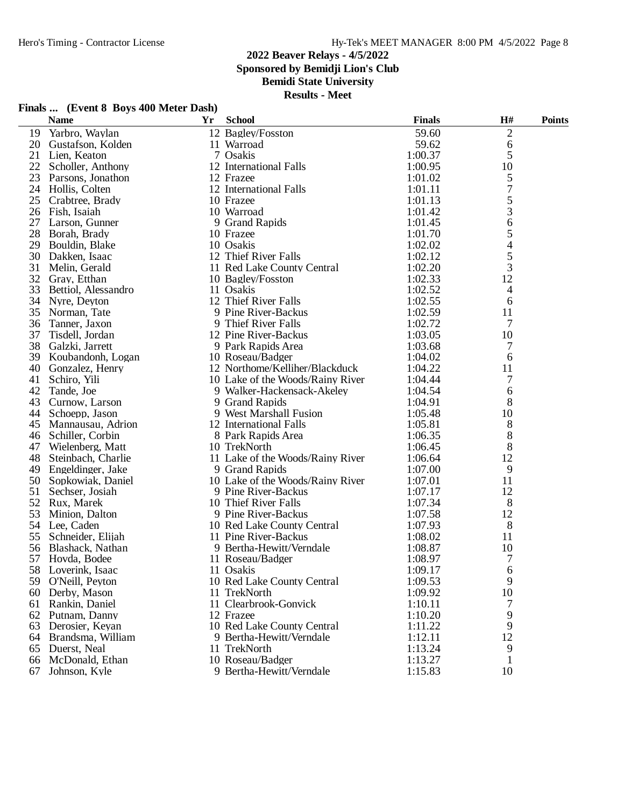**Sponsored by Bemidji Lion's Club**

**Bemidi State University**

| Finals  (Event 8 Boys 400 Meter Dash) |  |  |  |  |  |
|---------------------------------------|--|--|--|--|--|
|---------------------------------------|--|--|--|--|--|

|    | <b>Name</b>         | Yr | <b>School</b>                    | <b>Finals</b> | $\mathbf{H}$ # | <b>Points</b> |
|----|---------------------|----|----------------------------------|---------------|----------------|---------------|
| 19 | Yarbro, Waylan      |    | 12 Bagley/Fosston                | 59.60         | $\overline{2}$ |               |
| 20 | Gustafson, Kolden   |    | 11 Warroad                       | 59.62         | $\sqrt{6}$     |               |
| 21 | Lien, Keaton        |    | 7 Osakis                         | 1:00.37       | 5              |               |
| 22 | Scholler, Anthony   |    | 12 International Falls           | 1:00.95       | 10             |               |
| 23 | Parsons, Jonathon   |    | 12 Frazee                        | 1:01.02       | 5              |               |
| 24 | Hollis, Colten      |    | 12 International Falls           | 1:01.11       | $\overline{7}$ |               |
| 25 | Crabtree, Brady     |    | 10 Frazee                        | 1:01.13       | 5              |               |
| 26 | Fish, Isaiah        |    | 10 Warroad                       | 1:01.42       | 3              |               |
| 27 | Larson, Gunner      |    | 9 Grand Rapids                   | 1:01.45       | 6              |               |
| 28 | Borah, Brady        |    | 10 Frazee                        | 1:01.70       | 5              |               |
| 29 | Bouldin, Blake      |    | 10 Osakis                        | 1:02.02       | 4              |               |
| 30 | Dakken, Isaac       |    | 12 Thief River Falls             | 1:02.12       | 5              |               |
| 31 | Melin, Gerald       |    | 11 Red Lake County Central       | 1:02.20       | 3              |               |
| 32 | Gray, Etthan        |    | 10 Bagley/Fosston                | 1:02.33       | 12             |               |
| 33 | Bettiol, Alessandro |    | 11 Osakis                        | 1:02.52       | 4              |               |
| 34 | Nyre, Deyton        |    | 12 Thief River Falls             | 1:02.55       | 6              |               |
| 35 | Norman, Tate        |    | 9 Pine River-Backus              | 1:02.59       | 11             |               |
| 36 | Tanner, Jaxon       |    | 9 Thief River Falls              | 1:02.72       | 7              |               |
| 37 | Tisdell, Jordan     |    | 12 Pine River-Backus             | 1:03.05       | 10             |               |
| 38 | Galzki, Jarrett     |    | 9 Park Rapids Area               | 1:03.68       | 7              |               |
| 39 | Koubandonh, Logan   |    | 10 Roseau/Badger                 | 1:04.02       | 6              |               |
| 40 | Gonzalez, Henry     |    | 12 Northome/Kelliher/Blackduck   | 1:04.22       | 11             |               |
| 41 | Schiro, Yili        |    | 10 Lake of the Woods/Rainy River | 1:04.44       | 7              |               |
| 42 | Tande, Joe          |    | 9 Walker-Hackensack-Akeley       | 1:04.54       | 6              |               |
| 43 | Curnow, Larson      |    | 9 Grand Rapids                   | 1:04.91       | 8              |               |
| 44 | Schoepp, Jason      |    | 9 West Marshall Fusion           | 1:05.48       | 10             |               |
| 45 | Mannausau, Adrion   |    | 12 International Falls           | 1:05.81       | 8              |               |
| 46 | Schiller, Corbin    |    | 8 Park Rapids Area               | 1:06.35       | 8              |               |
| 47 | Wielenberg, Matt    |    | 10 TrekNorth                     | 1:06.45       | 8              |               |
| 48 | Steinbach, Charlie  |    | 11 Lake of the Woods/Rainy River | 1:06.64       | 12             |               |
| 49 | Engeldinger, Jake   |    | 9 Grand Rapids                   | 1:07.00       | 9              |               |
| 50 | Sopkowiak, Daniel   |    | 10 Lake of the Woods/Rainy River | 1:07.01       | 11             |               |
| 51 | Sechser, Josiah     |    | 9 Pine River-Backus              | 1:07.17       | 12             |               |
|    | 52 Rux, Marek       |    | 10 Thief River Falls             | 1:07.34       | 8              |               |
| 53 | Minion, Dalton      |    | 9 Pine River-Backus              | 1:07.58       | 12             |               |
| 54 | Lee, Caden          |    | 10 Red Lake County Central       | 1:07.93       | 8              |               |
| 55 | Schneider, Elijah   |    | 11 Pine River-Backus             | 1:08.02       | 11             |               |
| 56 | Blashack, Nathan    |    | 9 Bertha-Hewitt/Verndale         | 1:08.87       | 10             |               |
| 57 | Hovda, Bodee        |    | 11 Roseau/Badger                 | 1:08.97       | 7              |               |
|    | 58 Loverink, Isaac  |    | 11 Osakis                        | 1:09.17       | 6              |               |
|    | 59 O'Neill, Peyton  |    | 10 Red Lake County Central       | 1:09.53       | 9              |               |
| 60 | Derby, Mason        |    | 11 TrekNorth                     | 1:09.92       | 10             |               |
| 61 | Rankin, Daniel      |    | 11 Clearbrook-Gonvick            | 1:10.11       | 7              |               |
| 62 | Putnam, Danny       |    | 12 Frazee                        | 1:10.20       | 9              |               |
| 63 | Derosier, Keyan     |    | 10 Red Lake County Central       | 1:11.22       | 9              |               |
| 64 | Brandsma, William   |    | 9 Bertha-Hewitt/Verndale         | 1:12.11       | 12             |               |
| 65 | Duerst, Neal        |    | 11 TrekNorth                     | 1:13.24       | 9              |               |
| 66 | McDonald, Ethan     |    | 10 Roseau/Badger                 | 1:13.27       | 1              |               |
| 67 | Johnson, Kyle       |    | 9 Bertha-Hewitt/Verndale         | 1:15.83       | 10             |               |
|    |                     |    |                                  |               |                |               |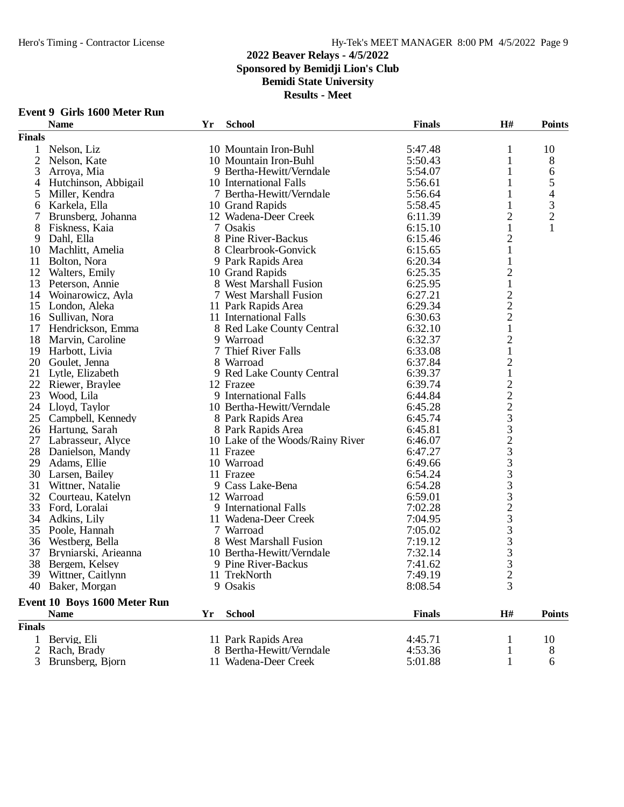# **2022 Beaver Relays - 4/5/2022 Sponsored by Bemidji Lion's Club Bemidi State University**

**Results - Meet**

|                | <b>Name</b>                  | Yr | <b>School</b>                    | <b>Finals</b> | H#                                              | <b>Points</b>  |
|----------------|------------------------------|----|----------------------------------|---------------|-------------------------------------------------|----------------|
| <b>Finals</b>  |                              |    |                                  |               |                                                 |                |
| $\mathbf{1}$   | Nelson, Liz                  |    | 10 Mountain Iron-Buhl            | 5:47.48       | 1                                               | 10             |
| 2              | Nelson, Kate                 |    | 10 Mountain Iron-Buhl            | 5:50.43       | $\mathbf{1}$                                    | 8              |
| 3              | Arroya, Mia                  |    | 9 Bertha-Hewitt/Verndale         | 5:54.07       | 1                                               | 6              |
| 4              | Hutchinson, Abbigail         |    | 10 International Falls           | 5:56.61       | 1                                               | 5              |
| 5              | Miller, Kendra               |    | 7 Bertha-Hewitt/Verndale         | 5:56.64       | 1                                               | $\overline{4}$ |
| 6              | Karkela, Ella                |    | 10 Grand Rapids                  | 5:58.45       | 1                                               | 3              |
| 7              | Brunsberg, Johanna           |    | 12 Wadena-Deer Creek             | 6:11.39       | $\overline{2}$                                  | $\overline{c}$ |
| 8              | Fiskness, Kaia               |    | 7 Osakis                         | 6:15.10       | $\mathbf{1}$                                    | 1              |
| 9              | Dahl, Ella                   |    | 8 Pine River-Backus              | 6:15.46       | $\overline{c}$                                  |                |
| 10             | Machlitt, Amelia             |    | 8 Clearbrook-Gonvick             | 6:15.65       | $\mathbf{1}$                                    |                |
| 11             | Bolton, Nora                 |    | 9 Park Rapids Area               | 6:20.34       | 1                                               |                |
| 12             | Walters, Emily               |    | 10 Grand Rapids                  | 6:25.35       | $\mathbf{2}$                                    |                |
| 13             | Peterson, Annie              |    | 8 West Marshall Fusion           | 6:25.95       | $\mathbf{1}$                                    |                |
|                | 14 Woinarowicz, Ayla         |    | 7 West Marshall Fusion           | 6:27.21       | $\overline{c}$                                  |                |
|                |                              |    |                                  | 6:29.34       | $\overline{c}$                                  |                |
|                | 15 London, Aleka             |    | 11 Park Rapids Area              | 6:30.63       |                                                 |                |
|                | 16 Sullivan, Nora            |    | 11 International Falls           |               | $\overline{c}$                                  |                |
|                | 17 Hendrickson, Emma         |    | 8 Red Lake County Central        | 6:32.10       | $\mathbf{1}$                                    |                |
|                | 18 Marvin, Caroline          |    | 9 Warroad                        | 6:32.37       | $\overline{c}$                                  |                |
| 19             | Harbott, Livia               |    | 7 Thief River Falls              | 6:33.08       | $\mathbf{1}$                                    |                |
|                | 20 Goulet, Jenna             |    | 8 Warroad                        | 6:37.84       | $\overline{2}$                                  |                |
|                | 21 Lytle, Elizabeth          |    | 9 Red Lake County Central        | 6:39.37       | $\,1$                                           |                |
|                | 22 Riewer, Braylee           |    | 12 Frazee                        | 6:39.74       | 222332333323                                    |                |
| 23             | Wood, Lila                   |    | 9 International Falls            | 6:44.84       |                                                 |                |
| 24             | Lloyd, Taylor                |    | 10 Bertha-Hewitt/Verndale        | 6:45.28       |                                                 |                |
| 25             | Campbell, Kennedy            |    | 8 Park Rapids Area               | 6:45.74       |                                                 |                |
|                | 26 Hartung, Sarah            |    | 8 Park Rapids Area               | 6:45.81       |                                                 |                |
|                | 27 Labrasseur, Alyce         |    | 10 Lake of the Woods/Rainy River | 6:46.07       |                                                 |                |
| 28             | Danielson, Mandy             |    | 11 Frazee                        | 6:47.27       |                                                 |                |
| 29             | Adams, Ellie                 |    | 10 Warroad                       | 6:49.66       |                                                 |                |
| 30             | Larsen, Bailey               |    | 11 Frazee                        | 6:54.24       |                                                 |                |
| 31             | Wittner, Natalie             |    | 9 Cass Lake-Bena                 | 6:54.28       |                                                 |                |
|                | 32 Courteau, Katelyn         |    | 12 Warroad                       | 6:59.01       |                                                 |                |
| 33             | Ford, Loralai                |    | 9 International Falls            | 7:02.28       |                                                 |                |
| 34             | Adkins, Lily                 |    | 11 Wadena-Deer Creek             | 7:04.95       |                                                 |                |
| 35             | Poole, Hannah                |    | 7 Warroad                        | 7:05.02       |                                                 |                |
| 36             | Westberg, Bella              |    | 8 West Marshall Fusion           | 7:19.12       |                                                 |                |
| 37             | Bryniarski, Arieanna         |    | 10 Bertha-Hewitt/Verndale        | 7:32.14       | $\begin{array}{c} 3 \\ 3 \\ 3 \\ 3 \end{array}$ |                |
| 38             | Bergem, Kelsey               |    | 9 Pine River-Backus              | 7:41.62       |                                                 |                |
|                | 39 Wittner, Caitlynn         |    | 11 TrekNorth                     | 7:49.19       | $\overline{c}$                                  |                |
|                | 40 Baker, Morgan             |    | 9 Osakis                         | 8:08.54       | 3                                               |                |
|                |                              |    |                                  |               |                                                 |                |
|                | Event 10 Boys 1600 Meter Run |    |                                  |               |                                                 |                |
|                | <b>Name</b>                  | Yr | <b>School</b>                    | <b>Finals</b> | H#                                              | <b>Points</b>  |
| <b>Finals</b>  |                              |    |                                  |               |                                                 |                |
| $\mathbf{1}$   | Bervig, Eli                  |    | 11 Park Rapids Area              | 4:45.71       | 1                                               | 10             |
| $\overline{2}$ | Rach, Brady                  |    | 8 Bertha-Hewitt/Verndale         | 4:53.36       | 1                                               | 8              |
|                | Brunsberg, Bjorn             |    | 11 Wadena-Deer Creek             | 5:01.88       |                                                 | 6              |

## **Event 9 Girls 1600 Meter Run**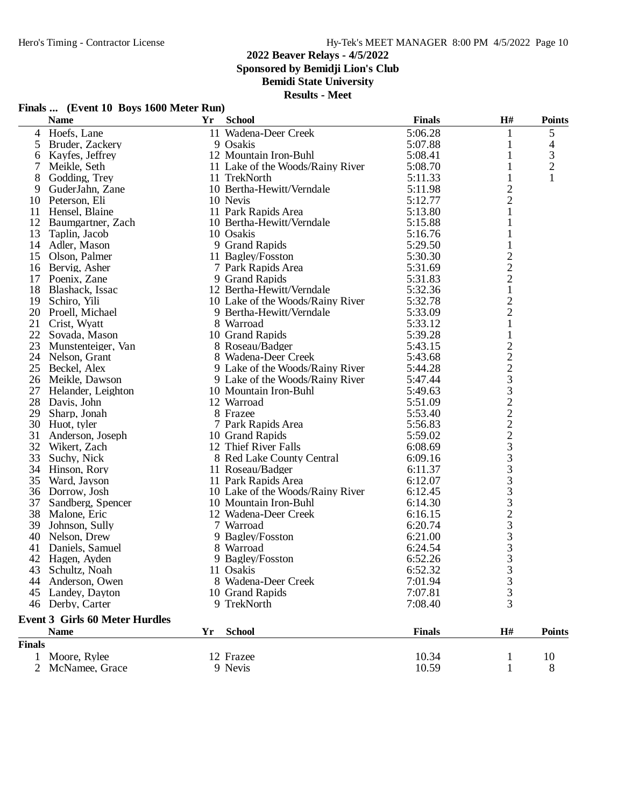**Sponsored by Bemidji Lion's Club**

**Bemidi State University**

|               | Finals  (Event 10 Boys 1600 Meter Run) |    |                                  |               |                                            |                |
|---------------|----------------------------------------|----|----------------------------------|---------------|--------------------------------------------|----------------|
|               | <b>Name</b>                            | Yr | <b>School</b>                    | <b>Finals</b> | H#                                         | <b>Points</b>  |
| 4             | Hoefs, Lane                            |    | 11 Wadena-Deer Creek             | 5:06.28       | 1                                          | 5              |
| 5             | Bruder, Zackery                        |    | 9 Osakis                         | 5:07.88       | 1                                          | 4              |
| 6             | Kayfes, Jeffrey                        |    | 12 Mountain Iron-Buhl            | 5:08.41       | $\mathbf{1}$                               | 3              |
| 7             | Meikle, Seth                           |    | 11 Lake of the Woods/Rainy River | 5:08.70       | $\mathbf{1}$                               | $\overline{c}$ |
| 8             | Godding, Trey                          |    | 11 TrekNorth                     | 5:11.33       | 1                                          |                |
| 9             | GuderJahn, Zane                        |    | 10 Bertha-Hewitt/Verndale        | 5:11.98       | $\overline{c}$                             |                |
| 10            | Peterson, Eli                          |    | 10 Nevis                         | 5:12.77       | $\overline{c}$                             |                |
| 11            | Hensel, Blaine                         |    | 11 Park Rapids Area              | 5:13.80       | $\mathbf{1}$                               |                |
| 12            | Baumgartner, Zach                      |    | 10 Bertha-Hewitt/Verndale        | 5:15.88       | 1                                          |                |
| 13            | Taplin, Jacob                          |    | 10 Osakis                        | 5:16.76       | $\mathbf{1}$                               |                |
|               | 14 Adler, Mason                        |    | 9 Grand Rapids                   | 5:29.50       | 1                                          |                |
| 15            | Olson, Palmer                          |    | 11 Bagley/Fosston                | 5:30.30       | $\overline{\mathbf{c}}$                    |                |
|               | 16 Bervig, Asher                       |    | 7 Park Rapids Area               | 5:31.69       | $\frac{2}{2}$                              |                |
| 17            | Poenix, Zane                           |    | 9 Grand Rapids                   | 5:31.83       |                                            |                |
|               | 18 Blashack, Issac                     |    | 12 Bertha-Hewitt/Verndale        | 5:32.36       | $\mathbf{1}$                               |                |
| 19            | Schiro, Yili                           |    | 10 Lake of the Woods/Rainy River | 5:32.78       | $\overline{\mathbf{c}}$                    |                |
| 20            | Proell, Michael                        |    | 9 Bertha-Hewitt/Verndale         | 5:33.09       | $\overline{c}$                             |                |
| 21            | Crist, Wyatt                           |    | 8 Warroad                        | 5:33.12       | $\mathbf{1}$                               |                |
| 22            | Sovada, Mason                          |    | 10 Grand Rapids                  | 5:39.28       | 1                                          |                |
| 23            | Munstenteiger, Van                     |    | 8 Roseau/Badger                  | 5:43.15       |                                            |                |
|               | 24 Nelson, Grant                       |    | 8 Wadena-Deer Creek              | 5:43.68       |                                            |                |
|               | 25 Beckel, Alex                        |    | 9 Lake of the Woods/Rainy River  | 5:44.28       |                                            |                |
|               | 26 Meikle, Dawson                      |    | 9 Lake of the Woods/Rainy River  | 5:47.44       |                                            |                |
|               | 27 Helander, Leighton                  |    | 10 Mountain Iron-Buhl            | 5:49.63       | 2 2 2 3 3 2 2 2 2 3 3 3 3 3 3 3 3 3        |                |
| 28            | Davis, John                            |    | 12 Warroad                       | 5:51.09       |                                            |                |
| 29            | Sharp, Jonah                           |    | 8 Frazee                         | 5:53.40       |                                            |                |
|               | 30 Huot, tyler                         |    | 7 Park Rapids Area               | 5:56.83       |                                            |                |
| 31            | Anderson, Joseph                       |    | 10 Grand Rapids                  | 5:59.02       |                                            |                |
| 32            | Wikert, Zach                           |    | 12 Thief River Falls             | 6:08.69       |                                            |                |
| 33            | Suchy, Nick                            |    | 8 Red Lake County Central        | 6:09.16       |                                            |                |
| 34            | Hinson, Rory                           |    | 11 Roseau/Badger                 | 6:11.37       |                                            |                |
| 35            | Ward, Jayson                           |    | 11 Park Rapids Area              | 6:12.07       |                                            |                |
|               | 36 Dorrow, Josh                        |    | 10 Lake of the Woods/Rainy River | 6:12.45       |                                            |                |
| 37            | Sandberg, Spencer                      |    | 10 Mountain Iron-Buhl            | 6:14.30       |                                            |                |
| 38            | Malone, Eric                           |    | 12 Wadena-Deer Creek             | 6:16.15       |                                            |                |
| 39            | Johnson, Sully                         |    | 7 Warroad                        | 6:20.74       |                                            |                |
| 40            | Nelson, Drew                           |    | 9 Bagley/Fosston                 | 6:21.00       |                                            |                |
| 41            | Daniels, Samuel                        |    | 8 Warroad                        | 6:24.54       |                                            |                |
|               | 42 Hagen, Ayden                        |    | 9 Bagley/Fosston                 | 6:52.26       | 3                                          |                |
| 43            | Schultz, Noah                          |    | 11 Osakis                        | 6:52.32       | 3                                          |                |
| 44            | Anderson, Owen                         |    | 8 Wadena-Deer Creek              | 7:01.94       |                                            |                |
| 45            | Landey, Dayton                         |    | 10 Grand Rapids                  | 7:07.81       |                                            |                |
|               | 46 Derby, Carter                       |    | 9 TrekNorth                      | 7:08.40       | $\begin{array}{c} 3 \\ 3 \\ 3 \end{array}$ |                |
|               | <b>Event 3 Girls 60 Meter Hurdles</b>  |    |                                  |               |                                            |                |
|               | <b>Name</b>                            | Yr | <b>School</b>                    | <b>Finals</b> | $\mathbf{H}$ #                             | <b>Points</b>  |
| <b>Finals</b> |                                        |    |                                  |               |                                            |                |
|               | 1 Moore, Rylee                         |    | 12 Frazee                        | 10.34         | 1                                          | 10             |
|               | 2 McNamee, Grace                       |    | 9 Nevis                          | 10.59         | 1                                          | 8              |
|               |                                        |    |                                  |               |                                            |                |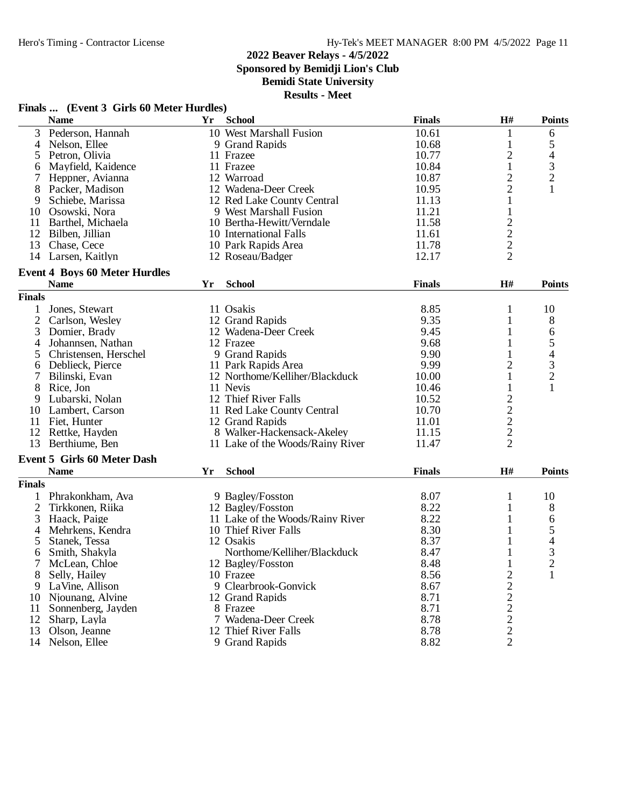**Sponsored by Bemidji Lion's Club**

## **Bemidi State University**

**Results - Meet**

## **Finals ... (Event 3 Girls 60 Meter Hurdles)**

|                | <b>Name</b>                                         | Yr | <b>School</b>                    | <b>Finals</b> | $\mathbf{H}$ #          | <b>Points</b>  |
|----------------|-----------------------------------------------------|----|----------------------------------|---------------|-------------------------|----------------|
| 3              | Pederson, Hannah                                    |    | 10 West Marshall Fusion          | 10.61         | 1                       | 6              |
| 4              | Nelson, Ellee                                       |    | 9 Grand Rapids                   | 10.68         | 1                       | 5              |
| 5              | Petron, Olivia                                      |    | 11 Frazee                        | 10.77         | $\overline{2}$          | 4              |
| 6              | Mayfield, Kaidence                                  |    | 11 Frazee                        | 10.84         | $\mathbf{1}$            | 3              |
| 7              | Heppner, Avianna                                    |    | 12 Warroad                       | 10.87         | $\overline{c}$          | $\overline{c}$ |
| 8              | Packer, Madison                                     |    | 12 Wadena-Deer Creek             | 10.95         | $\overline{2}$          | 1              |
| 9              | Schiebe, Marissa                                    |    | 12 Red Lake County Central       | 11.13         | $\mathbf{1}$            |                |
|                | 10 Osowski, Nora                                    |    | 9 West Marshall Fusion           | 11.21         | 1                       |                |
| 11             | Barthel, Michaela                                   |    | 10 Bertha-Hewitt/Verndale        | 11.58         | $\overline{c}$          |                |
|                | 12 Bilben, Jillian                                  |    | 10 International Falls           | 11.61         | $\overline{c}$          |                |
|                | 13 Chase, Cece                                      |    | 10 Park Rapids Area              | 11.78         | $\overline{c}$          |                |
|                | 14 Larsen, Kaitlyn                                  |    | 12 Roseau/Badger                 | 12.17         | $\overline{2}$          |                |
|                |                                                     |    |                                  |               |                         |                |
|                | <b>Event 4 Boys 60 Meter Hurdles</b><br><b>Name</b> | Yr | <b>School</b>                    | <b>Finals</b> | H#                      | <b>Points</b>  |
|                |                                                     |    |                                  |               |                         |                |
| <b>Finals</b>  |                                                     |    |                                  |               |                         |                |
| 1              | Jones, Stewart                                      |    | 11 Osakis                        | 8.85          | $\mathbf{1}$            | 10             |
| $\overline{2}$ | Carlson, Wesley                                     |    | 12 Grand Rapids                  | 9.35          | 1                       | 8              |
| 3              | Domier, Brady                                       |    | 12 Wadena-Deer Creek             | 9.45          | 1                       | 6              |
| $\overline{4}$ | Johannsen, Nathan                                   |    | 12 Frazee                        | 9.68          | 1                       | 5              |
| 5              | Christensen, Herschel                               |    | 9 Grand Rapids                   | 9.90          | 1                       | 4              |
| 6              | Deblieck, Pierce                                    |    | 11 Park Rapids Area              | 9.99          | $\overline{2}$          | 3              |
| $\tau$         | Bilinski, Evan                                      |    | 12 Northome/Kelliher/Blackduck   | 10.00         | 1                       | $\overline{c}$ |
| 8              | Rice, Jon                                           |    | 11 Nevis                         | 10.46         | $\mathbf{1}$            | $\mathbf{1}$   |
| 9              | Lubarski, Nolan                                     |    | 12 Thief River Falls             | 10.52         | $\overline{\mathbf{c}}$ |                |
|                | 10 Lambert, Carson                                  |    | 11 Red Lake County Central       | 10.70         | $\overline{c}$          |                |
| 11             | Fiet, Hunter                                        |    | 12 Grand Rapids                  | 11.01         | $\overline{c}$          |                |
|                | 12 Rettke, Hayden                                   |    | 8 Walker-Hackensack-Akeley       | 11.15         | $\overline{c}$          |                |
|                | 13 Berthiume, Ben                                   |    | 11 Lake of the Woods/Rainy River | 11.47         | $\overline{2}$          |                |
|                |                                                     |    |                                  |               |                         |                |
|                | <b>Event 5 Girls 60 Meter Dash</b>                  |    |                                  |               |                         |                |
|                | <b>Name</b>                                         | Yr | <b>School</b>                    | <b>Finals</b> | H#                      | <b>Points</b>  |
| <b>Finals</b>  |                                                     |    |                                  |               |                         |                |
| 1              | Phrakonkham, Ava                                    |    | 9 Bagley/Fosston                 | 8.07          | 1                       | 10             |
| $\overline{2}$ | Tirkkonen, Riika                                    |    | 12 Bagley/Fosston                | 8.22          | $\mathbf{1}$            | 8              |
| 3              | Haack, Paige                                        |    | 11 Lake of the Woods/Rainy River | 8.22          | 1                       | 6              |
| 4              | Mehrkens, Kendra                                    |    | 10 Thief River Falls             | 8.30          | 1                       | 5              |
| 5              | Stanek, Tessa                                       |    | 12 Osakis                        | 8.37          | 1                       | $\overline{4}$ |
| 6              | Smith, Shakyla                                      |    | Northome/Kelliher/Blackduck      | 8.47          | 1                       | 3              |
| 7              | McLean, Chloe                                       |    | 12 Bagley/Fosston                | 8.48          | $\mathbf{1}$            | $\overline{c}$ |
| 8              | Selly, Hailey                                       |    | 10 Frazee                        | 8.56          | $\overline{c}$          | 1              |
| 9              | LaVine, Allison                                     |    | 9 Clearbrook-Gonvick             | 8.67          |                         |                |
| 10             | Njounang, Alvine                                    |    | 12 Grand Rapids                  | 8.71          | 222222                  |                |
| 11             | Sonnenberg, Jayden                                  |    | 8 Frazee                         | 8.71          |                         |                |
| 12             | Sharp, Layla                                        |    | 7 Wadena-Deer Creek              | 8.78          |                         |                |
| 13             | Olson, Jeanne                                       |    | 12 Thief River Falls             | 8.78          |                         |                |
|                | 14 Nelson, Ellee                                    |    | 9 Grand Rapids                   | 8.82          |                         |                |
|                |                                                     |    |                                  |               |                         |                |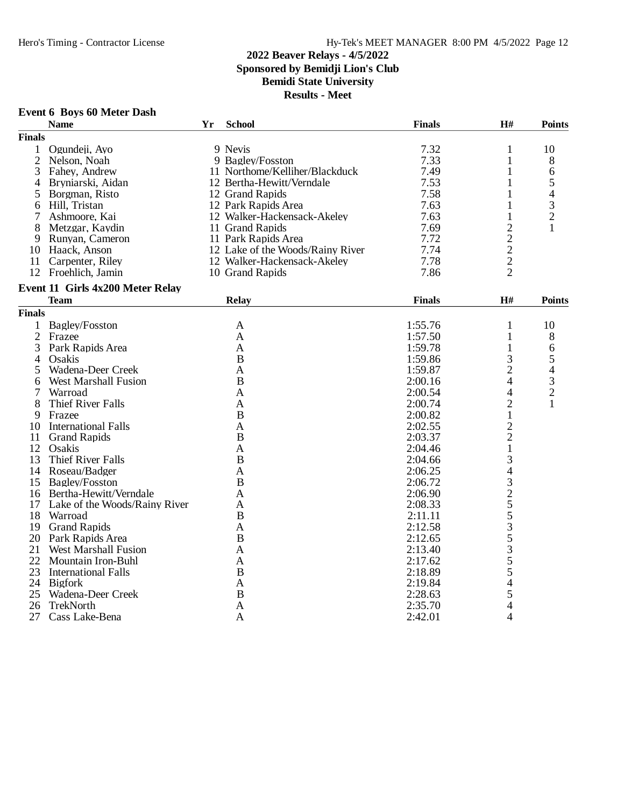**Event 6 Boys 60 Meter Dash**

#### **2022 Beaver Relays - 4/5/2022 Sponsored by Bemidji Lion's Club Bemidi State University**

**Results - Meet**

#### **Name Yr School Finals H# Points Finals** 1 Ogundeji, Ayo 9 Nevis 7.32 1 10 2 Nelson, Noah 9 Bagley/Fosston 7.33 1 8 3 Fahey, Andrew 11 Northome/Kelliher/Blackduck 7.49 1 6<br>4 Bryniarski, Aidan 12 Bertha-Hewitt/Verndale 7.53 1 5 4 Bryniarski, Aidan 12 Bertha-Hewitt/Verndale 15 7.53 1 5<br>12 Grand Rapids 12 Strand 12 Grand Rapids 7.58 1 4 5 Borgman, Risto 12 Grand Rapids 7.58 1 4<br>6 Hill, Tristan 12 Park Rapids Area 7.63 1 3 Fill, Tristan 12 Park Rapids Area 1 2 Park Rapids Area 1 3<br>
Ashmoore, Kai 1 2 Walker-Hackensack-Akeley 1.63 1 2 12 Walker-Hackensack-Akeley 1.63 1 2<br>
8 Metzgar, Kaydin 11 Grand Rapids 11 Grand Rapids 11 2<br>
9 Runyan, Cameron 11 Park Rapids Area 1.772 2 8 Metzgar, Kaydin 11 Grand Rapids 7.69<br>
9 Runyan, Cameron 11 Park Rapids Area 7.72 9 Runyan, Cameron 11 Park Rapids Area 7.72 2<br>
12 Lake of the Woods/Rainy River 7.74 2 10 Haack, Anson 12 Lake of the Woods/Rainy River 7.74 2<br>11 Carpenter, Riley 12 Walker-Hackensack-Akeley 7.78 2 12 Walker-Hackensack-Akeley 7.78 2<br>10 Grand Rapids 7.86 2 12 Froehlich, Jamin **Event 11 Girls 4x200 Meter Relay Team Relay Finals H# Points Finals** 1 Bagley/Fosston <br>
2 Frazee <br>
A 1:57.50 1 10<br>
8 2 Frazee A 1:57.50 1 8 3 Park Rapids Area A 1:59.78 1 6 4 Osakis B 1:59.86 3 5 5 Wadena-Deer Creek A 1:59.87 2 4<br>6 West Marshall Fusion B B 2:00.16 4 3 6 West Marshall Fusion B<br>
2:00.16 4 3<br>
7 Warroad A<br>
2:00.54 4 2 7 Warroad A 2:00.54 4 2 8 Thief River Falls <br>
9 Frazee <br>
B 2:00.74 2 1<br>
2 1 9 Frazee B 2:00.82 1 10 International Falls <br>
11 Grand Rapids B 32:02.55 2<br>
2:03.37 2 11 Grand Rapids B 2:03.37 2<br>12 Osakis A 2:04.46 1 12 Osakis **A** 2:04.46 1 13 Thief River Falls B<br>
14 Roseau/Badger A<br>
2:06.25 4 14 Roseau/Badger A 2:06.25 4<br>15 Bagley/Fosston B 2:06.72 3 15 Bagley/Fosston B<br>
16 Bertha-Hewitt/Verndale A<br>
2:06.90 2 16 Bertha-Hewitt/Verndale A 2:06.90 2<br>
17 Lake of the Woods/Rainy River A 2:08.33 5 17 Lake of the Woods/Rainy River A 2:08.33 5<br>
2:11.11 5 18 Warroad **B** 2:11.11 5<br>19 Grand Rapids A 2:12.58 3 19 Grand Rapids **A** 2:12.58 3<br>
20 Park Rapids Area **B** 2:12.65 5 20 Park Rapids Area B 2:12.65 5<br>
21 West Marshall Fusion A 2:13.40 3 21 West Marshall Fusion <br>
22 Mountain Iron-Buhl <br>
22 Mountain Iron-Buhl <br>
22 Mountain Iron-Buhl <br>
23 Mountain Iron-Buhl <br>
3 Mountain Iron-Buhl A 2:17.62 5<br>
International Falls B 2:18.89 5 23 International Falls B 2:18.89 5<br>24 Bigfork A 2:19.84 4 24 Bigfork **A** 2:19.84 4 25 Wadena-Deer Creek B 2:28.63 5<br>
26 TrekNorth A 2:35.70 4 26 TrekNorth A 2:35.70 4<br>27 Cass Lake-Bena A 2:42.01 4 27 Cass Lake-Bena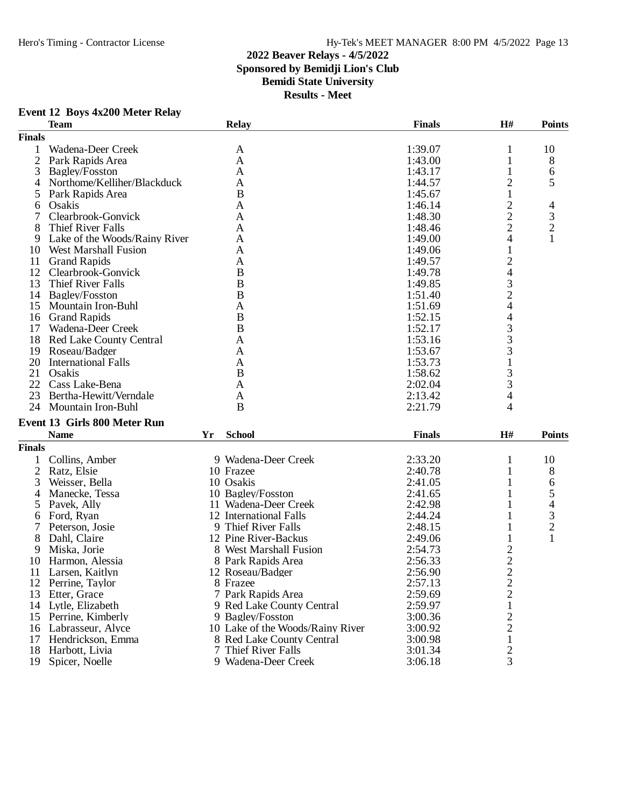### **2022 Beaver Relays - 4/5/2022 Sponsored by Bemidji Lion's Club Bemidi State University Results - Meet**

### **Event 12 Boys 4x200 Meter Relay**

|                | <b>Team</b>                    |    | <b>Relay</b>                     | <b>Finals</b> | H#                                         | <b>Points</b>                              |
|----------------|--------------------------------|----|----------------------------------|---------------|--------------------------------------------|--------------------------------------------|
| <b>Finals</b>  |                                |    |                                  |               |                                            |                                            |
| 1              | Wadena-Deer Creek              |    | A                                | 1:39.07       | 1                                          | 10                                         |
| $\overline{2}$ | Park Rapids Area               |    | A                                | 1:43.00       | 1                                          | 8                                          |
| 3              | Bagley/Fosston                 |    | A                                | 1:43.17       |                                            | 6                                          |
| 4              | Northome/Kelliher/Blackduck    |    | A                                | 1:44.57       | 2                                          | 5                                          |
| 5              | Park Rapids Area               |    | B                                | 1:45.67       | 1                                          |                                            |
| 6              | Osakis                         |    | A                                | 1:46.14       | $\overline{c}$                             | 4                                          |
| 7              | Clearbrook-Gonvick             |    | A                                | 1:48.30       |                                            |                                            |
| 8              | Thief River Falls              |    | A                                | 1:48.46       | $\frac{2}{2}$                              | $\frac{3}{2}$                              |
| 9              | Lake of the Woods/Rainy River  |    | A                                | 1:49.00       | 4                                          | $\mathbf{1}$                               |
| 10             | <b>West Marshall Fusion</b>    |    | A                                | 1:49.06       | 1                                          |                                            |
| 11             | <b>Grand Rapids</b>            |    | A                                | 1:49.57       | $\overline{c}$                             |                                            |
| 12             | Clearbrook-Gonvick             |    | $\bf{B}$                         |               | $\overline{\mathcal{A}}$                   |                                            |
|                |                                |    |                                  | 1:49.78       |                                            |                                            |
| 13             | Thief River Falls              |    | $\bf{B}$                         | 1:49.85       | $\begin{array}{c} 3 \\ 2 \\ 4 \end{array}$ |                                            |
|                | 14 Bagley/Fosston              |    | B                                | 1:51.40       |                                            |                                            |
| 15             | Mountain Iron-Buhl             |    | A                                | 1:51.69       |                                            |                                            |
| 16             | <b>Grand Rapids</b>            |    | $\mathbf B$                      | 1:52.15       | 4                                          |                                            |
| 17             | Wadena-Deer Creek              |    | B                                | 1:52.17       | 3                                          |                                            |
| 18             | <b>Red Lake County Central</b> |    | A                                | 1:53.16       | 3                                          |                                            |
| 19             | Roseau/Badger                  |    | A                                | 1:53.67       | 3                                          |                                            |
| 20             | <b>International Falls</b>     |    | A                                | 1:53.73       |                                            |                                            |
| 21             | Osakis                         |    | $\bf{B}$                         | 1:58.62       | 3                                          |                                            |
| 22             | Cass Lake-Bena                 |    | A                                | 2:02.04       | 3                                          |                                            |
| 23             | Bertha-Hewitt/Verndale         |    | A                                | 2:13.42       | 4                                          |                                            |
| 24             | Mountain Iron-Buhl             |    | B                                | 2:21.79       | 4                                          |                                            |
|                | Event 13 Girls 800 Meter Run   |    |                                  |               |                                            |                                            |
|                | <b>Name</b>                    | Yr | <b>School</b>                    | <b>Finals</b> | H#                                         | <b>Points</b>                              |
|                |                                |    |                                  |               |                                            |                                            |
| <b>Finals</b>  |                                |    |                                  |               |                                            |                                            |
| 1              | Collins, Amber                 |    | 9 Wadena-Deer Creek              | 2:33.20       | 1                                          | 10                                         |
| $\overline{2}$ | Ratz, Elsie                    |    | 10 Frazee                        | 2:40.78       | 1                                          | 8                                          |
| 3              | Weisser, Bella                 |    | 10 Osakis                        | 2:41.05       | 1                                          | 6                                          |
| 4              | Manecke, Tessa                 |    | 10 Bagley/Fosston                | 2:41.65       | 1                                          | 5                                          |
| 5              | Pavek, Ally                    |    | 11 Wadena-Deer Creek             | 2:42.98       |                                            |                                            |
| 6              | Ford, Ryan                     |    | 12 International Falls           | 2:44.24       |                                            | $\begin{array}{c} 4 \\ 3 \\ 2 \end{array}$ |
| 7              | Peterson, Josie                |    | 9 Thief River Falls              | 2:48.15       |                                            |                                            |
| 8              | Dahl, Claire                   |    | 12 Pine River-Backus             | 2:49.06       |                                            | $\mathbf{1}$                               |
| 9              | Miska, Jorie                   |    | 8 West Marshall Fusion           | 2:54.73       | $\overline{\mathbf{c}}$                    |                                            |
| 10             | Harmon, Alessia                |    | 8 Park Rapids Area               | 2:56.33       |                                            |                                            |
| 11             | Larsen, Kaitlyn                |    | 12 Roseau/Badger                 | 2:56.90       | $\frac{2}{2}$                              |                                            |
| 12             | Perrine, Taylor                |    | 8 Frazee                         | 2:57.13       | $\overline{\mathbf{c}}$                    |                                            |
| 13             | Etter, Grace                   |    | 7 Park Rapids Area               | 2:59.69       | $\overline{c}$                             |                                            |
| 14             | Lytle, Elizabeth               |    | 9 Red Lake County Central        | 2:59.97       | $\mathbf{1}$                               |                                            |
| 15             | Perrine, Kimberly              |    | 9 Bagley/Fosston                 | 3:00.36       |                                            |                                            |
| 16             | Labrasseur, Alyce              |    | 10 Lake of the Woods/Rainy River | 3:00.92       | $\frac{2}{2}$                              |                                            |
| 17             | Hendrickson, Emma              |    | 8 Red Lake County Central        | 3:00.98       | $\mathbf 1$                                |                                            |
| 18             | Harbott, Livia                 |    | 7 Thief River Falls              | 3:01.34       | $\overline{c}$                             |                                            |
| 19             | Spicer, Noelle                 |    | 9 Wadena-Deer Creek              | 3:06.18       | 3                                          |                                            |
|                |                                |    |                                  |               |                                            |                                            |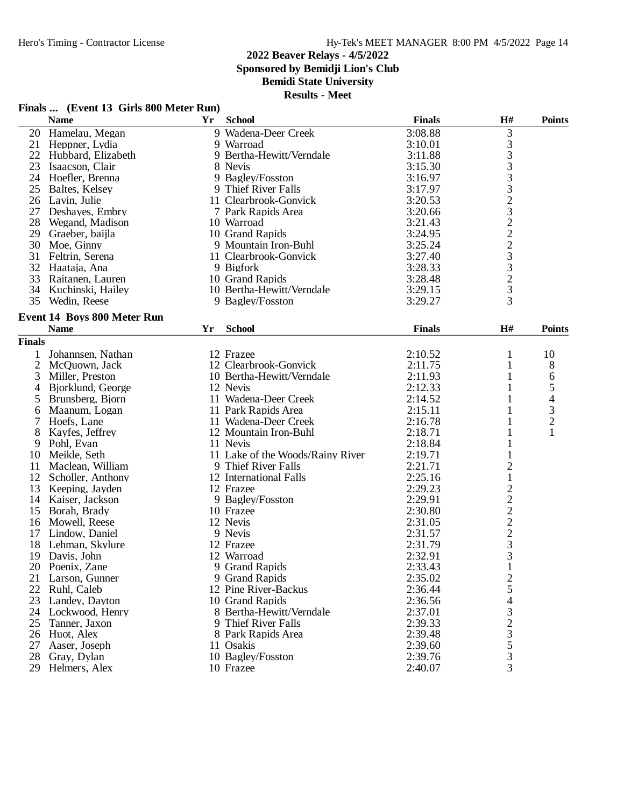**Finals ... (Event 13 Girls 800 Meter Run)**

# **2022 Beaver Relays - 4/5/2022**

**Sponsored by Bemidji Lion's Club**

# **Bemidi State University**

|               | <b>Name</b>                        | Yr | <b>School</b>                    | <b>Finals</b> | $\mathbf{H}$ #          | <b>Points</b>  |
|---------------|------------------------------------|----|----------------------------------|---------------|-------------------------|----------------|
|               | 20 Hamelau, Megan                  |    | 9 Wadena-Deer Creek              | 3:08.88       | 3                       |                |
|               | 21 Heppner, Lydia                  |    | 9 Warroad                        | 3:10.01       |                         |                |
| 22            | Hubbard, Elizabeth                 |    | 9 Bertha-Hewitt/Verndale         | 3:11.88       |                         |                |
| 23            | Isaacson, Clair                    |    | 8 Nevis                          | 3:15.30       | 33332322233233          |                |
| 24            | Hoefler, Brenna                    |    | 9 Bagley/Fosston                 | 3:16.97       |                         |                |
| 25            | Baltes, Kelsey                     |    | 9 Thief River Falls              | 3:17.97       |                         |                |
|               | 26 Lavin, Julie                    |    | 11 Clearbrook-Gonvick            | 3:20.53       |                         |                |
| 27            | Deshayes, Embry                    |    | 7 Park Rapids Area               | 3:20.66       |                         |                |
| 28            | Wegand, Madison                    |    | 10 Warroad                       | 3:21.43       |                         |                |
| 29            | Graeber, baijla                    |    | 10 Grand Rapids                  | 3:24.95       |                         |                |
| 30            | Moe, Ginny                         |    | 9 Mountain Iron-Buhl             | 3:25.24       |                         |                |
| 31            | Feltrin, Serena                    |    | 11 Clearbrook-Gonvick            | 3:27.40       |                         |                |
| 32            | Haataja, Ana                       |    | 9 Bigfork                        | 3:28.33       |                         |                |
| 33            | Raitanen, Lauren                   |    | 10 Grand Rapids                  | 3:28.48       |                         |                |
| 34            | Kuchinski, Hailey                  |    | 10 Bertha-Hewitt/Verndale        | 3:29.15       |                         |                |
| 35            | Wedin, Reese                       |    | 9 Bagley/Fosston                 | 3:29.27       |                         |                |
|               |                                    |    |                                  |               |                         |                |
|               | <b>Event 14 Boys 800 Meter Run</b> |    |                                  |               |                         |                |
|               | <b>Name</b>                        | Yr | <b>School</b>                    | <b>Finals</b> | H#                      | <b>Points</b>  |
| <b>Finals</b> |                                    |    |                                  |               |                         |                |
|               | Johannsen, Nathan                  |    | 12 Frazee                        | 2:10.52       | $\mathbf{1}$            | 10             |
| 2             | McQuown, Jack                      |    | 12 Clearbrook-Gonvick            | 2:11.75       | $\mathbf{1}$            | 8              |
| 3             | Miller, Preston                    |    | 10 Bertha-Hewitt/Verndale        | 2:11.93       | 1                       | 6              |
| 4             | Bjorklund, George                  |    | 12 Nevis                         | 2:12.33       | 1                       | 5              |
| 5             | Brunsberg, Bjorn                   |    | 11 Wadena-Deer Creek             | 2:14.52       | 1                       | $\overline{4}$ |
| 6             | Maanum, Logan                      |    | 11 Park Rapids Area              | 2:15.11       | 1                       | $\frac{3}{2}$  |
| 7             | Hoefs, Lane                        |    | 11 Wadena-Deer Creek             | 2:16.78       | 1                       |                |
| 8             | Kayfes, Jeffrey                    |    | 12 Mountain Iron-Buhl            | 2:18.71       | 1                       | $\mathbf{1}$   |
| 9             | Pohl, Evan                         |    | 11 Nevis                         | 2:18.84       | $\mathbf{1}$            |                |
| 10            | Meikle, Seth                       |    | 11 Lake of the Woods/Rainy River | 2:19.71       |                         |                |
| 11            | Maclean, William                   |    | 9 Thief River Falls              | 2:21.71       | $\overline{c}$          |                |
| 12            | Scholler, Anthony                  |    | 12 International Falls           | 2:25.16       | $\mathbf{1}$            |                |
| 13            | Keeping, Jayden                    |    | 12 Frazee                        | 2:29.23       |                         |                |
| 14            | Kaiser, Jackson                    |    | 9 Bagley/Fosston                 | 2:29.91       |                         |                |
| 15            | Borah, Brady                       |    | 10 Frazee                        | 2:30.80       |                         |                |
| 16            | Mowell, Reese                      |    | 12 Nevis                         | 2:31.05       |                         |                |
| 17            | Lindow, Daniel                     |    | 9 Nevis                          | 2:31.57       |                         |                |
| 18            | Lehman, Skylure                    |    | 12 Frazee                        | 2:31.79       | $22222$<br>$233$<br>$3$ |                |
| 19            | Davis, John                        |    | 12 Warroad                       | 2:32.91       |                         |                |
| 20            | Poenix, Zane                       |    | 9 Grand Rapids                   | 2:33.43       | $\mathbf{1}$            |                |
| 21            | Larson, Gunner                     |    | 9 Grand Rapids                   | 2:35.02       | $\overline{\mathbf{c}}$ |                |
| 22            | Ruhl, Caleb                        |    | 12 Pine River-Backus             | 2:36.44       |                         |                |
| 23            | Landey, Dayton                     |    | 10 Grand Rapids                  | 2:36.56       |                         |                |
| 24            | Lockwood, Henry                    |    | 8 Bertha-Hewitt/Verndale         | 2:37.01       |                         |                |
| 25            | Tanner, Jaxon                      |    | 9 Thief River Falls              | 2:39.33       |                         |                |
| 26            | Huot, Alex                         |    | 8 Park Rapids Area               | 2:39.48       | 54323533                |                |
| 27            | Aaser, Joseph                      |    | 11 Osakis                        | 2:39.60       |                         |                |
| 28            | Gray, Dylan                        |    | 10 Bagley/Fosston                | 2:39.76       |                         |                |
| 29            | Helmers, Alex                      |    | 10 Frazee                        | 2:40.07       |                         |                |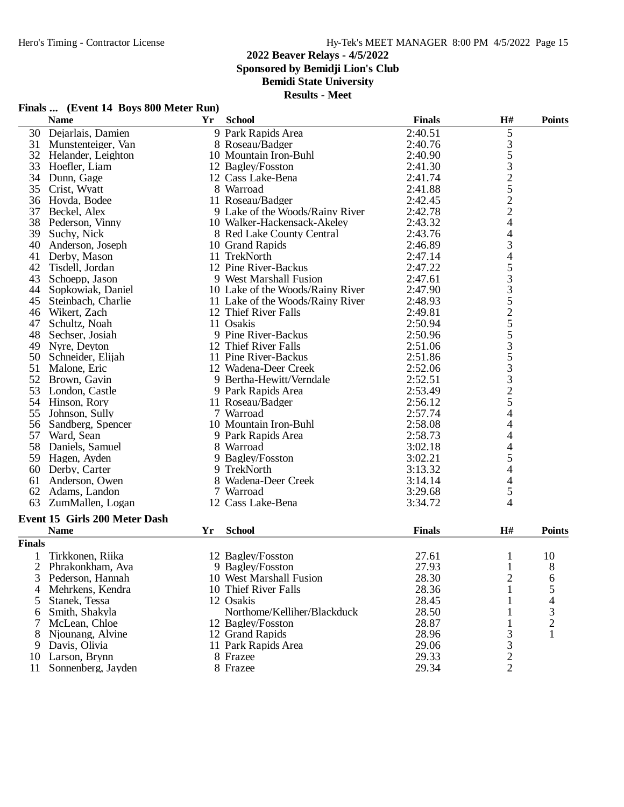**Sponsored by Bemidji Lion's Club**

**Bemidi State University**

|  | Finals  (Event 14 Boys 800 Meter Run) |  |  |  |
|--|---------------------------------------|--|--|--|
|--|---------------------------------------|--|--|--|

|               | <b>Name</b>                          | Yr | <b>School</b>                    | <b>Finals</b> | H#                       | <b>Points</b>  |
|---------------|--------------------------------------|----|----------------------------------|---------------|--------------------------|----------------|
| 30            | Dejarlais, Damien                    |    | 9 Park Rapids Area               | 2:40.51       | 5                        |                |
| 31            | Munstenteiger, Van                   |    | 8 Roseau/Badger                  | 2:40.76       |                          |                |
|               | 32 Helander, Leighton                |    | 10 Mountain Iron-Buhl            | 2:40.90       |                          |                |
| 33            | Hoefler, Liam                        |    | 12 Bagley/Fosston                | 2:41.30       | 35325224                 |                |
| 34            | Dunn, Gage                           |    | 12 Cass Lake-Bena                | 2:41.74       |                          |                |
| 35            | Crist, Wyatt                         |    | 8 Warroad                        | 2:41.88       |                          |                |
| 36            | Hovda, Bodee                         |    | 11 Roseau/Badger                 | 2:42.45       |                          |                |
| 37            | Beckel, Alex                         |    | 9 Lake of the Woods/Rainy River  | 2:42.78       |                          |                |
| 38            | Pederson, Vinny                      |    | 10 Walker-Hackensack-Akeley      | 2:43.32       |                          |                |
| 39            | Suchy, Nick                          |    | 8 Red Lake County Central        | 2:43.76       |                          |                |
| 40            | Anderson, Joseph                     |    | 10 Grand Rapids                  | 2:46.89       |                          |                |
| 41            | Derby, Mason                         |    | 11 TrekNorth                     | 2:47.14       |                          |                |
| 42            | Tisdell, Jordan                      |    | 12 Pine River-Backus             | 2:47.22       |                          |                |
| 43            | Schoepp, Jason                       |    | 9 West Marshall Fusion           | 2:47.61       |                          |                |
| 44            | Sopkowiak, Daniel                    |    | 10 Lake of the Woods/Rainy River | 2:47.90       |                          |                |
| 45            | Steinbach, Charlie                   |    | 11 Lake of the Woods/Rainy River | 2:48.93       |                          |                |
| 46            | Wikert, Zach                         |    | 12 Thief River Falls             | 2:49.81       |                          |                |
| 47            | Schultz, Noah                        |    | 11 Osakis                        | 2:50.94       |                          |                |
| 48            | Sechser, Josiah                      |    | 9 Pine River-Backus              | 2:50.96       |                          |                |
| 49            | Nyre, Deyton                         |    | 12 Thief River Falls             | 2:51.06       |                          |                |
| 50            | Schneider, Elijah                    |    | 11 Pine River-Backus             | 2:51.86       |                          |                |
| 51            | Malone, Eric                         |    | 12 Wadena-Deer Creek             | 2:52.06       |                          |                |
| 52            | Brown, Gavin                         |    | 9 Bertha-Hewitt/Verndale         | 2:52.51       |                          |                |
| 53            | London, Castle                       |    | 9 Park Rapids Area               | 2:53.49       | 434533525533325          |                |
| 54            | Hinson, Rory                         |    | 11 Roseau/Badger                 | 2:56.12       |                          |                |
| 55            | Johnson, Sully                       |    | 7 Warroad                        | 2:57.74       | $\overline{\mathcal{A}}$ |                |
| 56            | Sandberg, Spencer                    |    | 10 Mountain Iron-Buhl            | 2:58.08       | $\overline{4}$           |                |
| 57            | Ward, Sean                           |    | 9 Park Rapids Area               | 2:58.73       | 4                        |                |
| 58            | Daniels, Samuel                      |    | 8 Warroad                        | 3:02.18       | 4                        |                |
| 59            | Hagen, Ayden                         |    | 9 Bagley/Fosston                 | 3:02.21       | 5                        |                |
| 60            | Derby, Carter                        |    | 9 TrekNorth                      | 3:13.32       | $\overline{4}$           |                |
| 61            | Anderson, Owen                       |    | 8 Wadena-Deer Creek              | 3:14.14       | $\overline{4}$           |                |
| 62            | Adams, Landon                        |    | 7 Warroad                        | 3:29.68       | 5                        |                |
| 63            | ZumMallen, Logan                     |    | 12 Cass Lake-Bena                | 3:34.72       | $\overline{4}$           |                |
|               | <b>Event 15 Girls 200 Meter Dash</b> |    |                                  |               |                          |                |
|               | <b>Name</b>                          | Yr | <b>School</b>                    | <b>Finals</b> | H#                       | <b>Points</b>  |
|               |                                      |    |                                  |               |                          |                |
| <b>Finals</b> |                                      |    |                                  |               |                          |                |
|               | Tirkkonen, Riika                     |    | 12 Bagley/Fosston                | 27.61         | 1                        | 10             |
|               | 2 Phrakonkham, Ava                   |    | 9 Bagley/Fosston                 | 27.93         | $\mathbf{1}$             | 8              |
| 3             | Pederson, Hannah                     |    | 10 West Marshall Fusion          | 28.30         | $\overline{c}$           | 6              |
| 4             | Mehrkens, Kendra                     |    | 10 Thief River Falls             | 28.36         |                          | 5              |
| 5             | Stanek, Tessa                        |    | 12 Osakis                        | 28.45         |                          | 4              |
| 6             | Smith, Shakyla                       |    | Northome/Kelliher/Blackduck      | 28.50         | 1                        | 3              |
| 7             | McLean, Chloe                        |    | 12 Bagley/Fosston                | 28.87         | 1                        | $\overline{2}$ |
| 8             | Njounang, Alvine                     |    | 12 Grand Rapids                  | 28.96         | 3                        | 1              |
| 9             | Davis, Olivia                        |    | 11 Park Rapids Area              | 29.06         | $\frac{3}{2}$            |                |
| 10            | Larson, Brynn                        |    | 8 Frazee                         | 29.33         |                          |                |
| 11            | Sonnenberg, Jayden                   |    | 8 Frazee                         | 29.34         | $\overline{2}$           |                |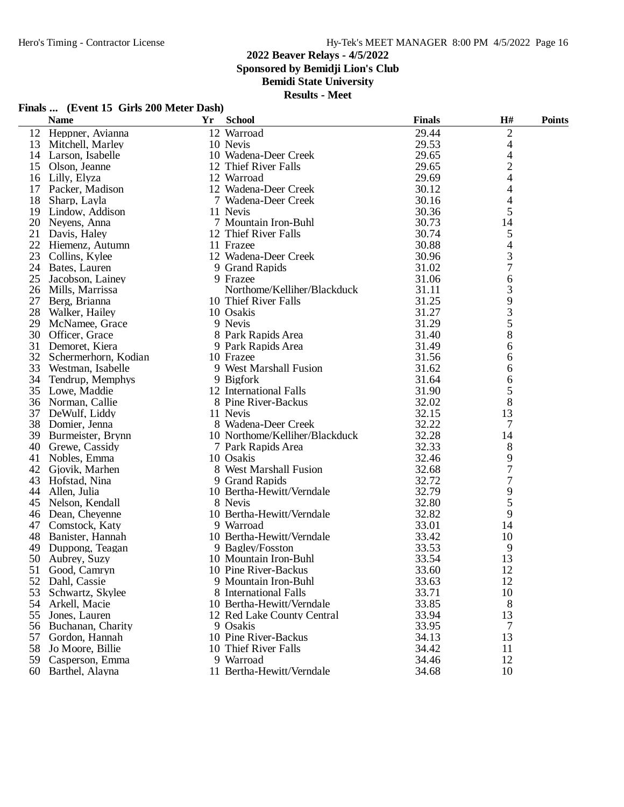**Sponsored by Bemidji Lion's Club**

**Bemidi State University**

|  | Finals  (Event 15 Girls 200 Meter Dash) |
|--|-----------------------------------------|
|--|-----------------------------------------|

| 29.44<br>$\mathfrak{2}$<br>12 Warroad<br>12<br>Heppner, Avianna<br>29.53<br>$\overline{4}$<br>10 Nevis<br>13<br>Mitchell, Marley<br>29.65<br>4<br>14<br>Larson, Isabelle<br>10 Wadena-Deer Creek<br>$\overline{c}$<br>15 Olson, Jeanne<br>12 Thief River Falls<br>29.65<br>29.69<br>4<br>Lilly, Elyza<br>12 Warroad<br>16<br>Packer, Madison<br>12 Wadena-Deer Creek<br>30.12<br>4<br>17<br>4<br>18<br>7 Wadena-Deer Creek<br>30.16<br>Sharp, Layla<br>5<br>30.36<br>19<br>Lindow, Addison<br>11 Nevis<br>30.73<br>14<br>20 Neyens, Anna<br>7 Mountain Iron-Buhl<br>21<br>30.74<br>5<br>12 Thief River Falls<br>Davis, Haley<br>22<br>30.88<br>4<br>11 Frazee<br>Hiemenz, Autumn<br>3<br>23<br>30.96<br>Collins, Kylee<br>12 Wadena-Deer Creek<br>7<br>31.02<br>24<br>Bates, Lauren<br>9 Grand Rapids<br>25<br>31.06<br>6<br>Jacobson, Lainey<br>9 Frazee<br>3<br>26<br>Northome/Kelliher/Blackduck<br>31.11<br>Mills, Marrissa<br>9<br>27<br>10 Thief River Falls<br>31.25<br>Berg, Brianna<br>3<br>28<br>31.27<br>Walker, Hailey<br>10 Osakis<br>5<br>31.29<br>29<br>9 Nevis<br>McNamee, Grace<br>8<br>30<br>8 Park Rapids Area<br>31.40<br>Officer, Grace<br>31.49<br>6<br>31<br>Demoret, Kiera<br>9 Park Rapids Area<br>32<br>31.56<br>Schermerhorn, Kodian<br>10 Frazee<br>6<br>33<br>9 West Marshall Fusion<br>31.62<br>6<br>Westman, Isabelle<br>34<br>Tendrup, Memphys<br>9 Bigfork<br>31.64<br>6<br>5<br>35 Lowe, Maddie<br>12 International Falls<br>31.90<br>8<br>32.02<br>36<br>8 Pine River-Backus<br>Norman, Callie<br>13<br>37<br>32.15<br>DeWulf, Liddy<br>11 Nevis<br>32.22 |  |
|----------------------------------------------------------------------------------------------------------------------------------------------------------------------------------------------------------------------------------------------------------------------------------------------------------------------------------------------------------------------------------------------------------------------------------------------------------------------------------------------------------------------------------------------------------------------------------------------------------------------------------------------------------------------------------------------------------------------------------------------------------------------------------------------------------------------------------------------------------------------------------------------------------------------------------------------------------------------------------------------------------------------------------------------------------------------------------------------------------------------------------------------------------------------------------------------------------------------------------------------------------------------------------------------------------------------------------------------------------------------------------------------------------------------------------------------------------------------------------------------------------------------------------------------------------------------------------------------|--|
|                                                                                                                                                                                                                                                                                                                                                                                                                                                                                                                                                                                                                                                                                                                                                                                                                                                                                                                                                                                                                                                                                                                                                                                                                                                                                                                                                                                                                                                                                                                                                                                              |  |
|                                                                                                                                                                                                                                                                                                                                                                                                                                                                                                                                                                                                                                                                                                                                                                                                                                                                                                                                                                                                                                                                                                                                                                                                                                                                                                                                                                                                                                                                                                                                                                                              |  |
|                                                                                                                                                                                                                                                                                                                                                                                                                                                                                                                                                                                                                                                                                                                                                                                                                                                                                                                                                                                                                                                                                                                                                                                                                                                                                                                                                                                                                                                                                                                                                                                              |  |
|                                                                                                                                                                                                                                                                                                                                                                                                                                                                                                                                                                                                                                                                                                                                                                                                                                                                                                                                                                                                                                                                                                                                                                                                                                                                                                                                                                                                                                                                                                                                                                                              |  |
|                                                                                                                                                                                                                                                                                                                                                                                                                                                                                                                                                                                                                                                                                                                                                                                                                                                                                                                                                                                                                                                                                                                                                                                                                                                                                                                                                                                                                                                                                                                                                                                              |  |
|                                                                                                                                                                                                                                                                                                                                                                                                                                                                                                                                                                                                                                                                                                                                                                                                                                                                                                                                                                                                                                                                                                                                                                                                                                                                                                                                                                                                                                                                                                                                                                                              |  |
|                                                                                                                                                                                                                                                                                                                                                                                                                                                                                                                                                                                                                                                                                                                                                                                                                                                                                                                                                                                                                                                                                                                                                                                                                                                                                                                                                                                                                                                                                                                                                                                              |  |
|                                                                                                                                                                                                                                                                                                                                                                                                                                                                                                                                                                                                                                                                                                                                                                                                                                                                                                                                                                                                                                                                                                                                                                                                                                                                                                                                                                                                                                                                                                                                                                                              |  |
|                                                                                                                                                                                                                                                                                                                                                                                                                                                                                                                                                                                                                                                                                                                                                                                                                                                                                                                                                                                                                                                                                                                                                                                                                                                                                                                                                                                                                                                                                                                                                                                              |  |
|                                                                                                                                                                                                                                                                                                                                                                                                                                                                                                                                                                                                                                                                                                                                                                                                                                                                                                                                                                                                                                                                                                                                                                                                                                                                                                                                                                                                                                                                                                                                                                                              |  |
|                                                                                                                                                                                                                                                                                                                                                                                                                                                                                                                                                                                                                                                                                                                                                                                                                                                                                                                                                                                                                                                                                                                                                                                                                                                                                                                                                                                                                                                                                                                                                                                              |  |
|                                                                                                                                                                                                                                                                                                                                                                                                                                                                                                                                                                                                                                                                                                                                                                                                                                                                                                                                                                                                                                                                                                                                                                                                                                                                                                                                                                                                                                                                                                                                                                                              |  |
|                                                                                                                                                                                                                                                                                                                                                                                                                                                                                                                                                                                                                                                                                                                                                                                                                                                                                                                                                                                                                                                                                                                                                                                                                                                                                                                                                                                                                                                                                                                                                                                              |  |
|                                                                                                                                                                                                                                                                                                                                                                                                                                                                                                                                                                                                                                                                                                                                                                                                                                                                                                                                                                                                                                                                                                                                                                                                                                                                                                                                                                                                                                                                                                                                                                                              |  |
|                                                                                                                                                                                                                                                                                                                                                                                                                                                                                                                                                                                                                                                                                                                                                                                                                                                                                                                                                                                                                                                                                                                                                                                                                                                                                                                                                                                                                                                                                                                                                                                              |  |
|                                                                                                                                                                                                                                                                                                                                                                                                                                                                                                                                                                                                                                                                                                                                                                                                                                                                                                                                                                                                                                                                                                                                                                                                                                                                                                                                                                                                                                                                                                                                                                                              |  |
|                                                                                                                                                                                                                                                                                                                                                                                                                                                                                                                                                                                                                                                                                                                                                                                                                                                                                                                                                                                                                                                                                                                                                                                                                                                                                                                                                                                                                                                                                                                                                                                              |  |
|                                                                                                                                                                                                                                                                                                                                                                                                                                                                                                                                                                                                                                                                                                                                                                                                                                                                                                                                                                                                                                                                                                                                                                                                                                                                                                                                                                                                                                                                                                                                                                                              |  |
|                                                                                                                                                                                                                                                                                                                                                                                                                                                                                                                                                                                                                                                                                                                                                                                                                                                                                                                                                                                                                                                                                                                                                                                                                                                                                                                                                                                                                                                                                                                                                                                              |  |
|                                                                                                                                                                                                                                                                                                                                                                                                                                                                                                                                                                                                                                                                                                                                                                                                                                                                                                                                                                                                                                                                                                                                                                                                                                                                                                                                                                                                                                                                                                                                                                                              |  |
|                                                                                                                                                                                                                                                                                                                                                                                                                                                                                                                                                                                                                                                                                                                                                                                                                                                                                                                                                                                                                                                                                                                                                                                                                                                                                                                                                                                                                                                                                                                                                                                              |  |
|                                                                                                                                                                                                                                                                                                                                                                                                                                                                                                                                                                                                                                                                                                                                                                                                                                                                                                                                                                                                                                                                                                                                                                                                                                                                                                                                                                                                                                                                                                                                                                                              |  |
|                                                                                                                                                                                                                                                                                                                                                                                                                                                                                                                                                                                                                                                                                                                                                                                                                                                                                                                                                                                                                                                                                                                                                                                                                                                                                                                                                                                                                                                                                                                                                                                              |  |
|                                                                                                                                                                                                                                                                                                                                                                                                                                                                                                                                                                                                                                                                                                                                                                                                                                                                                                                                                                                                                                                                                                                                                                                                                                                                                                                                                                                                                                                                                                                                                                                              |  |
|                                                                                                                                                                                                                                                                                                                                                                                                                                                                                                                                                                                                                                                                                                                                                                                                                                                                                                                                                                                                                                                                                                                                                                                                                                                                                                                                                                                                                                                                                                                                                                                              |  |
|                                                                                                                                                                                                                                                                                                                                                                                                                                                                                                                                                                                                                                                                                                                                                                                                                                                                                                                                                                                                                                                                                                                                                                                                                                                                                                                                                                                                                                                                                                                                                                                              |  |
|                                                                                                                                                                                                                                                                                                                                                                                                                                                                                                                                                                                                                                                                                                                                                                                                                                                                                                                                                                                                                                                                                                                                                                                                                                                                                                                                                                                                                                                                                                                                                                                              |  |
| 38 Domier, Jenna<br>8 Wadena-Deer Creek<br>7                                                                                                                                                                                                                                                                                                                                                                                                                                                                                                                                                                                                                                                                                                                                                                                                                                                                                                                                                                                                                                                                                                                                                                                                                                                                                                                                                                                                                                                                                                                                                 |  |
| 32.28<br>39 Burmeister, Brynn<br>10 Northome/Kelliher/Blackduck<br>14                                                                                                                                                                                                                                                                                                                                                                                                                                                                                                                                                                                                                                                                                                                                                                                                                                                                                                                                                                                                                                                                                                                                                                                                                                                                                                                                                                                                                                                                                                                        |  |
| 32.33<br>40 Grewe, Cassidy<br>8<br>7 Park Rapids Area                                                                                                                                                                                                                                                                                                                                                                                                                                                                                                                                                                                                                                                                                                                                                                                                                                                                                                                                                                                                                                                                                                                                                                                                                                                                                                                                                                                                                                                                                                                                        |  |
| 32.46<br>9<br>Nobles, Emma<br>10 Osakis<br>41                                                                                                                                                                                                                                                                                                                                                                                                                                                                                                                                                                                                                                                                                                                                                                                                                                                                                                                                                                                                                                                                                                                                                                                                                                                                                                                                                                                                                                                                                                                                                |  |
| 7<br>8 West Marshall Fusion<br>42<br>32.68<br>Gjovik, Marhen                                                                                                                                                                                                                                                                                                                                                                                                                                                                                                                                                                                                                                                                                                                                                                                                                                                                                                                                                                                                                                                                                                                                                                                                                                                                                                                                                                                                                                                                                                                                 |  |
| 7<br>32.72<br>43<br>Hofstad, Nina<br>9 Grand Rapids                                                                                                                                                                                                                                                                                                                                                                                                                                                                                                                                                                                                                                                                                                                                                                                                                                                                                                                                                                                                                                                                                                                                                                                                                                                                                                                                                                                                                                                                                                                                          |  |
| 9<br>32.79<br>44<br>Allen, Julia<br>10 Bertha-Hewitt/Verndale                                                                                                                                                                                                                                                                                                                                                                                                                                                                                                                                                                                                                                                                                                                                                                                                                                                                                                                                                                                                                                                                                                                                                                                                                                                                                                                                                                                                                                                                                                                                |  |
| 5<br>32.80<br>45 Nelson, Kendall<br>8 Nevis                                                                                                                                                                                                                                                                                                                                                                                                                                                                                                                                                                                                                                                                                                                                                                                                                                                                                                                                                                                                                                                                                                                                                                                                                                                                                                                                                                                                                                                                                                                                                  |  |
| 9<br>10 Bertha-Hewitt/Verndale<br>32.82<br>46 Dean, Cheyenne                                                                                                                                                                                                                                                                                                                                                                                                                                                                                                                                                                                                                                                                                                                                                                                                                                                                                                                                                                                                                                                                                                                                                                                                                                                                                                                                                                                                                                                                                                                                 |  |
| 47<br>33.01<br>Comstock, Katy<br>9 Warroad<br>14                                                                                                                                                                                                                                                                                                                                                                                                                                                                                                                                                                                                                                                                                                                                                                                                                                                                                                                                                                                                                                                                                                                                                                                                                                                                                                                                                                                                                                                                                                                                             |  |
| 10 Bertha-Hewitt/Verndale<br>48<br>33.42<br>10<br>Banister, Hannah                                                                                                                                                                                                                                                                                                                                                                                                                                                                                                                                                                                                                                                                                                                                                                                                                                                                                                                                                                                                                                                                                                                                                                                                                                                                                                                                                                                                                                                                                                                           |  |
| 33.53<br>9<br>49<br>Duppong, Teagan<br>9 Bagley/Fosston                                                                                                                                                                                                                                                                                                                                                                                                                                                                                                                                                                                                                                                                                                                                                                                                                                                                                                                                                                                                                                                                                                                                                                                                                                                                                                                                                                                                                                                                                                                                      |  |
| 33.54<br>13<br>50 Aubrey, Suzy<br>10 Mountain Iron-Buhl                                                                                                                                                                                                                                                                                                                                                                                                                                                                                                                                                                                                                                                                                                                                                                                                                                                                                                                                                                                                                                                                                                                                                                                                                                                                                                                                                                                                                                                                                                                                      |  |
| 10 Pine River-Backus<br>33.60<br>12<br>51 Good, Camryn                                                                                                                                                                                                                                                                                                                                                                                                                                                                                                                                                                                                                                                                                                                                                                                                                                                                                                                                                                                                                                                                                                                                                                                                                                                                                                                                                                                                                                                                                                                                       |  |
| 52<br>9 Mountain Iron-Buhl<br>33.63<br>12<br>Dahl, Cassie                                                                                                                                                                                                                                                                                                                                                                                                                                                                                                                                                                                                                                                                                                                                                                                                                                                                                                                                                                                                                                                                                                                                                                                                                                                                                                                                                                                                                                                                                                                                    |  |
| 33.71<br>53<br>Schwartz, Skylee<br>8 International Falls<br>10                                                                                                                                                                                                                                                                                                                                                                                                                                                                                                                                                                                                                                                                                                                                                                                                                                                                                                                                                                                                                                                                                                                                                                                                                                                                                                                                                                                                                                                                                                                               |  |
| 33.85<br>8<br>54<br>10 Bertha-Hewitt/Verndale<br>Arkell, Macie                                                                                                                                                                                                                                                                                                                                                                                                                                                                                                                                                                                                                                                                                                                                                                                                                                                                                                                                                                                                                                                                                                                                                                                                                                                                                                                                                                                                                                                                                                                               |  |
| 55<br>Jones, Lauren<br>33.94<br>13<br>12 Red Lake County Central                                                                                                                                                                                                                                                                                                                                                                                                                                                                                                                                                                                                                                                                                                                                                                                                                                                                                                                                                                                                                                                                                                                                                                                                                                                                                                                                                                                                                                                                                                                             |  |
| 33.95<br>56<br>Buchanan, Charity<br>9 Osakis<br>7                                                                                                                                                                                                                                                                                                                                                                                                                                                                                                                                                                                                                                                                                                                                                                                                                                                                                                                                                                                                                                                                                                                                                                                                                                                                                                                                                                                                                                                                                                                                            |  |
| 10 Pine River-Backus<br>34.13<br>13<br>57<br>Gordon, Hannah                                                                                                                                                                                                                                                                                                                                                                                                                                                                                                                                                                                                                                                                                                                                                                                                                                                                                                                                                                                                                                                                                                                                                                                                                                                                                                                                                                                                                                                                                                                                  |  |
| 58<br>10 Thief River Falls<br>34.42<br>Jo Moore, Billie<br>11                                                                                                                                                                                                                                                                                                                                                                                                                                                                                                                                                                                                                                                                                                                                                                                                                                                                                                                                                                                                                                                                                                                                                                                                                                                                                                                                                                                                                                                                                                                                |  |
| 59 Casperson, Emma<br>9 Warroad<br>34.46<br>12                                                                                                                                                                                                                                                                                                                                                                                                                                                                                                                                                                                                                                                                                                                                                                                                                                                                                                                                                                                                                                                                                                                                                                                                                                                                                                                                                                                                                                                                                                                                               |  |
| 11 Bertha-Hewitt/Verndale<br>10<br>60 Barthel, Alayna<br>34.68                                                                                                                                                                                                                                                                                                                                                                                                                                                                                                                                                                                                                                                                                                                                                                                                                                                                                                                                                                                                                                                                                                                                                                                                                                                                                                                                                                                                                                                                                                                               |  |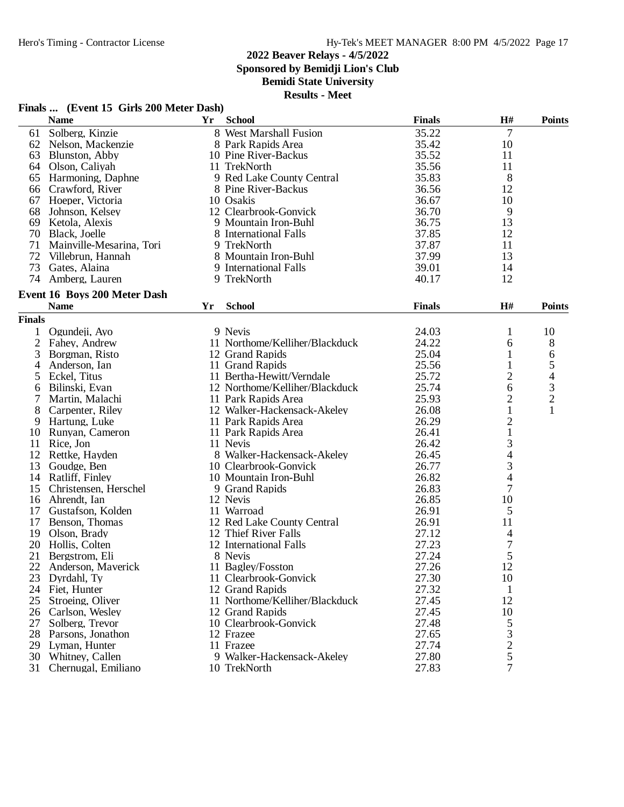**Sponsored by Bemidji Lion's Club**

# **Bemidi State University**

|  |  |  | Finals  (Event 15 Girls 200 Meter Dash) |
|--|--|--|-----------------------------------------|
|--|--|--|-----------------------------------------|

|                | <b>Name</b>                         | Yr | <b>School</b>                  | <b>Finals</b> | H#                                         | <b>Points</b>            |
|----------------|-------------------------------------|----|--------------------------------|---------------|--------------------------------------------|--------------------------|
| 61             | Solberg, Kinzie                     |    | 8 West Marshall Fusion         | 35.22         | $\overline{7}$                             |                          |
| 62             | Nelson, Mackenzie                   |    | 8 Park Rapids Area             | 35.42         | 10                                         |                          |
| 63             | Blunston, Abby                      |    | 10 Pine River-Backus           | 35.52         | 11                                         |                          |
| 64             | Olson, Caliyah                      |    | 11 TrekNorth                   | 35.56         | 11                                         |                          |
| 65             | Harmoning, Daphne                   |    | 9 Red Lake County Central      | 35.83         | 8                                          |                          |
| 66             | Crawford, River                     |    | 8 Pine River-Backus            | 36.56         | 12                                         |                          |
| 67             | Hoeper, Victoria                    |    | 10 Osakis                      | 36.67         | 10                                         |                          |
| 68             | Johnson, Kelsey                     |    | 12 Clearbrook-Gonvick          | 36.70         | 9                                          |                          |
| 69             | Ketola, Alexis                      |    | 9 Mountain Iron-Buhl           | 36.75         | 13                                         |                          |
| 70             | Black, Joelle                       |    | 8 International Falls          | 37.85         | 12                                         |                          |
| 71             | Mainville-Mesarina, Tori            |    | 9 TrekNorth                    | 37.87         | 11                                         |                          |
| 72             | Villebrun, Hannah                   |    | 8 Mountain Iron-Buhl           | 37.99         | 13                                         |                          |
| 73             | Gates, Alaina                       |    | 9 International Falls          | 39.01         | 14                                         |                          |
| 74             | Amberg, Lauren                      |    | 9 TrekNorth                    | 40.17         | 12                                         |                          |
|                |                                     |    |                                |               |                                            |                          |
|                | <b>Event 16 Boys 200 Meter Dash</b> |    |                                |               |                                            |                          |
|                | <b>Name</b>                         | Yr | <b>School</b>                  | <b>Finals</b> | H#                                         | <b>Points</b>            |
| <b>Finals</b>  |                                     |    |                                |               |                                            |                          |
| 1              | Ogundeji, Ayo                       |    | 9 Nevis                        | 24.03         | 1                                          | 10                       |
| $\overline{2}$ | Fahey, Andrew                       |    | 11 Northome/Kelliher/Blackduck | 24.22         | 6                                          | 8                        |
| 3              | Borgman, Risto                      |    | 12 Grand Rapids                | 25.04         | $\mathbf{1}$                               | 6                        |
| 4              | Anderson, Ian                       |    | 11 Grand Rapids                | 25.56         | $\mathbf{1}$                               | 5                        |
| 5              | Eckel, Titus                        |    | 11 Bertha-Hewitt/Verndale      | 25.72         | $\overline{\mathbf{c}}$                    | $\overline{\mathcal{L}}$ |
| 6              | Bilinski, Evan                      |    | 12 Northome/Kelliher/Blackduck | 25.74         | 6                                          | $\frac{3}{2}$            |
| 7              | Martin, Malachi                     |    | 11 Park Rapids Area            | 25.93         | $\overline{c}$                             |                          |
| 8              | Carpenter, Riley                    |    | 12 Walker-Hackensack-Akeley    | 26.08         | $\mathbf{1}$                               | $\mathbf{1}$             |
| 9              | Hartung, Luke                       |    | 11 Park Rapids Area            | 26.29         | $\overline{c}$                             |                          |
| 10             | Runyan, Cameron                     |    | 11 Park Rapids Area            | 26.41         | $\,1$                                      |                          |
| 11             | Rice, Jon                           |    | 11 Nevis                       | 26.42         | 3<br>4                                     |                          |
| 12             | Rettke, Hayden                      |    | 8 Walker-Hackensack-Akeley     | 26.45         |                                            |                          |
| 13             | Goudge, Ben                         |    | 10 Clearbrook-Gonvick          | 26.77         | 3                                          |                          |
| 14             | Ratliff, Finley                     |    | 10 Mountain Iron-Buhl          | 26.82         | $\overline{4}$                             |                          |
| 15             | Christensen, Herschel               |    | 9 Grand Rapids                 | 26.83         | $\overline{7}$                             |                          |
| 16             | Ahrendt, Ian                        |    | 12 Nevis                       | 26.85         | 10                                         |                          |
| 17             | Gustafson, Kolden                   |    | 11 Warroad                     | 26.91         | 5                                          |                          |
| 17             | Benson, Thomas                      |    | 12 Red Lake County Central     | 26.91         | 11                                         |                          |
| 19             | Olson, Brady                        |    | 12 Thief River Falls           | 27.12         | 4                                          |                          |
| 20             | Hollis, Colten                      |    | 12 International Falls         | 27.23         | $\overline{7}$                             |                          |
| 21             | Bergstrom, Eli                      |    | 8 Nevis                        | 27.24         | 5                                          |                          |
| 22             | Anderson, Maverick                  |    | 11 Bagley/Fosston              | 27.26         | 12                                         |                          |
| 23             | Dyrdahl, Ty                         |    | 11 Clearbrook-Gonvick          | 27.30         | 10                                         |                          |
| 24             | Fiet, Hunter                        |    | 12 Grand Rapids                | 27.32         |                                            |                          |
| 25             | Stroeing, Oliver                    |    | 11 Northome/Kelliher/Blackduck | 27.45         | 12                                         |                          |
| 26             | Carlson, Wesley                     |    | 12 Grand Rapids                | 27.45         | 10                                         |                          |
| 27             | Solberg, Trevor                     |    | 10 Clearbrook-Gonvick          | 27.48         | 5                                          |                          |
| 28             | Parsons, Jonathon                   |    | 12 Frazee                      | 27.65         | $\begin{array}{c} 3 \\ 2 \\ 5 \end{array}$ |                          |
| 29             | Lyman, Hunter                       |    | 11 Frazee                      | 27.74         |                                            |                          |
| 30             | Whitney, Callen                     |    | 9 Walker-Hackensack-Akeley     | 27.80         |                                            |                          |
| 31             | Chernugal, Emiliano                 |    | 10 TrekNorth                   | 27.83         | $\overline{7}$                             |                          |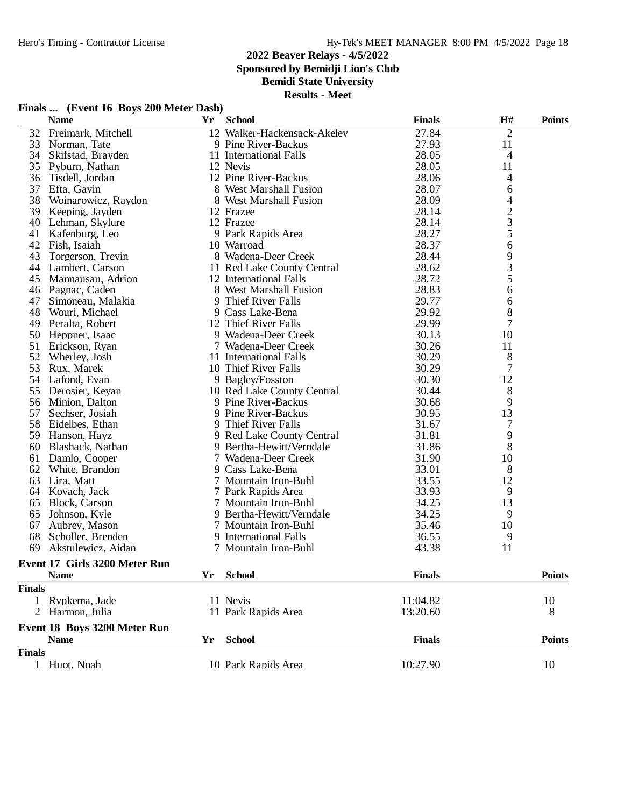68 Scholler, Brenden

# **2022 Beaver Relays - 4/5/2022**

**Sponsored by Bemidji Lion's Club**

**Bemidi State University**

**Results - Meet**

|    | <b>Name</b>         | Yr | <b>School</b>               | <b>Finals</b> | <b>H#</b>      | <b>Points</b> |
|----|---------------------|----|-----------------------------|---------------|----------------|---------------|
| 32 | Freimark, Mitchell  |    | 12 Walker-Hackensack-Akeley | 27.84         | $\overline{2}$ |               |
| 33 | Norman, Tate        |    | 9 Pine River-Backus         | 27.93         | 11             |               |
| 34 | Skifstad, Brayden   |    | 11 International Falls      | 28.05         | 4              |               |
| 35 | Pyburn, Nathan      |    | 12 Nevis                    | 28.05         | 11             |               |
| 36 | Tisdell. Jordan     |    | 12 Pine River-Backus        | 28.06         | 4              |               |
| 37 | Efta, Gavin         |    | 8 West Marshall Fusion      | 28.07         | 6              |               |
| 38 | Woinarowicz, Raydon |    | 8 West Marshall Fusion      | 28.09         | 4              |               |
| 39 | Keeping, Jayden     |    | 12 Frazee                   | 28.14         |                |               |
| 40 | Lehman, Skylure     |    | 12 Frazee                   | 28.14         | $\frac{2}{3}$  |               |
| 41 | Kafenburg, Leo      |    | 9 Park Rapids Area          | 28.27         | 5              |               |
| 42 | Fish, Isaiah        |    | 10 Warroad                  | 28.37         | 6              |               |
| 43 | Torgerson, Trevin   |    | 8 Wadena-Deer Creek         | 28.44         | 9              |               |
| 44 | Lambert, Carson     |    | 11 Red Lake County Central  | 28.62         | 3              |               |
| 45 | Mannausau, Adrion   |    | 12 International Falls      | 28.72         | 5              |               |
| 46 | Pagnac, Caden       |    | 8 West Marshall Fusion      | 28.83         | 6              |               |
| 47 | Simoneau, Malakia   |    | 9 Thief River Falls         | 29.77         | 6              |               |
| 48 | Wouri, Michael      |    | 9 Cass Lake-Bena            | 29.92         | 8              |               |
| 49 | Peralta, Robert     |    | 12 Thief River Falls        | 29.99         | 7              |               |
| 50 | Heppner, Isaac      |    | 9 Wadena-Deer Creek         | 30.13         | 10             |               |
| 51 | Erickson, Ryan      |    | 7 Wadena-Deer Creek         | 30.26         | 11             |               |
| 52 | Wherley, Josh       |    | 11 International Falls      | 30.29         | 8              |               |
| 53 | Rux, Marek          |    | 10 Thief River Falls        | 30.29         |                |               |
| 54 | Lafond, Evan        |    | 9 Bagley/Fosston            | 30.30         | 12             |               |
| 55 | Derosier, Keyan     |    | 10 Red Lake County Central  | 30.44         | 8              |               |
| 56 | Minion, Dalton      |    | 9 Pine River-Backus         | 30.68         | 9              |               |
| 57 | Sechser, Josiah     |    | 9 Pine River-Backus         | 30.95         | 13             |               |
| 58 | Eidelbes, Ethan     |    | 9 Thief River Falls         | 31.67         |                |               |
| 59 | Hanson, Hayz        |    | 9 Red Lake County Central   | 31.81         | 9              |               |

#### **Finals ... (Event 16 Boys 200 Meter Dash)**

| 69            | Akstulewicz, Aidan            |    | 7 Mountain Iron-Buhl | 43.38         | 11            |
|---------------|-------------------------------|----|----------------------|---------------|---------------|
|               | Event 17 Girls 3200 Meter Run |    |                      |               |               |
|               | <b>Name</b>                   | Υr | <b>School</b>        | <b>Finals</b> | <b>Points</b> |
| <b>Finals</b> |                               |    |                      |               |               |
|               | Rypkema, Jade                 |    | 11 Nevis             | 11:04.82      | 10            |
|               | 2 Harmon, Julia               |    | 11 Park Rapids Area  | 13:20.60      | 8             |
|               | Event 18 Boys 3200 Meter Run  |    |                      |               |               |
|               | <b>Name</b>                   | Yr | <b>School</b>        | <b>Finals</b> | <b>Points</b> |
| <b>Finals</b> |                               |    |                      |               |               |
|               | Huot, Noah                    |    | 10 Park Rapids Area  | 10:27.90      | 10            |

59 Hanson, Hayz 9 Red Lake County Central 31.81 9<br>
60 Blashack, Nathan 9 Bertha-Hewitt/Verndale 31.86 8 60 Blashack, Nathan 9 Bertha-Hewitt/Verndale 31.86 8<br>61 Damlo, Cooper 7 Wadena-Deer Creek 31.90 10

62 White, Brandon 9 Cass Lake-Bena 33.01 8<br>63 Lira, Matt 7 Mountain Iron-Buhl 33.55 12 Lira, Matt 7 Mountain Iron-Buhl 33.55 12 Kovach, Jack 7 Park Rapids Area 33.93 9 Block, Carson 7 Mountain Iron-Buhl 34.25 13 Johnson, Kyle 9 Bertha-Hewitt/Verndale 34.25 9

7 Wadena-Deer Creek 31.90 10<br>
9 Cass Lake-Bena 33.01 8

7 Mountain Iron-Buhl 35.46 10<br>
9 International Falls 36.55 9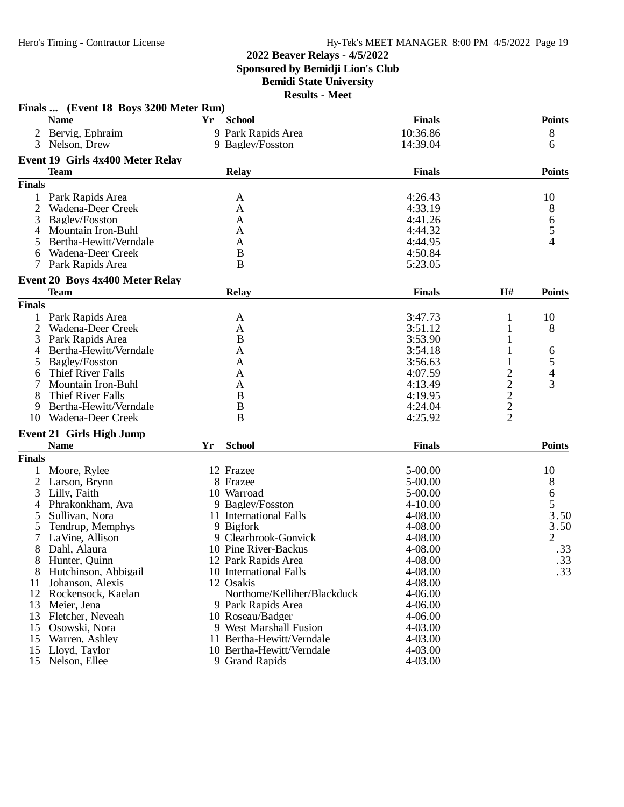# **2022 Beaver Relays - 4/5/2022 Sponsored by Bemidji Lion's Club**

**Bemidi State University Results - Meet**

|                | Finals  (Event 18 Boys 3200 Meter Run) |    |                             |               |                |               |
|----------------|----------------------------------------|----|-----------------------------|---------------|----------------|---------------|
|                | <b>Name</b>                            | Yr | <b>School</b>               | <b>Finals</b> |                | <b>Points</b> |
|                | 2 Bervig, Ephraim                      |    | 9 Park Rapids Area          | 10:36.86      |                | 8             |
| 3              | Nelson, Drew                           |    | 9 Bagley/Fosston            | 14:39.04      |                | 6             |
|                | Event 19 Girls 4x400 Meter Relay       |    |                             |               |                |               |
|                | <b>Team</b>                            |    | <b>Relay</b>                | <b>Finals</b> |                | <b>Points</b> |
| <b>Finals</b>  |                                        |    |                             |               |                |               |
| 1              | Park Rapids Area                       |    | A                           | 4:26.43       |                | 10            |
|                | Wadena-Deer Creek                      |    | $\mathbf{A}$                | 4:33.19       |                | 8             |
| 3              | Bagley/Fosston                         |    | A                           | 4:41.26       |                | 6             |
| 4              | Mountain Iron-Buhl                     |    | A                           | 4:44.32       |                | 5             |
| 5              | Bertha-Hewitt/Verndale                 |    | A                           | 4:44.95       |                | 4             |
| 6              | Wadena-Deer Creek                      |    | B                           | 4:50.84       |                |               |
| 7              | Park Rapids Area                       |    | B                           | 5:23.05       |                |               |
|                | Event 20 Boys 4x400 Meter Relay        |    |                             |               |                |               |
|                | <b>Team</b>                            |    | <b>Relay</b>                | <b>Finals</b> | H#             | <b>Points</b> |
| <b>Finals</b>  |                                        |    |                             |               |                |               |
| 1              | Park Rapids Area                       |    | A                           | 3:47.73       | 1              | 10            |
| $\overline{2}$ | Wadena-Deer Creek                      |    | A                           | 3:51.12       |                | 8             |
| 3              | Park Rapids Area                       |    | $\boldsymbol{B}$            | 3:53.90       |                |               |
| 4              | Bertha-Hewitt/Verndale                 |    | A                           | 3:54.18       |                | 6             |
| 5              | Bagley/Fosston                         |    | A                           | 3:56.63       |                | 5             |
| 6              | Thief River Falls                      |    | A                           | 4:07.59       | $\overline{c}$ | 4             |
|                | Mountain Iron-Buhl                     |    | A                           | 4:13.49       | $\overline{c}$ | 3             |
| 8              | Thief River Falls                      |    | B                           | 4:19.95       | $\frac{2}{2}$  |               |
| 9              | Bertha-Hewitt/Verndale                 |    | $\boldsymbol{B}$            | 4:24.04       |                |               |
| 10             | Wadena-Deer Creek                      |    | B                           | 4:25.92       | $\overline{2}$ |               |
|                | <b>Event 21 Girls High Jump</b>        |    |                             |               |                |               |
|                | <b>Name</b>                            | Yr | <b>School</b>               | <b>Finals</b> |                | <b>Points</b> |
| <b>Finals</b>  |                                        |    |                             |               |                |               |
|                | Moore, Rylee                           |    | 12 Frazee                   | 5-00.00       |                | 10            |
| $\overline{2}$ | Larson, Brynn                          |    | 8 Frazee                    | $5 - 00.00$   |                | 8             |
| 3              | Lilly, Faith                           |    | 10 Warroad                  | 5-00.00       |                | 6             |
| 4              | Phrakonkham, Ava                       |    | 9 Bagley/Fosston            | $4 - 10.00$   |                | 5             |
| 5              | Sullivan, Nora                         |    | 11 International Falls      | 4-08.00       |                | 3.50          |
| 5              | Tendrup, Memphys                       |    | 9 Bigfork                   | 4-08.00       |                | 3.50          |
|                | LaVine, Allison                        |    | 9 Clearbrook-Gonvick        | 4-08.00       |                | 2             |
|                | Dahl, Alaura                           |    | 10 Pine River-Backus        | 4-08.00       |                | .33           |
|                | 8 Hunter, Quinn                        |    | 12 Park Rapids Area         | 4-08.00       |                | .33           |
| 8              | Hutchinson, Abbigail                   |    | 10 International Falls      | 4-08.00       |                | .33           |
| 11             | Johanson, Alexis                       |    | 12 Osakis                   | 4-08.00       |                |               |
| 12             | Rockensock, Kaelan                     |    | Northome/Kelliher/Blackduck | 4-06.00       |                |               |
| 13             | Meier, Jena                            |    | 9 Park Rapids Area          | 4-06.00       |                |               |
| 13             | Fletcher, Neveah                       |    | 10 Roseau/Badger            | 4-06.00       |                |               |
| 15             | Osowski, Nora                          |    | 9 West Marshall Fusion      | 4-03.00       |                |               |
| 15             | Warren, Ashley                         |    | 11 Bertha-Hewitt/Verndale   | 4-03.00       |                |               |
| 15             | Lloyd, Taylor                          |    | 10 Bertha-Hewitt/Verndale   | 4-03.00       |                |               |
| 15             | Nelson, Ellee                          |    | 9 Grand Rapids              | 4-03.00       |                |               |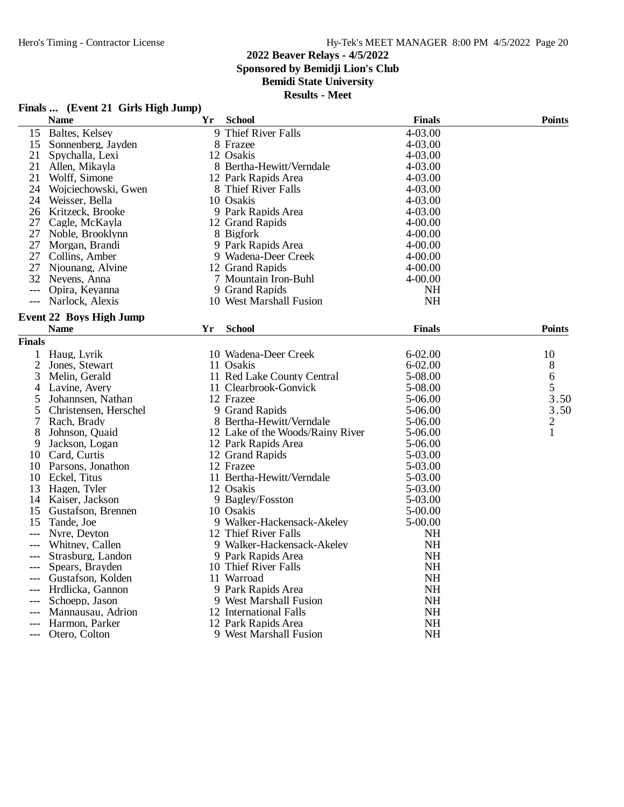**Finals ... (Event 21 Girls High Jump)**

# **2022 Beaver Relays - 4/5/2022**

**Sponsored by Bemidji Lion's Club**

# **Bemidi State University**

|                | <b>Name</b>                    | Yr | <b>School</b>                    | <b>Finals</b> | <b>Points</b>  |
|----------------|--------------------------------|----|----------------------------------|---------------|----------------|
| 15             | Baltes, Kelsey                 |    | 9 Thief River Falls              | 4-03.00       |                |
| 15             | Sonnenberg, Jayden             |    | 8 Frazee                         | 4-03.00       |                |
| 21             | Spychalla, Lexi                |    | 12 Osakis                        | 4-03.00       |                |
| 21             | Allen, Mikayla                 |    | 8 Bertha-Hewitt/Verndale         | 4-03.00       |                |
| 21             | Wolff, Simone                  |    | 12 Park Rapids Area              | 4-03.00       |                |
| 24             | Wojciechowski, Gwen            |    | 8 Thief River Falls              | 4-03.00       |                |
| 24             | Weisser, Bella                 |    | 10 Osakis                        | 4-03.00       |                |
| 26             | Kritzeck, Brooke               |    | 9 Park Rapids Area               | 4-03.00       |                |
| 27             | Cagle, McKayla                 |    | 12 Grand Rapids                  | $4 - 00.00$   |                |
| 27             | Noble, Brooklynn               |    | 8 Bigfork                        | $4 - 00.00$   |                |
| 27             | Morgan, Brandi                 |    | 9 Park Rapids Area               | $4 - 00.00$   |                |
| 27             | Collins, Amber                 |    | 9 Wadena-Deer Creek              | 4-00.00       |                |
| 27             | Njounang, Alvine               |    | 12 Grand Rapids                  | $4 - 00.00$   |                |
|                | 32 Nevens, Anna                |    | 7 Mountain Iron-Buhl             | $4 - 00.00$   |                |
| $---$          | Opira, Keyanna                 |    | 9 Grand Rapids                   | NH            |                |
| $---$          | Narlock, Alexis                |    | 10 West Marshall Fusion          | <b>NH</b>     |                |
|                | <b>Event 22 Boys High Jump</b> |    |                                  |               |                |
|                | <b>Name</b>                    | Yr | <b>School</b>                    | <b>Finals</b> | <b>Points</b>  |
| <b>Finals</b>  |                                |    |                                  |               |                |
| 1              | Haug, Lyrik                    |    | 10 Wadena-Deer Creek             | $6 - 02.00$   | 10             |
| $\overline{2}$ | Jones, Stewart                 |    | 11 Osakis                        | $6 - 02.00$   | 8              |
| 3              | Melin, Gerald                  |    | 11 Red Lake County Central       | 5-08.00       | 6              |
| 4              | Lavine, Avery                  |    | 11 Clearbrook-Gonvick            | 5-08.00       | 5              |
| 5              | Johannsen, Nathan              |    | 12 Frazee                        | 5-06.00       | 3.50           |
| 5              | Christensen, Herschel          |    | 9 Grand Rapids                   | 5-06.00       | 3.50           |
| 7              | Rach, Brady                    |    | 8 Bertha-Hewitt/Verndale         | 5-06.00       | $\overline{2}$ |
| 8              | Johnson, Quaid                 |    | 12 Lake of the Woods/Rainy River | 5-06.00       | $\mathbf{1}$   |
| 9              | Jackson, Logan                 |    | 12 Park Rapids Area              | 5-06.00       |                |
| 10             | Card, Curtis                   |    | 12 Grand Rapids                  | 5-03.00       |                |
|                | 10 Parsons, Jonathon           |    | 12 Frazee                        | 5-03.00       |                |
|                | 10 Eckel, Titus                |    | 11 Bertha-Hewitt/Verndale        | 5-03.00       |                |
| 13             | Hagen, Tyler                   |    | 12 Osakis                        | 5-03.00       |                |
| 14             | Kaiser, Jackson                |    | 9 Bagley/Fosston                 | 5-03.00       |                |
| 15             | Gustafson, Brennen             |    | 10 Osakis                        | 5-00.00       |                |
| 15             | Tande, Joe                     |    | 9 Walker-Hackensack-Akeley       | 5-00.00       |                |
| $---$          | Nyre, Deyton                   |    | 12 Thief River Falls             | NH            |                |
| $---$          | Whitney, Callen                |    | 9 Walker-Hackensack-Akeley       | <b>NH</b>     |                |
|                | Strasburg, Landon              |    | 9 Park Rapids Area               | <b>NH</b>     |                |
|                | Spears, Brayden                |    | 10 Thief River Falls             | <b>NH</b>     |                |
|                | Gustafson, Kolden              |    | 11 Warroad                       | NH            |                |
| $---$          | Hrdlicka, Gannon               |    | 9 Park Rapids Area               | <b>NH</b>     |                |
|                | Schoepp, Jason                 |    | 9 West Marshall Fusion           | NH            |                |
|                | Mannausau, Adrion              |    | 12 International Falls           | <b>NH</b>     |                |
|                | Harmon, Parker                 |    | 12 Park Rapids Area              | <b>NH</b>     |                |
|                | --- Otero, Colton              |    | 9 West Marshall Fusion           | <b>NH</b>     |                |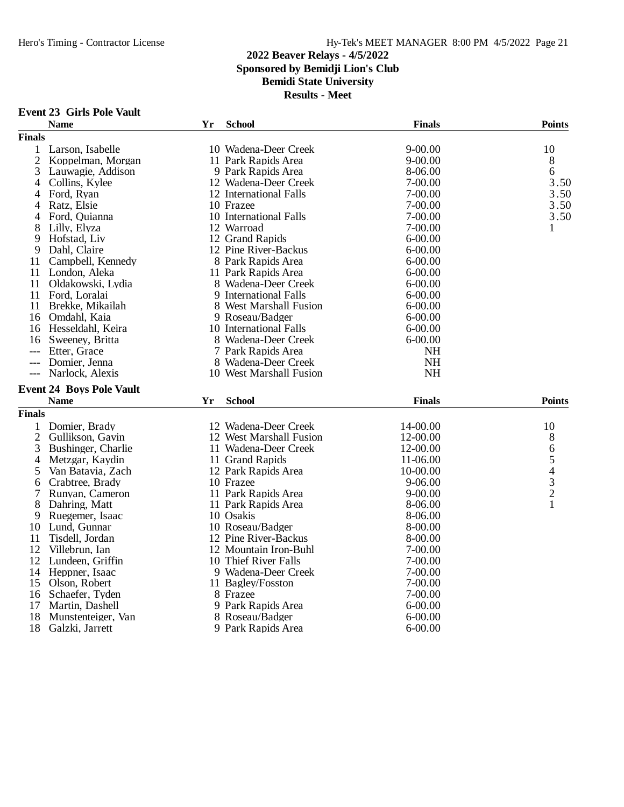# **2022 Beaver Relays - 4/5/2022 Sponsored by Bemidji Lion's Club Bemidi State University**

| Event 23 Girls Pole Vault |  |
|---------------------------|--|
|---------------------------|--|

|                | <b>Name</b>                     | Yr | <b>School</b>           | <b>Finals</b> | <b>Points</b> |
|----------------|---------------------------------|----|-------------------------|---------------|---------------|
| <b>Finals</b>  |                                 |    |                         |               |               |
| 1              | Larson, Isabelle                |    | 10 Wadena-Deer Creek    | $9 - 00.00$   | 10            |
| $\overline{2}$ | Koppelman, Morgan               |    | 11 Park Rapids Area     | $9 - 00.00$   | 8             |
| 3              | Lauwagie, Addison               |    | 9 Park Rapids Area      | 8-06.00       | 6             |
| 4              | Collins, Kylee                  |    | 12 Wadena-Deer Creek    | 7-00.00       | 3.50          |
| 4              | Ford, Ryan                      |    | 12 International Falls  | 7-00.00       | 3.50          |
| 4              | Ratz, Elsie                     |    | 10 Frazee               | $7 - 00.00$   | 3.50          |
| 4              | Ford, Quianna                   |    | 10 International Falls  | 7-00.00       | 3.50          |
| 8              | Lilly, Elyza                    |    | 12 Warroad              | 7-00.00       | $\mathbf{1}$  |
| 9              | Hofstad, Liv                    |    | 12 Grand Rapids         | $6 - 00.00$   |               |
| 9              | Dahl, Claire                    |    | 12 Pine River-Backus    | $6 - 00.00$   |               |
| 11             | Campbell, Kennedy               |    | 8 Park Rapids Area      | $6 - 00.00$   |               |
| 11             | London, Aleka                   |    | 11 Park Rapids Area     | $6 - 00.00$   |               |
| 11             | Oldakowski, Lydia               |    | 8 Wadena-Deer Creek     | $6 - 00.00$   |               |
| 11             | Ford, Loralai                   |    | 9 International Falls   | $6 - 00.00$   |               |
| 11             | Brekke, Mikailah                |    | 8 West Marshall Fusion  | $6 - 00.00$   |               |
| 16             | Omdahl, Kaia                    |    | 9 Roseau/Badger         | $6 - 00.00$   |               |
| 16             | Hesseldahl, Keira               |    | 10 International Falls  | $6 - 00.00$   |               |
| 16             | Sweeney, Britta                 |    | 8 Wadena-Deer Creek     | $6 - 00.00$   |               |
| $---$          | Etter, Grace                    |    | 7 Park Rapids Area      | <b>NH</b>     |               |
| $---$          | Domier, Jenna                   |    | 8 Wadena-Deer Creek     | <b>NH</b>     |               |
|                | Narlock, Alexis                 |    | 10 West Marshall Fusion | <b>NH</b>     |               |
|                | <b>Event 24 Boys Pole Vault</b> |    |                         |               |               |
|                | <b>Name</b>                     | Yr | <b>School</b>           | <b>Finals</b> | <b>Points</b> |
| <b>Finals</b>  |                                 |    |                         |               |               |
| 1              | Domier, Brady                   |    | 12 Wadena-Deer Creek    | 14-00.00      | 10            |
| $\overline{2}$ | Gullikson, Gavin                |    | 12 West Marshall Fusion | 12-00.00      |               |
| 3              | Bushinger, Charlie              |    | 11 Wadena-Deer Creek    | 12-00.00      | 8             |
| 4              | Metzgar, Kaydin                 |    | 11 Grand Rapids         | 11-06.00      | 65432         |
| 5              | Van Batavia, Zach               |    | 12 Park Rapids Area     | 10-00.00      |               |
| 6              | Crabtree, Brady                 |    | 10 Frazee               | 9-06.00       |               |
| 7              | Runyan, Cameron                 |    | 11 Park Rapids Area     | $9 - 00.00$   |               |
| 8              | Dahring, Matt                   |    | 11 Park Rapids Area     | 8-06.00       | $\mathbf{1}$  |
| 9              | Ruegemer, Isaac                 |    | 10 Osakis               | 8-06.00       |               |
| 10             | Lund, Gunnar                    |    | 10 Roseau/Badger        | 8-00.00       |               |
| 11             | Tisdell, Jordan                 |    | 12 Pine River-Backus    | 8-00.00       |               |
| 12             | Villebrun, Ian                  |    | 12 Mountain Iron-Buhl   | 7-00.00       |               |
| 12             | Lundeen, Griffin                |    | 10 Thief River Falls    | $7 - 00.00$   |               |
| 14             | Heppner, Isaac                  |    | 9 Wadena-Deer Creek     | $7 - 00.00$   |               |
| 15             | Olson, Robert                   |    | 11 Bagley/Fosston       | 7-00.00       |               |
| 16             | Schaefer, Tyden                 |    | 8 Frazee                | $7 - 00.00$   |               |
| 17             | Martin, Dashell                 |    | 9 Park Rapids Area      | $6 - 00.00$   |               |
| 18             | Munstenteiger, Van              |    | 8 Roseau/Badger         | $6 - 00.00$   |               |
| 18             | Galzki, Jarrett                 |    | 9 Park Rapids Area      | $6 - 00.00$   |               |
|                |                                 |    |                         |               |               |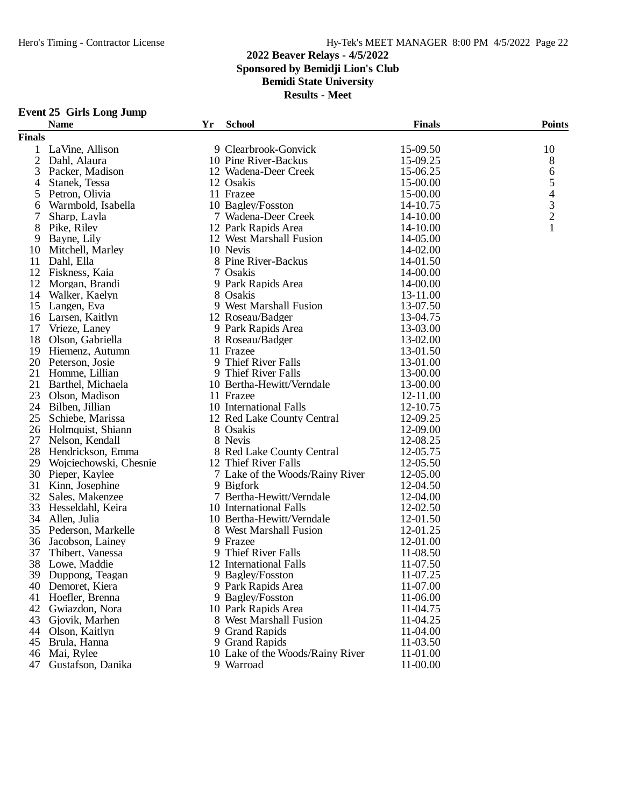### **2022 Beaver Relays - 4/5/2022 Sponsored by Bemidji Lion's Club Bemidi State University Results - Meet**

#### **Event 25 Girls Long Jump**

|                | <b>Name</b>            | Yr | <b>School</b>                    | <b>Finals</b> | <b>Points</b>            |
|----------------|------------------------|----|----------------------------------|---------------|--------------------------|
| <b>Finals</b>  |                        |    |                                  |               |                          |
|                | LaVine, Allison        |    | 9 Clearbrook-Gonvick             | 15-09.50      | 10                       |
| $\overline{2}$ | Dahl, Alaura           |    | 10 Pine River-Backus             | 15-09.25      | $8\,$                    |
| 3              | Packer, Madison        |    | 12 Wadena-Deer Creek             | 15-06.25      | 6                        |
| 4              | Stanek, Tessa          |    | 12 Osakis                        | 15-00.00      | 5                        |
| 5              | Petron, Olivia         |    | 11 Frazee                        | 15-00.00      | $\overline{\mathcal{A}}$ |
| 6              | Warmbold, Isabella     |    | 10 Bagley/Fosston                | 14-10.75      |                          |
|                | Sharp, Layla           |    | 7 Wadena-Deer Creek              | 14-10.00      | $\frac{3}{2}$            |
| 8              | Pike, Riley            |    | 12 Park Rapids Area              | 14-10.00      | $\mathbf{1}$             |
| 9              | Bayne, Lily            |    | 12 West Marshall Fusion          | 14-05.00      |                          |
| 10             | Mitchell, Marley       |    | 10 Nevis                         | 14-02.00      |                          |
| 11             | Dahl, Ella             |    | 8 Pine River-Backus              | 14-01.50      |                          |
| 12             | Fiskness, Kaia         |    | 7 Osakis                         | 14-00.00      |                          |
| 12             | Morgan, Brandi         |    | 9 Park Rapids Area               | 14-00.00      |                          |
| 14             | Walker, Kaelyn         |    | 8 Osakis                         | 13-11.00      |                          |
| 15             | Langen, Eva            |    | 9 West Marshall Fusion           | 13-07.50      |                          |
|                | 16 Larsen, Kaitlyn     |    | 12 Roseau/Badger                 | 13-04.75      |                          |
| 17             | Vrieze, Laney          |    | 9 Park Rapids Area               | 13-03.00      |                          |
| 18             | Olson, Gabriella       |    | 8 Roseau/Badger                  | 13-02.00      |                          |
| 19             | Hiemenz, Autumn        |    | 11 Frazee                        | 13-01.50      |                          |
|                | 20 Peterson, Josie     |    | 9 Thief River Falls              | 13-01.00      |                          |
|                | 21 Homme, Lillian      |    | 9 Thief River Falls              | 13-00.00      |                          |
|                | 21 Barthel, Michaela   |    | 10 Bertha-Hewitt/Verndale        | 13-00.00      |                          |
| 23             | Olson, Madison         |    | 11 Frazee                        | 12-11.00      |                          |
|                | 24 Bilben, Jillian     |    | 10 International Falls           | 12-10.75      |                          |
| 25             | Schiebe, Marissa       |    | 12 Red Lake County Central       | 12-09.25      |                          |
| 26             | Holmquist, Shiann      |    | 8 Osakis                         | 12-09.00      |                          |
| 27             | Nelson, Kendall        |    | 8 Nevis                          | 12-08.25      |                          |
| 28             | Hendrickson, Emma      |    | 8 Red Lake County Central        | 12-05.75      |                          |
| 29             | Wojciechowski, Chesnie |    | 12 Thief River Falls             | 12-05.50      |                          |
| 30             | Pieper, Kaylee         |    | 7 Lake of the Woods/Rainy River  | 12-05.00      |                          |
| 31             | Kinn, Josephine        |    | 9 Bigfork                        | 12-04.50      |                          |
| 32             | Sales, Makenzee        |    | 7 Bertha-Hewitt/Verndale         | 12-04.00      |                          |
| 33             | Hesseldahl, Keira      |    | 10 International Falls           | 12-02.50      |                          |
| 34             | Allen, Julia           |    | 10 Bertha-Hewitt/Verndale        | 12-01.50      |                          |
| 35             | Pederson, Markelle     |    | 8 West Marshall Fusion           | 12-01.25      |                          |
| 36             | Jacobson, Lainey       |    | 9 Frazee                         | 12-01.00      |                          |
| 37             | Thibert, Vanessa       |    | 9 Thief River Falls              | 11-08.50      |                          |
| 38             | Lowe, Maddie           |    | 12 International Falls           | 11-07.50      |                          |
|                | 39 Duppong, Teagan     |    | 9 Bagley/Fosston                 | 11-07.25      |                          |
| 40             | Demoret, Kiera         |    | 9 Park Rapids Area               | 11-07.00      |                          |
| 41             | Hoefler, Brenna        |    | 9 Bagley/Fosston                 | 11-06.00      |                          |
| 42             | Gwiazdon, Nora         |    | 10 Park Rapids Area              | 11-04.75      |                          |
| 43             | Gjovik, Marhen         |    | 8 West Marshall Fusion           | 11-04.25      |                          |
| 44             | Olson, Kaitlyn         |    | 9 Grand Rapids                   | 11-04.00      |                          |
| 45             | Brula, Hanna           |    | 9 Grand Rapids                   | 11-03.50      |                          |
| 46             | Mai, Rylee             |    | 10 Lake of the Woods/Rainy River | 11-01.00      |                          |
| 47             |                        |    | 9 Warroad                        | 11-00.00      |                          |
|                | Gustafson, Danika      |    |                                  |               |                          |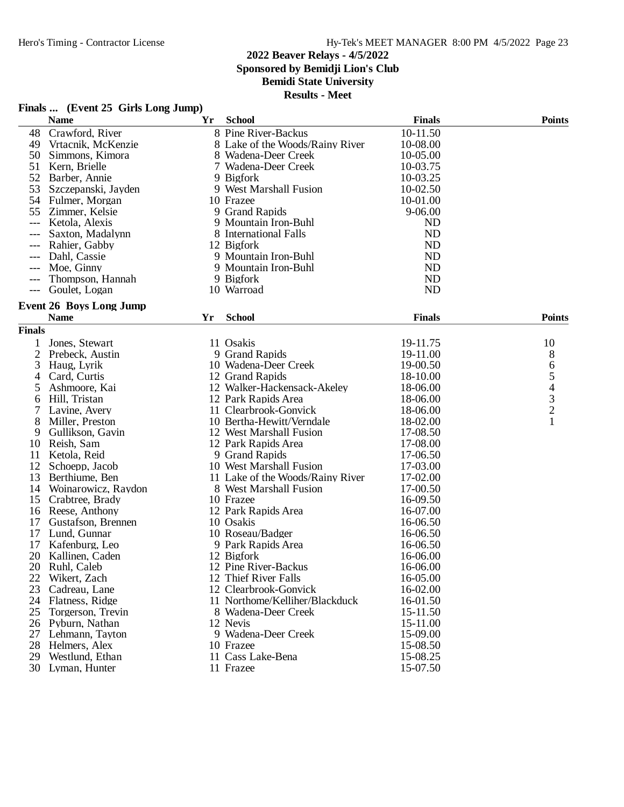### **2022 Beaver Relays - 4/5/2022 Sponsored by Bemidji Lion's Club**

# **Bemidi State University**

| Finals |  | (Event 25 Girls Long Jump) |  |
|--------|--|----------------------------|--|
|--------|--|----------------------------|--|

|               | <b>Name</b>                    | Yr | <b>School</b>                    | <b>Finals</b> | <b>Points</b> |
|---------------|--------------------------------|----|----------------------------------|---------------|---------------|
| 48            | Crawford, River                |    | 8 Pine River-Backus              | 10-11.50      |               |
| 49            | Vrtacnik, McKenzie             |    | 8 Lake of the Woods/Rainy River  | 10-08.00      |               |
| 50            | Simmons, Kimora                |    | 8 Wadena-Deer Creek              | 10-05.00      |               |
| 51            | Kern, Brielle                  |    | 7 Wadena-Deer Creek              | 10-03.75      |               |
| 52            | Barber, Annie                  |    | 9 Bigfork                        | 10-03.25      |               |
| 53            | Szczepanski, Jayden            |    | 9 West Marshall Fusion           | 10-02.50      |               |
| 54            | Fulmer, Morgan                 |    | 10 Frazee                        | 10-01.00      |               |
| 55            | Zimmer, Kelsie                 |    | 9 Grand Rapids                   | 9-06.00       |               |
| $---$         | Ketola, Alexis                 |    | 9 Mountain Iron-Buhl             | <b>ND</b>     |               |
| ---           | Saxton, Madalynn               |    | 8 International Falls            | ND            |               |
|               | Rahier, Gabby                  |    | 12 Bigfork                       | <b>ND</b>     |               |
|               | Dahl, Cassie                   |    | 9 Mountain Iron-Buhl             | ND            |               |
| ---           | Moe, Ginny                     |    | 9 Mountain Iron-Buhl             | ND            |               |
|               | Thompson, Hannah               |    | 9 Bigfork                        | <b>ND</b>     |               |
| $---$         | Goulet, Logan                  |    | 10 Warroad                       | <b>ND</b>     |               |
|               |                                |    |                                  |               |               |
|               | <b>Event 26 Boys Long Jump</b> |    |                                  |               |               |
|               | <b>Name</b>                    | Yr | <b>School</b>                    | <b>Finals</b> | <b>Points</b> |
| <b>Finals</b> |                                |    |                                  |               |               |
| 1             | Jones, Stewart                 |    | 11 Osakis                        | 19-11.75      | 10            |
| 2             | Prebeck, Austin                |    | 9 Grand Rapids                   | 19-11.00      | 8             |
| 3             | Haug, Lyrik                    |    | 10 Wadena-Deer Creek             | 19-00.50      |               |
| 4             | Card, Curtis                   |    | 12 Grand Rapids                  | 18-10.00      |               |
| 5             | Ashmoore, Kai                  |    | 12 Walker-Hackensack-Akeley      | 18-06.00      | 65432         |
| 6             | Hill, Tristan                  |    | 12 Park Rapids Area              | 18-06.00      |               |
| 7             | Lavine, Avery                  |    | 11 Clearbrook-Gonvick            | 18-06.00      |               |
| 8             | Miller, Preston                |    | 10 Bertha-Hewitt/Verndale        | 18-02.00      | $\mathbf{1}$  |
| 9             | Gullikson, Gavin               |    | 12 West Marshall Fusion          | 17-08.50      |               |
| 10            | Reish, Sam                     |    | 12 Park Rapids Area              | 17-08.00      |               |
| 11            | Ketola, Reid                   |    | 9 Grand Rapids                   | 17-06.50      |               |
| 12            | Schoepp, Jacob                 |    | 10 West Marshall Fusion          | 17-03.00      |               |
| 13            | Berthiume, Ben                 |    | 11 Lake of the Woods/Rainy River | 17-02.00      |               |
| 14            | Woinarowicz, Raydon            |    | 8 West Marshall Fusion           | 17-00.50      |               |
| 15            |                                |    | 10 Frazee                        |               |               |
|               | Crabtree, Brady                |    |                                  | 16-09.50      |               |
| 16            | Reese, Anthony                 |    | 12 Park Rapids Area<br>10 Osakis | 16-07.00      |               |
| 17<br>17      | Gustafson, Brennen             |    |                                  | 16-06.50      |               |
|               | Lund, Gunnar                   |    | 10 Roseau/Badger                 | 16-06.50      |               |
| 17            | Kafenburg, Leo                 |    | 9 Park Rapids Area               | 16-06.50      |               |
| 20            | Kallinen, Caden                |    | 12 Bigfork                       | 16-06.00      |               |
| 20            | Ruhl, Caleb                    |    | 12 Pine River-Backus             | 16-06.00      |               |
| 22            | Wikert, Zach                   |    | 12 Thief River Falls             | 16-05.00      |               |
| 23            | Cadreau, Lane                  |    | 12 Clearbrook-Gonvick            | 16-02.00      |               |
| 24            | Flatness, Ridge                |    | 11 Northome/Kelliher/Blackduck   | 16-01.50      |               |
| 25            | Torgerson, Trevin              |    | 8 Wadena-Deer Creek              | 15-11.50      |               |
|               | 26 Pyburn, Nathan              |    | 12 Nevis                         | 15-11.00      |               |
| 27            | Lehmann, Tayton                |    | 9 Wadena-Deer Creek              | 15-09.00      |               |
| 28            | Helmers, Alex                  |    | 10 Frazee                        | 15-08.50      |               |
| 29            | Westlund, Ethan                |    | 11 Cass Lake-Bena                | 15-08.25      |               |
|               | 30 Lyman, Hunter               |    | 11 Frazee                        | 15-07.50      |               |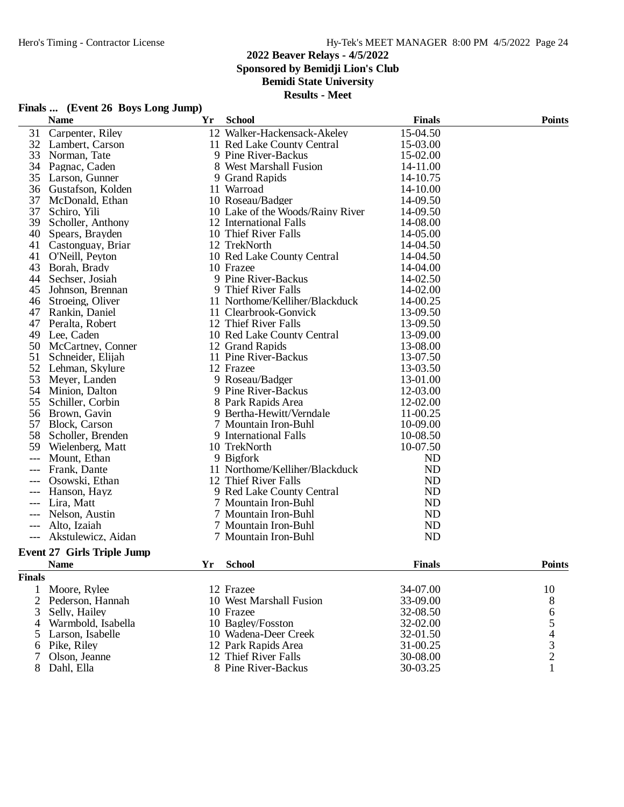## **2022 Beaver Relays - 4/5/2022 Sponsored by Bemidji Lion's Club Bemidi State University**

**Results - Meet**

## **Finals ... (Event 26 Boys Long Jump)**

|                | <b>Name</b>                       | Yr | <b>School</b>                    | <b>Finals</b> | <b>Points</b>                  |
|----------------|-----------------------------------|----|----------------------------------|---------------|--------------------------------|
| 31             | Carpenter, Riley                  |    | 12 Walker-Hackensack-Akeley      | 15-04.50      |                                |
| 32             | Lambert, Carson                   |    | 11 Red Lake County Central       | 15-03.00      |                                |
| 33             | Norman, Tate                      |    | 9 Pine River-Backus              | 15-02.00      |                                |
| 34             | Pagnac, Caden                     |    | 8 West Marshall Fusion           | 14-11.00      |                                |
| 35             | Larson, Gunner                    |    | 9 Grand Rapids                   | 14-10.75      |                                |
| 36             | Gustafson, Kolden                 |    | 11 Warroad                       | 14-10.00      |                                |
| 37             | McDonald, Ethan                   |    | 10 Roseau/Badger                 | 14-09.50      |                                |
| 37             | Schiro, Yili                      |    | 10 Lake of the Woods/Rainy River | 14-09.50      |                                |
| 39             | Scholler, Anthony                 |    | 12 International Falls           | 14-08.00      |                                |
| 40             | Spears, Brayden                   |    | 10 Thief River Falls             | 14-05.00      |                                |
| 41             | Castonguay, Briar                 |    | 12 TrekNorth                     | 14-04.50      |                                |
| 41             | O'Neill, Peyton                   |    | 10 Red Lake County Central       | 14-04.50      |                                |
| 43             | Borah, Brady                      |    | 10 Frazee                        | 14-04.00      |                                |
| 44             | Sechser, Josiah                   |    | 9 Pine River-Backus              | 14-02.50      |                                |
| 45             | Johnson, Brennan                  |    | 9 Thief River Falls              | 14-02.00      |                                |
| 46             | Stroeing, Oliver                  |    | 11 Northome/Kelliher/Blackduck   | 14-00.25      |                                |
| 47             | Rankin, Daniel                    |    | 11 Clearbrook-Gonvick            | 13-09.50      |                                |
| 47             | Peralta, Robert                   |    | 12 Thief River Falls             | 13-09.50      |                                |
| 49             | Lee, Caden                        |    | 10 Red Lake County Central       | 13-09.00      |                                |
| 50             | McCartney, Conner                 |    | 12 Grand Rapids                  | 13-08.00      |                                |
| 51             | Schneider, Elijah                 |    | 11 Pine River-Backus             | 13-07.50      |                                |
| 52             | Lehman, Skylure                   |    | 12 Frazee                        | 13-03.50      |                                |
| 53             | Meyer, Landen                     |    | 9 Roseau/Badger                  | 13-01.00      |                                |
| 54             | Minion, Dalton                    |    | 9 Pine River-Backus              | 12-03.00      |                                |
| 55             | Schiller, Corbin                  |    | 8 Park Rapids Area               | 12-02.00      |                                |
| 56             | Brown, Gavin                      |    | 9 Bertha-Hewitt/Verndale         | 11-00.25      |                                |
| 57             | <b>Block, Carson</b>              |    | 7 Mountain Iron-Buhl             | 10-09.00      |                                |
| 58             | Scholler, Brenden                 |    | 9 International Falls            | 10-08.50      |                                |
| 59             | Wielenberg, Matt                  |    | 10 TrekNorth                     | 10-07.50      |                                |
| $---$          | Mount, Ethan                      |    | 9 Bigfork                        | <b>ND</b>     |                                |
|                | Frank, Dante                      |    | 11 Northome/Kelliher/Blackduck   | <b>ND</b>     |                                |
|                | Osowski, Ethan                    |    | 12 Thief River Falls             | <b>ND</b>     |                                |
| ---            | Hanson, Hayz                      |    | 9 Red Lake County Central        | <b>ND</b>     |                                |
| ---            | Lira, Matt                        |    | 7 Mountain Iron-Buhl             | <b>ND</b>     |                                |
| $---$          | Nelson, Austin                    |    | 7 Mountain Iron-Buhl             | ND            |                                |
| $---$          | Alto, Izaiah                      |    | 7 Mountain Iron-Buhl             | ND            |                                |
|                | Akstulewicz, Aidan                |    | 7 Mountain Iron-Buhl             | <b>ND</b>     |                                |
|                | <b>Event 27 Girls Triple Jump</b> |    |                                  |               |                                |
|                | <b>Name</b>                       | Yr | <b>School</b>                    | <b>Finals</b> | <b>Points</b>                  |
| <b>Finals</b>  |                                   |    |                                  |               |                                |
| 1              | Moore, Rylee                      |    | 12 Frazee                        | 34-07.00      | 10                             |
| $\overline{2}$ | Pederson, Hannah                  |    | 10 West Marshall Fusion          | 33-09.00      | 8                              |
| 3              | Selly, Hailey                     |    | 10 Frazee                        | 32-08.50      | 6                              |
| 4              | Warmbold, Isabella                |    | 10 Bagley/Fosston                | 32-02.00      |                                |
| 5              | Larson, Isabelle                  |    | 10 Wadena-Deer Creek             | 32-01.50      | $\frac{5}{4}$<br>$\frac{3}{2}$ |
| 6              | Pike, Riley                       |    | 12 Park Rapids Area              | 31-00.25      |                                |
| 7              | Olson, Jeanne                     |    | 12 Thief River Falls             | 30-08.00      |                                |
|                | 8 Dahl, Ella                      |    | 8 Pine River-Backus              | 30-03.25      | 1                              |
|                |                                   |    |                                  |               |                                |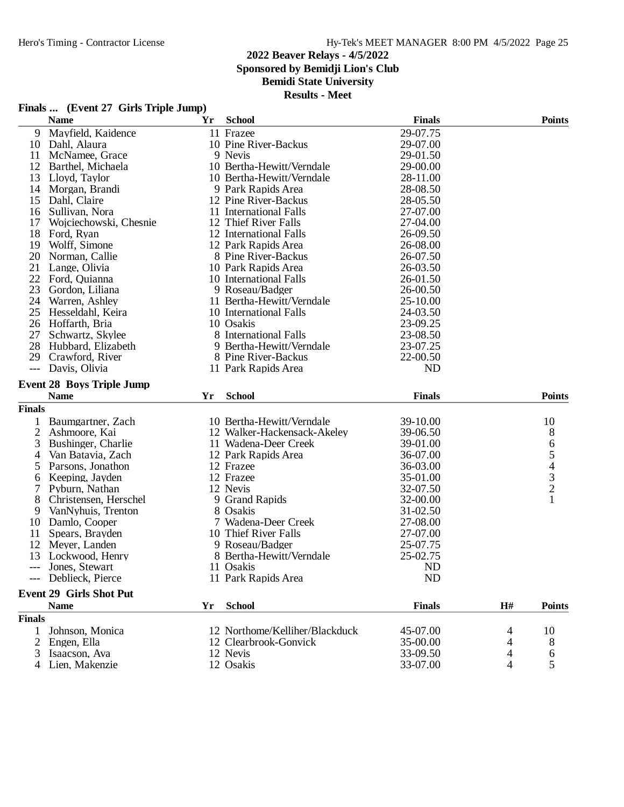## **2022 Beaver Relays - 4/5/2022 Sponsored by Bemidji Lion's Club Bemidi State University**

**Results - Meet**

## **Finals ... (Event 27 Girls Triple Jump)**

|               | <b>Name</b>                      | Yr | <b>School</b>                  | <b>Finals</b>  |    | <b>Points</b> |
|---------------|----------------------------------|----|--------------------------------|----------------|----|---------------|
| 9             | Mayfield, Kaidence               |    | 11 Frazee                      | 29-07.75       |    |               |
| 10            | Dahl, Alaura                     |    | 10 Pine River-Backus           | 29-07.00       |    |               |
| 11            | McNamee, Grace                   |    | 9 Nevis                        | 29-01.50       |    |               |
| 12            | Barthel, Michaela                |    | 10 Bertha-Hewitt/Verndale      | 29-00.00       |    |               |
| 13            | Lloyd, Taylor                    |    | 10 Bertha-Hewitt/Verndale      | 28-11.00       |    |               |
| 14            | Morgan, Brandi                   |    | 9 Park Rapids Area             | 28-08.50       |    |               |
| 15            | Dahl, Claire                     |    | 12 Pine River-Backus           | 28-05.50       |    |               |
| 16            | Sullivan, Nora                   |    | 11 International Falls         | 27-07.00       |    |               |
| 17            | Wojciechowski, Chesnie           |    | 12 Thief River Falls           | 27-04.00       |    |               |
| 18            | Ford, Ryan                       |    | 12 International Falls         | 26-09.50       |    |               |
| 19            | Wolff, Simone                    |    | 12 Park Rapids Area            | 26-08.00       |    |               |
| 20            | Norman, Callie                   |    | 8 Pine River-Backus            | 26-07.50       |    |               |
| 21            | Lange, Olivia                    |    | 10 Park Rapids Area            | 26-03.50       |    |               |
| 22            | Ford, Quianna                    |    | 10 International Falls         | 26-01.50       |    |               |
| 23            | Gordon, Liliana                  |    | 9 Roseau/Badger                | 26-00.50       |    |               |
| 24            | Warren, Ashley                   |    | 11 Bertha-Hewitt/Verndale      | 25-10.00       |    |               |
| 25            | Hesseldahl, Keira                |    | 10 International Falls         | 24-03.50       |    |               |
| 26            | Hoffarth, Bria                   |    | 10 Osakis                      | 23-09.25       |    |               |
| 27            | Schwartz, Skylee                 |    | 8 International Falls          | 23-08.50       |    |               |
| 28            | Hubbard, Elizabeth               |    | 9 Bertha-Hewitt/Verndale       | 23-07.25       |    |               |
| 29            | Crawford, River                  |    | 8 Pine River-Backus            | 22-00.50       |    |               |
| $---$         | Davis, Olivia                    |    | 11 Park Rapids Area            | <b>ND</b>      |    |               |
|               |                                  |    |                                |                |    |               |
|               | <b>Event 28 Boys Triple Jump</b> |    |                                |                |    |               |
|               | <b>Name</b>                      | Yr | <b>School</b>                  | <b>Finals</b>  |    | <b>Points</b> |
| <b>Finals</b> |                                  |    |                                |                |    |               |
|               | Baumgartner, Zach                |    | 10 Bertha-Hewitt/Verndale      | 39-10.00       |    | 10            |
| $\mathbf{2}$  | Ashmoore, Kai                    |    | 12 Walker-Hackensack-Akeley    | 39-06.50       |    | 8             |
| 3             | Bushinger, Charlie               |    | 11 Wadena-Deer Creek           | 39-01.00       |    |               |
| 4             | Van Batavia, Zach                |    | 12 Park Rapids Area            | 36-07.00       |    | 65432         |
| 5             | Parsons, Jonathon                |    | 12 Frazee                      | 36-03.00       |    |               |
| 6             | Keeping, Jayden                  |    | 12 Frazee                      | 35-01.00       |    |               |
| 7             | Pyburn, Nathan                   |    | 12 Nevis                       | 32-07.50       |    |               |
| 8             | Christensen, Herschel            |    | 9 Grand Rapids                 | 32-00.00       |    | $\mathbf{1}$  |
| 9             | VanNyhuis, Trenton               |    | 8 Osakis                       | 31-02.50       |    |               |
| 10            | Damlo, Cooper                    |    | 7 Wadena-Deer Creek            | 27-08.00       |    |               |
| 11            | Spears, Brayden                  |    | 10 Thief River Falls           | 27-07.00       |    |               |
| 12            | Meyer, Landen                    |    | 9 Roseau/Badger                | 25-07.75       |    |               |
| 13            | Lockwood, Henry                  |    | 8 Bertha-Hewitt/Verndale       | 25-02.75       |    |               |
|               | Jones, Stewart                   |    | 11 Osakis                      | N <sub>D</sub> |    |               |
|               | --- Deblieck, Pierce             |    | 11 Park Rapids Area            | <b>ND</b>      |    |               |
|               |                                  |    |                                |                |    |               |
|               | <b>Event 29 Girls Shot Put</b>   |    |                                |                |    |               |
|               | <b>Name</b>                      | Yr | <b>School</b>                  | <b>Finals</b>  | H# | <b>Points</b> |
| <b>Finals</b> |                                  |    |                                |                |    |               |
| 1             | Johnson, Monica                  |    | 12 Northome/Kelliher/Blackduck | 45-07.00       | 4  | 10            |
| 2             | Engen, Ella                      |    | 12 Clearbrook-Gonvick          | 35-00.00       | 4  | 8             |
| 3             | Isaacson, Ava                    |    | 12 Nevis                       | 33-09.50       | 4  | 6             |
|               | Lien, Makenzie                   |    | 12 Osakis                      | 33-07.00       | 4  | 5             |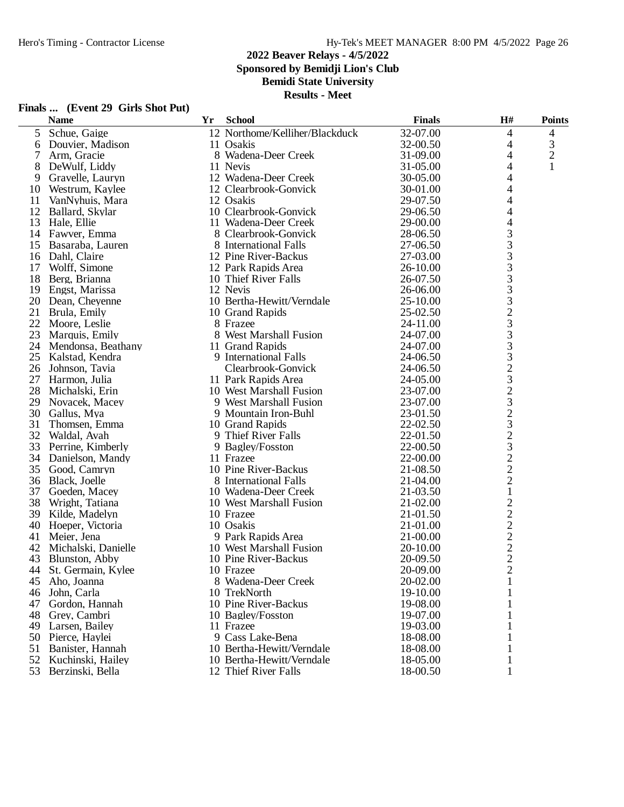# Hero's Timing - Contractor License Hy-Tek's MEET MANAGER 8:00 PM 4/5/2022 Page 26

# **2022 Beaver Relays - 4/5/2022**

**Sponsored by Bemidji Lion's Club**

**Bemidi State University**

**Results - Meet**

|    | <b>Name</b>           | Yr | <b>School</b>                          | <b>Finals</b> | H#                                                | <b>Points</b>  |
|----|-----------------------|----|----------------------------------------|---------------|---------------------------------------------------|----------------|
| 5  | Schue, Gaige          |    | 12 Northome/Kelliher/Blackduck         | 32-07.00      | 4                                                 | 4              |
| 6  | Douvier, Madison      |    | 11 Osakis                              | 32-00.50      | 4                                                 | 3              |
| 7  | Arm, Gracie           |    | 8 Wadena-Deer Creek                    | 31-09.00      | 4                                                 | $\mathfrak{2}$ |
| 8  | DeWulf, Liddy         |    | 11 Nevis                               | 31-05.00      | 4                                                 | 1              |
| 9  | Gravelle, Lauryn      |    | 12 Wadena-Deer Creek                   | 30-05.00      | 4                                                 |                |
| 10 | Westrum, Kaylee       |    | 12 Clearbrook-Gonvick                  | 30-01.00      | 4                                                 |                |
| 11 | VanNyhuis, Mara       |    | 12 Osakis                              | 29-07.50      | 4                                                 |                |
| 12 | Ballard, Skylar       |    | 10 Clearbrook-Gonvick                  | 29-06.50      | 4                                                 |                |
| 13 | Hale, Ellie           |    | 11 Wadena-Deer Creek                   | 29-00.00      | 4                                                 |                |
| 14 | Fawver, Emma          |    | 8 Clearbrook-Gonvick                   | 28-06.50      | 3                                                 |                |
| 15 | Basaraba, Lauren      |    | 8 International Falls                  | 27-06.50      |                                                   |                |
| 16 | Dahl, Claire          |    | 12 Pine River-Backus                   | 27-03.00      | $\frac{3}{3}$                                     |                |
| 17 | Wolff, Simone         |    | 12 Park Rapids Area                    | 26-10.00      | 3                                                 |                |
| 18 | Berg, Brianna         |    | 10 Thief River Falls                   | 26-07.50      | 3                                                 |                |
| 19 | Engst, Marissa        |    | 12 Nevis                               | 26-06.00      | 3                                                 |                |
| 20 | Dean, Cheyenne        |    | 10 Bertha-Hewitt/Verndale              | 25-10.00      | 3                                                 |                |
| 21 | Brula, Emily          |    | 10 Grand Rapids                        | 25-02.50      |                                                   |                |
| 22 | Moore, Leslie         |    | 8 Frazee                               | 24-11.00      | $\frac{2}{3}$                                     |                |
| 23 | Marquis, Emily        |    | 8 West Marshall Fusion                 | 24-07.00      | 3                                                 |                |
| 24 | Mendonsa, Beathany    |    | 11 Grand Rapids                        | 24-07.00      | 3                                                 |                |
|    | 25 Kalstad, Kendra    |    | 9 International Falls                  | 24-06.50      |                                                   |                |
| 26 | Johnson, Tavia        |    | Clearbrook-Gonvick                     | 24-06.50      | $\frac{3}{2}$                                     |                |
| 27 | Harmon, Julia         |    | 11 Park Rapids Area                    | 24-05.00      |                                                   |                |
| 28 | Michalski, Erin       |    | 10 West Marshall Fusion                | 23-07.00      |                                                   |                |
| 29 | Novacek, Macey        |    | 9 West Marshall Fusion                 | 23-07.00      | $\begin{array}{c} 3 \\ 2 \\ 3 \end{array}$        |                |
| 30 |                       |    | 9 Mountain Iron-Buhl                   | 23-01.50      |                                                   |                |
| 31 | Gallus, Mya           |    |                                        | 22-02.50      | $\frac{2}{3}$                                     |                |
| 32 | Thomsen, Emma         |    | 10 Grand Rapids<br>9 Thief River Falls | 22-01.50      |                                                   |                |
|    | Waldal, Avah          |    |                                        |               |                                                   |                |
| 33 | Perrine, Kimberly     |    | 9 Bagley/Fosston                       | 22-00.50      | $\frac{3}{2}$                                     |                |
| 34 | Danielson, Mandy      |    | 11 Frazee                              | 22-00.00      |                                                   |                |
| 35 | Good, Camryn          |    | 10 Pine River-Backus                   | 21-08.50      |                                                   |                |
| 36 | Black, Joelle         |    | 8 International Falls                  | 21-04.00      | $\overline{c}$                                    |                |
| 37 | Goeden, Macey         |    | 10 Wadena-Deer Creek                   | 21-03.50      | $\mathbf{1}$                                      |                |
| 38 | Wright, Tatiana       |    | 10 West Marshall Fusion                | 21-02.00      | $\overline{c}$                                    |                |
| 39 | Kilde, Madelyn        |    | 10 Frazee                              | 21-01.50      |                                                   |                |
| 40 | Hoeper, Victoria      |    | 10 Osakis                              | 21-01.00      |                                                   |                |
| 41 | Meier, Jena           |    | 9 Park Rapids Area                     | 21-00.00      |                                                   |                |
| 42 | Michalski, Danielle   |    | 10 West Marshall Fusion                | 20-10.00      | $\begin{array}{c}\n2 \\ 2 \\ 2 \\ 2\n\end{array}$ |                |
| 43 | Blunston, Abby        |    | 10 Pine River-Backus                   | 20-09.50      |                                                   |                |
|    | 44 St. Germain, Kylee |    | 10 Frazee                              | 20-09.00      | $\overline{2}$                                    |                |
| 45 | Aho, Joanna           |    | 8 Wadena-Deer Creek                    | 20-02.00      |                                                   |                |
| 46 | John, Carla           |    | 10 TrekNorth                           | 19-10.00      |                                                   |                |
| 47 | Gordon, Hannah        |    | 10 Pine River-Backus                   | 19-08.00      |                                                   |                |
| 48 | Grey, Cambri          |    | 10 Bagley/Fosston                      | 19-07.00      |                                                   |                |
| 49 | Larsen, Bailey        |    | 11 Frazee                              | 19-03.00      |                                                   |                |
| 50 | Pierce, Haylei        |    | 9 Cass Lake-Bena                       | 18-08.00      |                                                   |                |
| 51 | Banister, Hannah      |    | 10 Bertha-Hewitt/Verndale              | 18-08.00      |                                                   |                |
| 52 | Kuchinski, Hailey     |    | 10 Bertha-Hewitt/Verndale              | 18-05.00      |                                                   |                |
| 53 | Berzinski, Bella      |    | 12 Thief River Falls                   | 18-00.50      |                                                   |                |

# **Finals ... (Event 29 Girls Shot Put)**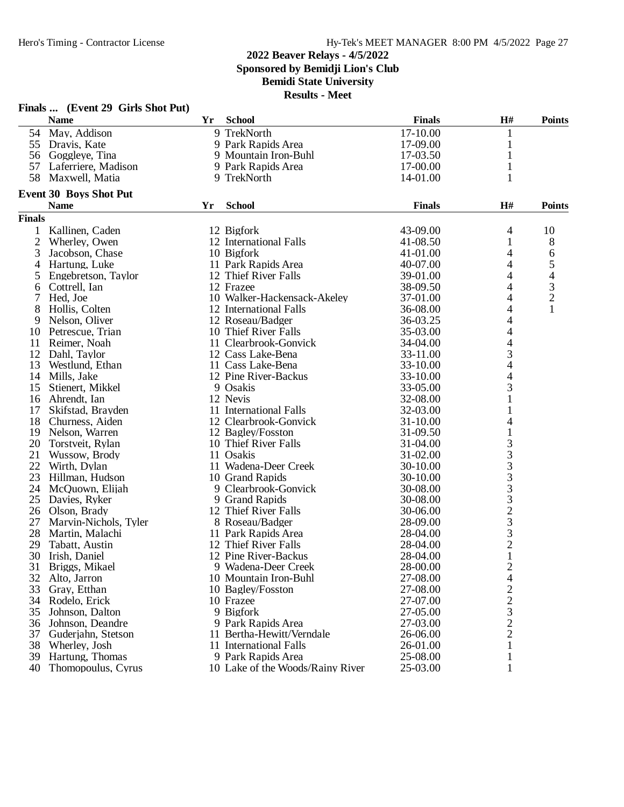## **2022 Beaver Relays - 4/5/2022 Sponsored by Bemidji Lion's Club Bemidi State University**

|               | Finals  (Event 29 Girls Shot Put) |           |                                  |               |                |                |
|---------------|-----------------------------------|-----------|----------------------------------|---------------|----------------|----------------|
|               | <b>Name</b>                       | <b>Yr</b> | <b>School</b>                    | <b>Finals</b> | H#             | <b>Points</b>  |
|               | 54 May, Addison                   |           | 9 TrekNorth                      | 17-10.00      | 1              |                |
| 55            | Dravis, Kate                      |           | 9 Park Rapids Area               | 17-09.00      | 1              |                |
|               | 56 Goggleye, Tina                 |           | 9 Mountain Iron-Buhl             | 17-03.50      | 1              |                |
| 57            | Laferriere, Madison               |           | 9 Park Rapids Area               | 17-00.00      | 1              |                |
| 58            | Maxwell, Matia                    |           | 9 TrekNorth                      | 14-01.00      | 1              |                |
|               | <b>Event 30 Boys Shot Put</b>     |           |                                  |               |                |                |
|               | <b>Name</b>                       | Yr        | <b>School</b>                    | <b>Finals</b> | H#             | <b>Points</b>  |
| <b>Finals</b> |                                   |           |                                  |               |                |                |
| 1             | Kallinen, Caden                   |           | 12 Bigfork                       | 43-09.00      | 4              | 10             |
| 2             | Wherley, Owen                     |           | 12 International Falls           | 41-08.50      | 1              | 8              |
| 3             | Jacobson, Chase                   |           | 10 Bigfork                       | 41-01.00      | 4              | 6              |
| 4             | Hartung, Luke                     |           | 11 Park Rapids Area              | 40-07.00      | 4              | 5              |
| 5             | Engebretson, Taylor               |           | 12 Thief River Falls             | 39-01.00      | 4              | 4              |
| 6             | Cottrell, Ian                     |           | 12 Frazee                        | 38-09.50      | 4              | 3              |
| 7             | Hed, Joe                          |           | 10 Walker-Hackensack-Akeley      | 37-01.00      | 4              | $\overline{c}$ |
| 8             | Hollis, Colten                    |           | 12 International Falls           | 36-08.00      | 4              | 1              |
| 9             | Nelson, Oliver                    |           | 12 Roseau/Badger                 | 36-03.25      | 4              |                |
| 10            | Petrescue, Trian                  |           | 10 Thief River Falls             | 35-03.00      | 4              |                |
| 11            | Reimer, Noah                      |           | 11 Clearbrook-Gonvick            | 34-04.00      | 4              |                |
| 12            | Dahl, Taylor                      |           | 12 Cass Lake-Bena                | 33-11.00      | 3              |                |
| 13            | Westlund, Ethan                   |           | 11 Cass Lake-Bena                | 33-10.00      | 4              |                |
| 14            | Mills, Jake                       |           | 12 Pine River-Backus             | 33-10.00      | 4              |                |
| 15            | Stienert, Mikkel                  |           | 9 Osakis                         | 33-05.00      | 3              |                |
| 16            | Ahrendt, Ian                      |           | 12 Nevis                         | 32-08.00      | 1              |                |
| 17            | Skifstad, Brayden                 |           | 11 International Falls           | 32-03.00      | 1              |                |
| 18            | Churness, Aiden                   |           | 12 Clearbrook-Gonvick            | 31-10.00      | 4              |                |
| 19            | Nelson, Warren                    |           | 12 Bagley/Fosston                | 31-09.50      | 1              |                |
| 20            | Torstveit, Rylan                  |           | 10 Thief River Falls             | 31-04.00      | 3              |                |
| 21            | Wussow, Brody                     |           | 11 Osakis                        | 31-02.00      | 3              |                |
| 22            | Wirth, Dylan                      |           | 11 Wadena-Deer Creek             | 30-10.00      | 3              |                |
| 23            | Hillman, Hudson                   |           | 10 Grand Rapids                  | 30-10.00      | 3              |                |
| 24            | McQuown, Elijah                   |           | 9 Clearbrook-Gonvick             | 30-08.00      | 3              |                |
| 25            | Davies, Ryker                     |           | 9 Grand Rapids                   | 30-08.00      | 3              |                |
| 26            | Olson, Brady                      |           | 12 Thief River Falls             | 30-06.00      | $\overline{c}$ |                |
| 27            | Marvin-Nichols, Tyler             |           | 8 Roseau/Badger                  | 28-09.00      | 3              |                |
| 28            | Martin, Malachi                   |           | 11 Park Rapids Area              | 28-04.00      | 3              |                |
| 29            | Tabatt, Austin                    |           | 12 Thief River Falls             | 28-04.00      | $\overline{c}$ |                |
|               | 30 Irish, Daniel                  |           | 12 Pine River-Backus             | 28-04.00      | $\mathbf{1}$   |                |
| 31            | Briggs, Mikael                    |           | 9 Wadena-Deer Creek              | 28-00.00      | 2              |                |
| 32            | Alto, Jarron                      |           | 10 Mountain Iron-Buhl            | 27-08.00      | 4              |                |
| 33            | Gray, Etthan                      |           | 10 Bagley/Fosston                | 27-08.00      | $\overline{c}$ |                |
| 34            | Rodelo, Erick                     |           | 10 Frazee                        | 27-07.00      | $\overline{c}$ |                |
| 35            | Johnson, Dalton                   |           | 9 Bigfork                        | 27-05.00      | 3              |                |
| 36            | Johnson, Deandre                  |           | 9 Park Rapids Area               | 27-03.00      | $\overline{c}$ |                |
| 37            | Guderjahn, Stetson                |           | 11 Bertha-Hewitt/Verndale        | 26-06.00      | $\overline{c}$ |                |
| 38            | Wherley, Josh                     |           | 11 International Falls           | 26-01.00      | 1              |                |
| 39            | Hartung, Thomas                   |           | 9 Park Rapids Area               | 25-08.00      | 1              |                |
| 40            | Thomopoulus, Cyrus                |           | 10 Lake of the Woods/Rainy River | 25-03.00      |                |                |